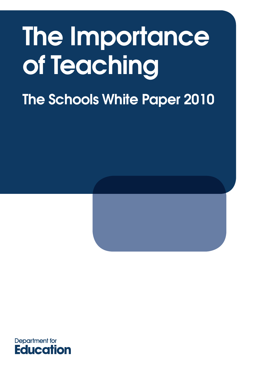# The Importance of Teaching

### The Schools White Paper 2010



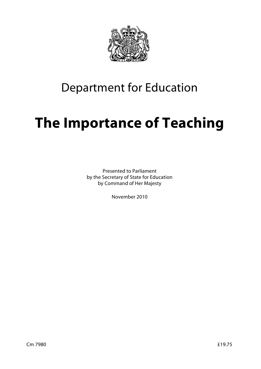

### Department for Education

### **The Importance of Teaching**

Presented to Parliament by the Secretary of State for Education by Command of Her Majesty

November 2010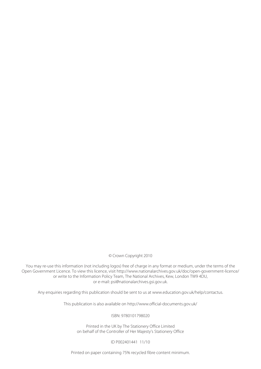© Crown Copyright 2010

You may re-use this information (not including logos) free of charge in any format or medium, under the terms of the Open Government Licence. To view this licence, visit http://www.nationalarchives.gov.uk/doc/open-government-licence/ or write to the Information Policy Team, The National Archives, Kew, London TW9 4DU, or e-mail: psi@nationalarchives.gsi.gov.uk.

Any enquiries regarding this publication should be sent to us at www.education.gov.uk/help/contactus.

This publication is also available on http://www.official-documents.gov.uk/

ISBN: 9780101798020

Printed in the UK by The Stationery Office Limited on behalf of the Controller of Her Majesty's Stationery Office

ID P002401441 11/10

Printed on paper containing 75% recycled fibre content minimum.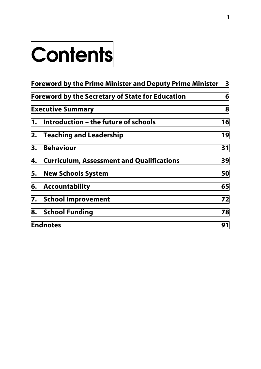### **Contents**

|    | <b>Foreword by the Prime Minister and Deputy Prime Minister</b> | $\overline{\mathbf{3}}$ |
|----|-----------------------------------------------------------------|-------------------------|
|    | <b>Foreword by the Secretary of State for Education</b>         | 6                       |
|    | <b>Executive Summary</b>                                        | 8                       |
|    | 1. Introduction – the future of schools                         | 16                      |
|    | 2. Teaching and Leadership                                      | 19                      |
| 3. | <b>Behaviour</b>                                                | 31                      |
|    | 4. Curriculum, Assessment and Qualifications                    | 39                      |
|    | 5. New Schools System                                           | 50                      |
|    | 6. Accountability                                               | 65                      |
|    | 7. School Improvement                                           | 72                      |
|    | 8. School Funding                                               | 78                      |
|    | <b>Endnotes</b>                                                 |                         |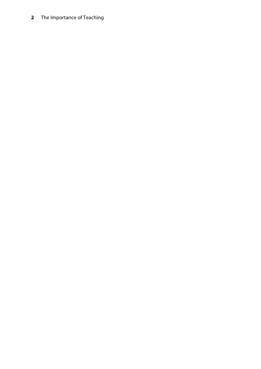#### The Importance of Teaching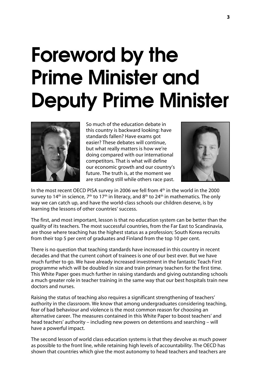### <span id="page-5-0"></span>Foreword by the Prime Minister and Deputy Prime Minister



So much of the education debate in this country is backward looking: have standards fallen? Have exams got easier? These debates will continue, but what really matters is how we're doing compared with our international competitors. That is what will define our economic growth and our country's future. The truth is, at the moment we are standing still while others race past.



In the most recent OECD PISA survey in 2006 we fell from  $4<sup>th</sup>$  in the world in the 2000 survey to 14<sup>th</sup> in science,  $7<sup>th</sup>$  to 17<sup>th</sup> in literacy, and  $8<sup>th</sup>$  to 24<sup>th</sup> in mathematics. The only way we can catch up, and have the world-class schools our children deserve, is by learning the lessons of other countries' success.

The first, and most important, lesson is that no education system can be better than the quality of its teachers. The most successful countries, from the Far East to Scandinavia, are those where teaching has the highest status as a profession; South Korea recruits from their top 5 per cent of graduates and Finland from the top 10 per cent.

There is no question that teaching standards have increased in this country in recent decades and that the current cohort of trainees is one of our best ever. But we have much further to go. We have already increased investment in the fantastic Teach First programme which will be doubled in size and train primary teachers for the first time. This White Paper goes much further in raising standards and giving outstanding schools a much greater role in teacher training in the same way that our best hospitals train new doctors and nurses.

Raising the status of teaching also requires a significant strengthening of teachers' authority in the classroom. We know that among undergraduates considering teaching, fear of bad behaviour and violence is the most common reason for choosing an alternative career. The measures contained in this White Paper to boost teachers' and head teachers' authority – including new powers on detentions and searching – will have a powerful impact.

The second lesson of world class education systems is that they devolve as much power as possible to the front line, while retaining high levels of accountability. The OECD has shown that countries which give the most autonomy to head teachers and teachers are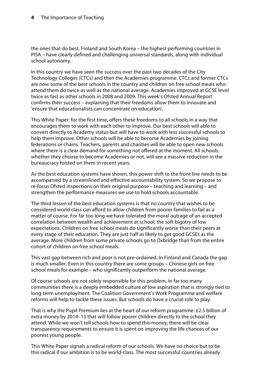#### **4** The Importance of Teaching

the ones that do best. Finland and South Korea – the highest performing countries in PISA – have clearly defined and challenging universal standards, along with individual school autonomy.

In this country we have seen the success over the past two decades of the City Technology Colleges (CTCs) and then the Academies programme. CTCs and former CTCs are now some of the best schools in the country and children on free school meals who attend them do twice as well as the national average. Academies improved at GCSE level twice as fast as other schools in 2008 and 2009. This week's Ofsted Annual Report confirms their success – explaining that their freedoms allow them to innovate and 'ensure that educationalists can concentrate on education'.

This White Paper, for the first time, offers these freedoms to all schools in a way that encourages them to work with each other to improve. Our best schools will able to convert directly to Academy status but will have to work with less successful schools to help them improve. Other schools will be able to become Academies by joining federations or chains. Teachers, parents and charities will be able to open new schools where there is a clear demand for something not offered at the moment. All schools, whether they choose to become Academies or not, will see a massive reduction in the bureaucracy foisted on them in recent years.

As the best education systems have shown, this power shift to the front line needs to be accompanied by a streamlined and effective accountability system. So we propose to re-focus Ofsted inspections on their original purpose – teaching and learning – and strengthen the performance measures we use to hold schools accountable.

The third lesson of the best education systems is that no country that wishes to be considered world class can afford to allow children from poorer families to fail as a matter of course. For far too long we have tolerated the moral outrage of an accepted correlation between wealth and achievement at school; the soft bigotry of low expectations. Children on free school meals do significantly worse than their peers at every stage of their education. They are just half as likely to get good GCSEs as the average. More children from some private schools go to Oxbridge than from the entire cohort of children on free school meals.

This vast gap between rich and poor is not pre-ordained. In Finland and Canada the gap is much smaller. Even in this country there are some groups – Chinese girls on free school meals for example – who significantly outperform the national average.

Of course schools are not solely responsible for this problem. In far too many communities there is a deeply embedded culture of low aspiration that is strongly tied to long-term unemployment. The Coalition Government's Work Programme and welfare reforms will help to tackle these issues. But schools do have a crucial role to play.

That is why the Pupil Premium lies at the heart of our reform programme: £2.5 billion of extra money by 2014–15 that will follow poorer children directly to the school they attend. While we won't tell schools how to spend this money, there will be clear transparency requirements to ensure it is spent on improving the life chances of our poorest young people.

This White Paper signals a radical reform of our schools. We have no choice but to be this radical if our ambition is to be world-class. The most successful countries already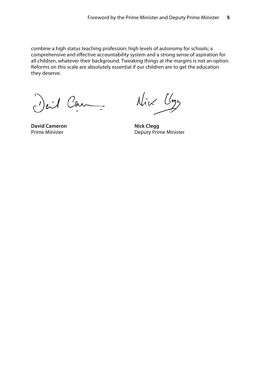combine a high status teaching profession; high levels of autonomy for schools; a comprehensive and effective accountability system and a strong sense of aspiration for all children, whatever their background. Tweaking things at the margins is not an option. Reforms on this scale are absolutely essential if our children are to get the education they deserve.

) cil Cam

**David Cameron Nick Clegg** 

Nive Clegs

Prime Minister **Deputy Prime Minister** Deputy Prime Minister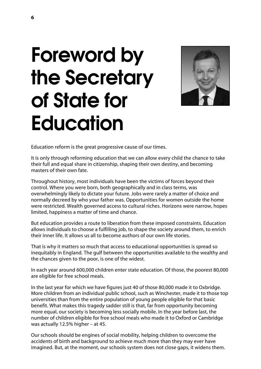### <span id="page-8-0"></span>Foreword by the Secretary of State for **Education**



Education reform is the great progressive cause of our times.

It is only through reforming education that we can allow every child the chance to take their full and equal share in citizenship, shaping their own destiny, and becoming masters of their own fate.

Throughout history, most individuals have been the victims of forces beyond their control. Where you were born, both geographically and in class terms, was overwhelmingly likely to dictate your future. Jobs were rarely a matter of choice and normally decreed by who your father was. Opportunities for women outside the home were restricted. Wealth governed access to cultural riches. Horizons were narrow, hopes limited, happiness a matter of time and chance.

But education provides a route to liberation from these imposed constraints. Education allows individuals to choose a fulfilling job, to shape the society around them, to enrich their inner life. It allows us all to become authors of our own life stories.

That is why it matters so much that access to educational opportunities is spread so inequitably in England. The gulf between the opportunities available to the wealthy and the chances given to the poor, is one of the widest.

In each year around 600,000 children enter state education. Of those, the poorest 80,000 are eligible for free school meals.

In the last year for which we have figures just 40 of those 80,000 made it to Oxbridge. More children from an individual public school, such as Winchester, made it to those top universities than from the entire population of young people eligible for that basic benefit. What makes this tragedy sadder still is that, far from opportunity becoming more equal, our society is becoming less socially mobile. In the year before last, the number of children eligible for free school meals who made it to Oxford or Cambridge was actually 12.5% higher – at 45.

Our schools should be engines of social mobility, helping children to overcome the accidents of birth and background to achieve much more than they may ever have imagined. But, at the moment, our schools system does not close gaps, it widens them.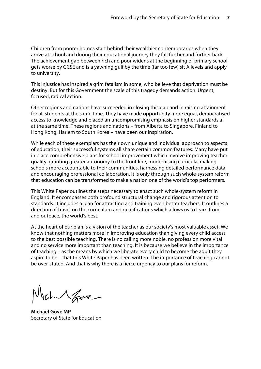Children from poorer homes start behind their wealthier contemporaries when they arrive at school and during their educational journey they fall further and further back. The achievement gap between rich and poor widens at the beginning of primary school, gets worse by GCSE and is a yawning gulf by the time (far too few) sit A levels and apply to university.

This injustice has inspired a grim fatalism in some, who believe that deprivation must be destiny. But for this Government the scale of this tragedy demands action. Urgent, focused, radical action.

Other regions and nations have succeeded in closing this gap and in raising attainment for all students at the same time. They have made opportunity more equal, democratised access to knowledge and placed an uncompromising emphasis on higher standards all at the same time. These regions and nations – from Alberta to Singapore, Finland to Hong Kong, Harlem to South Korea – have been our inspiration.

While each of these exemplars has their own unique and individual approach to aspects of education, their successful systems all share certain common features. Many have put in place comprehensive plans for school improvement which involve improving teacher quality, granting greater autonomy to the front line, modernising curricula, making schools more accountable to their communities, harnessing detailed performance data and encouraging professional collaboration. It is only through such whole-system reform that education can be transformed to make a nation one of the world's top performers.

This White Paper outlines the steps necessary to enact such whole-system reform in England. It encompasses both profound structural change and rigorous attention to standards. It includes a plan for attracting and training even better teachers. It outlines a direction of travel on the curriculum and qualifications which allows us to learn from, and outpace, the world's best.

At the heart of our plan is a vision of the teacher as our society's most valuable asset. We know that nothing matters more in improving education than giving every child access to the best possible teaching. There is no calling more noble, no profession more vital and no service more important than teaching. It is because we believe in the importance of teaching – as the means by which we liberate every child to become the adult they aspire to be – that this White Paper has been written. The importance of teaching cannot be over-stated. And that is why there is a fierce urgency to our plans for reform.

Vich 1 fore

**Michael Gove MP** Secretary of State for Education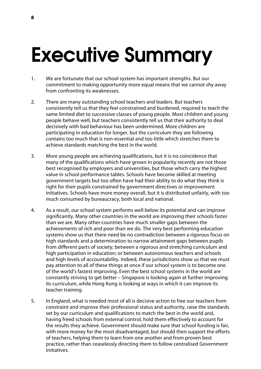# <span id="page-10-0"></span>Executive Summary

- 1. We are fortunate that our school system has important strengths. But our commitment to making opportunity more equal means that we cannot shy away from confronting its weaknesses.
- 2. There are many outstanding school teachers and leaders. But teachers consistently tell us that they feel constrained and burdened, required to teach the same limited diet to successive classes of young people. Most children and young people behave well, but teachers consistently tell us that their authority to deal decisively with bad behaviour has been undermined. More children are participating in education for longer, but the curriculum they are following contains too much that is non-essential and too little which stretches them to achieve standards matching the best in the world.
- 3. More young people are achieving qualifications, but it is no coincidence that many of the qualifications which have grown in popularity recently are not those best recognised by employers and universities, but those which carry the highest value in school performance tables. Schools have become skilled at meeting government targets but too often have had their ability to do what they think is right for their pupils constrained by government directives or improvement initiatives. Schools have more money overall, but it is distributed unfairly, with too much consumed by bureaucracy, both local and national.
- 4. As a result, our school system performs well below its potential and can improve significantly. Many other countries in the world are improving their schools faster than we are. Many other countries have much smaller gaps between the achievements of rich and poor than we do. The very best performing education systems show us that there need be no contradiction between a rigorous focus on high standards and a determination to narrow attainment gaps between pupils from different parts of society; between a rigorous and stretching curriculum and high participation in education; or between autonomous teachers and schools and high levels of accountability. Indeed, these jurisdictions show us that we must pay attention to all of these things at once if our school system is to become one of the world's fastest improving. Even the best school systems in the world are constantly striving to get better – Singapore is looking again at further improving its curriculum, while Hong Kong is looking at ways in which it can improve its teacher training.
- 5. In England, what is needed most of all is decisive action to free our teachers from constraint and improve their professional status and authority, raise the standards set by our curriculum and qualifications to match the best in the world and, having freed schools from external control, hold them effectively to account for the results they achieve. Government should make sure that school funding is fair, with more money for the most disadvantaged, but should then support the efforts of teachers, helping them to learn from one another and from proven best practice, rather than ceaselessly directing them to follow centralised Government initiatives.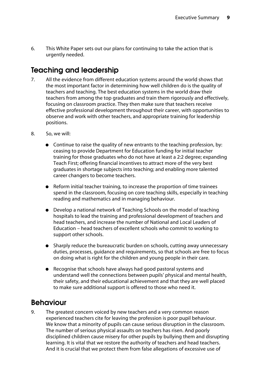6. This White Paper sets out our plans for continuing to take the action that is urgently needed.

#### Teaching and leadership

- 7. All the evidence from different education systems around the world shows that the most important factor in determining how well children do is the quality of teachers and teaching. The best education systems in the world draw their teachers from among the top graduates and train them rigorously and effectively, focusing on classroom practice. They then make sure that teachers receive effective professional development throughout their career, with opportunities to observe and work with other teachers, and appropriate training for leadership positions.
- 8. So, we will:
	- Continue to raise the quality of new entrants to the teaching profession, by: ceasing to provide Department for Education funding for initial teacher training for those graduates who do not have at least a 2:2 degree; expanding Teach First; offering financial incentives to attract more of the very best graduates in shortage subjects into teaching; and enabling more talented career changers to become teachers.
	- Reform initial teacher training, to increase the proportion of time trainees spend in the classroom, focusing on core teaching skills, especially in teaching reading and mathematics and in managing behaviour.
	- Develop a national network of Teaching Schools on the model of teaching hospitals to lead the training and professional development of teachers and head teachers, and increase the number of National and Local Leaders of Education – head teachers of excellent schools who commit to working to support other schools.
	- Sharply reduce the bureaucratic burden on schools, cutting away unnecessary duties, processes, guidance and requirements, so that schools are free to focus on doing what is right for the children and young people in their care.
	- Recognise that schools have always had good pastoral systems and understand well the connections between pupils' physical and mental health, their safety, and their educational achievement and that they are well placed to make sure additional support is offered to those who need it.

#### Behaviour

9. The greatest concern voiced by new teachers and a very common reason experienced teachers cite for leaving the profession is poor pupil behaviour. We know that a minority of pupils can cause serious disruption in the classroom. The number of serious physical assaults on teachers has risen. And poorly disciplined children cause misery for other pupils by bullying them and disrupting learning. It is vital that we restore the authority of teachers and head teachers. And it is crucial that we protect them from false allegations of excessive use of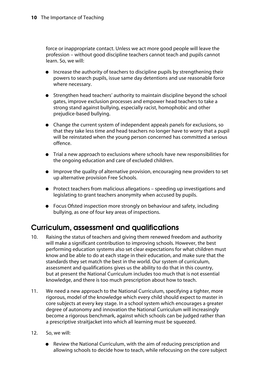force or inappropriate contact. Unless we act more good people will leave the profession – without good discipline teachers cannot teach and pupils cannot learn. So, we will:

- Increase the authority of teachers to discipline pupils by strengthening their powers to search pupils, issue same day detentions and use reasonable force where necessary.
- Strengthen head teachers' authority to maintain discipline beyond the school gates, improve exclusion processes and empower head teachers to take a strong stand against bullying, especially racist, homophobic and other prejudice-based bullying.
- Change the current system of independent appeals panels for exclusions, so that they take less time and head teachers no longer have to worry that a pupil will be reinstated when the young person concerned has committed a serious offence.
- Trial a new approach to exclusions where schools have new responsibilities for the ongoing education and care of excluded children.
- Improve the quality of alternative provision, encouraging new providers to set up alternative provision Free Schools.
- Protect teachers from malicious allegations speeding up investigations and legislating to grant teachers anonymity when accused by pupils.
- Focus Ofsted inspection more strongly on behaviour and safety, including bullying, as one of four key areas of inspections.

#### Curriculum, assessment and qualifications

- 10. Raising the status of teachers and giving them renewed freedom and authority will make a significant contribution to improving schools. However, the best performing education systems also set clear expectations for what children must know and be able to do at each stage in their education, and make sure that the standards they set match the best in the world. Our system of curriculum, assessment and qualifications gives us the ability to do that in this country, but at present the National Curriculum includes too much that is not essential knowledge, and there is too much prescription about how to teach.
- 11. We need a new approach to the National Curriculum, specifying a tighter, more rigorous, model of the knowledge which every child should expect to master in core subjects at every key stage. In a school system which encourages a greater degree of autonomy and innovation the National Curriculum will increasingly become a rigorous benchmark, against which schools can be judged rather than a prescriptive straitjacket into which all learning must be squeezed.
- 12. So, we will:
	- Review the National Curriculum, with the aim of reducing prescription and allowing schools to decide how to teach, while refocusing on the core subject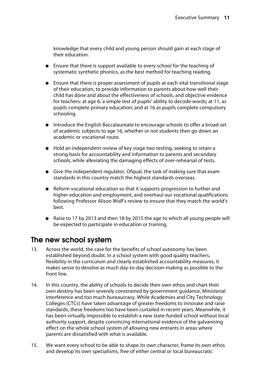knowledge that every child and young person should gain at each stage of their education.

- Ensure that there is support available to every school for the teaching of systematic synthetic phonics, as the best method for teaching reading.
- Ensure that there is proper assessment of pupils at each vital transitional stage of their education, to provide information to parents about how well their child has done and about the effectiveness of schools, and objective evidence for teachers: at age 6, a simple test of pupils' ability to decode words; at 11, as pupils complete primary education; and at 16 as pupils complete compulsory schooling.
- Introduce the English Baccalaureate to encourage schools to offer a broad set of academic subjects to age 16, whether or not students then go down an academic or vocational route.
- Hold an independent review of key stage two testing, seeking to retain a strong basis for accountability and information to parents and secondary schools, while alleviating the damaging effects of over-rehearsal of tests.
- Give the independent regulator, Ofqual, the task of making sure that exam standards in this country match the highest standards overseas.
- Reform vocational education so that it supports progression to further and higher education and employment, and overhaul our vocational qualifications following Professor Alison Wolf's review to ensure that they match the world's best.
- Raise to 17 by 2013 and then 18 by 2015 the age to which all young people will be expected to participate in education or training.

#### The new school system

- 13. Across the world, the case for the benefits of school autonomy has been established beyond doubt. In a school system with good quality teachers, flexibility in the curriculum and clearly established accountability measures, it makes sense to devolve as much day-to-day decision-making as possible to the front line.
- 14. In this country, the ability of schools to decide their own ethos and chart their own destiny has been severely constrained by government guidance, Ministerial interference and too much bureaucracy. While Academies and City Technology Colleges (CTCs) have taken advantage of greater freedoms to innovate and raise standards, these freedoms too have been curtailed in recent years. Meanwhile, it has been virtually impossible to establish a new state-funded school without local authority support, despite convincing international evidence of the galvanising effect on the whole school system of allowing new entrants in areas where parents are dissatisfied with what is available.
- 15. We want every school to be able to shape its own character, frame its own ethos and develop its own specialisms, free of either central or local bureaucratic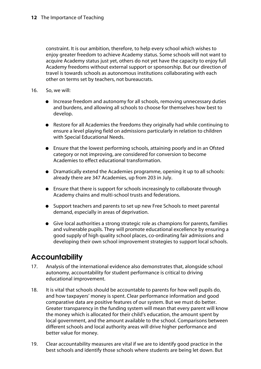constraint. It is our ambition, therefore, to help every school which wishes to enjoy greater freedom to achieve Academy status. Some schools will not want to acquire Academy status just yet, others do not yet have the capacity to enjoy full Academy freedoms without external support or sponsorship. But our direction of travel is towards schools as autonomous institutions collaborating with each other on terms set by teachers, not bureaucrats.

- 16. So, we will:
	- Increase freedom and autonomy for all schools, removing unnecessary duties and burdens, and allowing all schools to choose for themselves how best to develop.
	- Restore for all Academies the freedoms they originally had while continuing to ensure a level playing field on admissions particularly in relation to children with Special Educational Needs.
	- Ensure that the lowest performing schools, attaining poorly and in an Ofsted category or not improving, are considered for conversion to become Academies to effect educational transformation.
	- Dramatically extend the Academies programme, opening it up to all schools: already there are 347 Academies, up from 203 in July.
	- Ensure that there is support for schools increasingly to collaborate through Academy chains and multi-school trusts and federations.
	- Support teachers and parents to set up new Free Schools to meet parental demand, especially in areas of deprivation.
	- Give local authorities a strong strategic role as champions for parents, families and vulnerable pupils. They will promote educational excellence by ensuring a good supply of high quality school places, co-ordinating fair admissions and developing their own school improvement strategies to support local schools.

#### **Accountability**

- 17. Analysis of the international evidence also demonstrates that, alongside school autonomy, accountability for student performance is critical to driving educational improvement.
- 18. It is vital that schools should be accountable to parents for how well pupils do, and how taxpayers' money is spent. Clear performance information and good comparative data are positive features of our system. But we must do better. Greater transparency in the funding system will mean that every parent will know the money which is allocated for their child's education, the amount spent by local government, and the amount available to the school. Comparisons between different schools and local authority areas will drive higher performance and better value for money.
- 19. Clear accountability measures are vital if we are to identify good practice in the best schools and identify those schools where students are being let down. But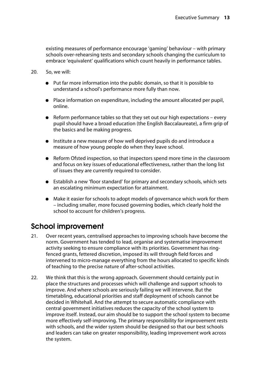existing measures of performance encourage 'gaming' behaviour – with primary schools over-rehearsing tests and secondary schools changing the curriculum to embrace 'equivalent' qualifications which count heavily in performance tables.

- 20. So, we will:
	- Put far more information into the public domain, so that it is possible to understand a school's performance more fully than now.
	- Place information on expenditure, including the amount allocated per pupil, online.
	- Reform performance tables so that they set out our high expectations every pupil should have a broad education (the English Baccalaureate), a firm grip of the basics and be making progress.
	- Institute a new measure of how well deprived pupils do and introduce a measure of how young people do when they leave school.
	- Reform Ofsted inspection, so that inspectors spend more time in the classroom and focus on key issues of educational effectiveness, rather than the long list of issues they are currently required to consider.
	- Establish a new 'floor standard' for primary and secondary schools, which sets an escalating minimum expectation for attainment.
	- Make it easier for schools to adopt models of governance which work for them – including smaller, more focused governing bodies, which clearly hold the school to account for children's progress.

#### School improvement

- 21. Over recent years, centralised approaches to improving schools have become the norm. Government has tended to lead, organise and systematise improvement activity seeking to ensure compliance with its priorities. Government has ringfenced grants, fettered discretion, imposed its will through field forces and intervened to micro-manage everything from the hours allocated to specific kinds of teaching to the precise nature of after-school activities.
- 22. We think that this is the wrong approach. Government should certainly put in place the structures and processes which will challenge and support schools to improve. And where schools are seriously failing we will intervene. But the timetabling, educational priorities and staff deployment of schools cannot be decided in Whitehall. And the attempt to secure automatic compliance with central government initiatives reduces the capacity of the school system to improve itself. Instead, our aim should be to support the school system to become more effectively self-improving. The primary responsibility for improvement rests with schools, and the wider system should be designed so that our best schools and leaders can take on greater responsibility, leading improvement work across the system.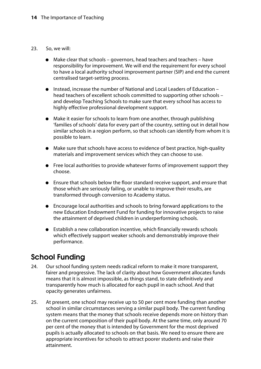- 23. So, we will:
	- Make clear that schools governors, head teachers and teachers have responsibility for improvement. We will end the requirement for every school to have a local authority school improvement partner (SIP) and end the current centralised target-setting process.
	- Instead, increase the number of National and Local Leaders of Education head teachers of excellent schools committed to supporting other schools – and develop Teaching Schools to make sure that every school has access to highly effective professional development support.
	- Make it easier for schools to learn from one another, through publishing 'families of schools' data for every part of the country, setting out in detail how similar schools in a region perform, so that schools can identify from whom it is possible to learn.
	- Make sure that schools have access to evidence of best practice, high-quality materials and improvement services which they can choose to use.
	- Free local authorities to provide whatever forms of improvement support they choose.
	- Ensure that schools below the floor standard receive support, and ensure that those which are seriously failing, or unable to improve their results, are transformed through conversion to Academy status.
	- Encourage local authorities and schools to bring forward applications to the new Education Endowment Fund for funding for innovative projects to raise the attainment of deprived children in underperforming schools.
	- Establish a new collaboration incentive, which financially rewards schools which effectively support weaker schools and demonstrably improve their performance.

#### School Funding

- 24. Our school funding system needs radical reform to make it more transparent, fairer and progressive. The lack of clarity about how Government allocates funds means that it is almost impossible, as things stand, to state definitively and transparently how much is allocated for each pupil in each school. And that opacity generates unfairness.
- 25. At present, one school may receive up to 50 per cent more funding than another school in similar circumstances serving a similar pupil body. The current funding system means that the money that schools receive depends more on history than on the current composition of their pupil body. At the same time, only around 70 per cent of the money that is intended by Government for the most deprived pupils is actually allocated to schools on that basis. We need to ensure there are appropriate incentives for schools to attract poorer students and raise their attainment.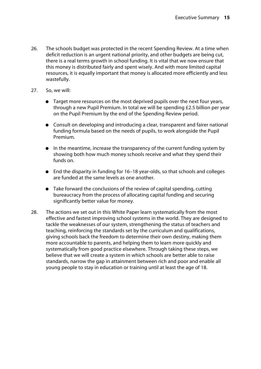- 26. The schools budget was protected in the recent Spending Review. At a time when deficit reduction is an urgent national priority, and other budgets are being cut, there is a real terms growth in school funding. It is vital that we now ensure that this money is distributed fairly and spent wisely. And with more limited capital resources, it is equally important that money is allocated more efficiently and less wastefully.
- 27. So, we will:
	- Target more resources on the most deprived pupils over the next four years, through a new Pupil Premium. In total we will be spending £2.5 billion per year on the Pupil Premium by the end of the Spending Review period.
	- Consult on developing and introducing a clear, transparent and fairer national funding formula based on the needs of pupils, to work alongside the Pupil Premium.
	- In the meantime, increase the transparency of the current funding system by showing both how much money schools receive and what they spend their funds on.
	- End the disparity in funding for 16–18 year-olds, so that schools and colleges are funded at the same levels as one another.
	- Take forward the conclusions of the review of capital spending, cutting bureaucracy from the process of allocating capital funding and securing significantly better value for money.
- 28. The actions we set out in this White Paper learn systematically from the most effective and fastest improving school systems in the world. They are designed to tackle the weaknesses of our system, strengthening the status of teachers and teaching, reinforcing the standards set by the curriculum and qualifications, giving schools back the freedom to determine their own destiny, making them more accountable to parents, and helping them to learn more quickly and systematically from good practice elsewhere. Through taking these steps, we believe that we will create a system in which schools are better able to raise standards, narrow the gap in attainment between rich and poor and enable all young people to stay in education or training until at least the age of 18.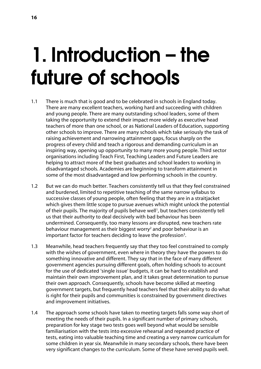### <span id="page-18-0"></span>1. Introduction – the future of schools

- 1.1 There is much that is good and to be celebrated in schools in England today. There are many excellent teachers, working hard and succeeding with children and young people. There are many outstanding school leaders, some of them taking the opportunity to extend their impact more widely as executive head teachers of more than one school, or as National Leaders of Education, supporting other schools to improve. There are many schools which take seriously the task of raising achievement and narrowing attainment gaps, focus sharply on the progress of every child and teach a rigorous and demanding curriculum in an inspiring way, opening up opportunity to many more young people. Third sector organisations including Teach First, Teaching Leaders and Future Leaders are helping to attract more of the best graduates and school leaders to working in disadvantaged schools. Academies are beginning to transform attainment in some of the most disadvantaged and low performing schools in the country.
- 1.2 But we can do much better. Teachers consistently tell us that they feel constrained and burdened, limited to repetitive teaching of the same narrow syllabus to successive classes of young people, often feeling that they are in a straitjacket which gives them little scope to pursue avenues which might unlock the potential of their pupils. The majority of pupils behave well<sup>1</sup>, but teachers consistently tell us that their authority to deal decisively with bad behaviour has been undermined. Consequently, too many lessons are disrupted, new teachers rate behaviour management as their biggest worry<sup>2</sup> and poor behaviour is an important factor for teachers deciding to leave the profession<sup>3</sup>.
- 1.3 Meanwhile, head teachers frequently say that they too feel constrained to comply with the wishes of government, even where in theory they have the powers to do something innovative and different. They say that in the face of many different government agencies pursuing different goals, often holding schools to account for the use of dedicated 'single issue' budgets, it can be hard to establish and maintain their own improvement plan, and it takes great determination to pursue their own approach. Consequently, schools have become skilled at meeting government targets, but frequently head teachers feel that their ability to do what is right for their pupils and communities is constrained by government directives and improvement initiatives.
- 1.4 The approach some schools have taken to meeting targets falls some way short of meeting the needs of their pupils. In a significant number of primary schools, preparation for key stage two tests goes well beyond what would be sensible familiarisation with the tests into excessive rehearsal and repeated practice of tests, eating into valuable teaching time and creating a very narrow curriculum for some children in year six. Meanwhile in many secondary schools, there have been very significant changes to the curriculum. Some of these have served pupils well.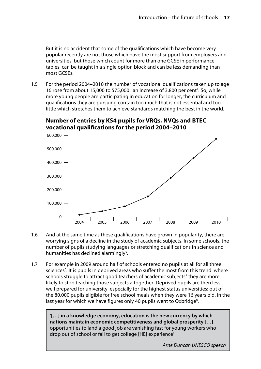But it is no accident that some of the qualifications which have become very popular recently are not those which have the most support from employers and universities, but those which count for more than one GCSE in performance tables, can be taught in a single option block and can be less demanding than most GCSEs.

1.5 For the period 2004–2010 the number of vocational qualifications taken up to age 16 rose from about 15,000 to 575,000: an increase of 3,800 per cent<sup>4</sup>. So, while more young people are participating in education for longer, the curriculum and qualifications they are pursuing contain too much that is not essential and too little which stretches them to achieve standards matching the best in the world.

#### **Number of entries by KS4 pupils for VRQs, NVQs and BTEC vocational qualifications for the period 2004–2010**



- 1.6 And at the same time as these qualifications have grown in popularity, there are worrying signs of a decline in the study of academic subjects. In some schools, the number of pupils studying languages or stretching qualifications in science and humanities has declined alarmingly<sup>5</sup>.
- 1.7 For example in 2009 around half of schools entered no pupils at all for all three sciences<sup>6</sup>. It is pupils in deprived areas who suffer the most from this trend: where schools struggle to attract good teachers of academic subjects<sup>7</sup> they are more likely to stop teaching those subjects altogether. Deprived pupils are then less well prepared for university, especially for the highest status universities: out of the 80,000 pupils eligible for free school meals when they were 16 years old, in the last year for which we have figures only 40 pupils went to Oxbridge<sup>8</sup>.

'**[…] in a knowledge economy, education is the new currency by which nations maintain economic competitiveness and global prosperity […]** opportunities to land a good job are vanishing fast for young workers who drop out of school or fail to get college [HE] experience'

*Arne Duncan UNESCO speech*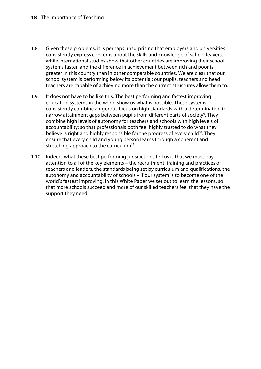- 1.8 Given these problems, it is perhaps unsurprising that employers and universities consistently express concerns about the skills and knowledge of school leavers, while international studies show that other countries are improving their school systems faster, and the difference in achievement between rich and poor is greater in this country than in other comparable countries. We are clear that our school system is performing below its potential: our pupils, teachers and head teachers are capable of achieving more than the current structures allow them to.
- 1.9 It does not have to be like this. The best performing and fastest improving education systems in the world show us what is possible. These systems consistently combine a rigorous focus on high standards with a determination to narrow attainment gaps between pupils from different parts of society<sup>9</sup>. They combine high levels of autonomy for teachers and schools with high levels of accountability: so that professionals both feel highly trusted to do what they believe is right and highly responsible for the progress of every child<sup>10</sup>. They ensure that every child and young person learns through a coherent and stretching approach to the curriculum<sup>11</sup>.
- 1.10 Indeed, what these best performing jurisdictions tell us is that we must pay attention to all of the key elements – the recruitment, training and practices of teachers and leaders, the standards being set by curriculum and qualifications, the autonomy and accountability of schools – if our system is to become one of the world's fastest improving. In this White Paper we set out to learn the lessons, so that more schools succeed and more of our skilled teachers feel that they have the support they need.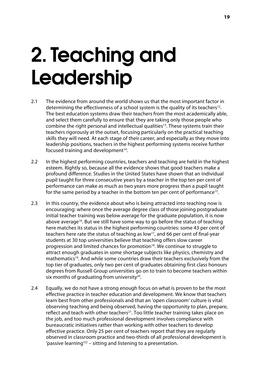# <span id="page-21-0"></span>2. Teaching and Leadership

- 2.1 The evidence from around the world shows us that the most important factor in determining the effectiveness of a school system is the quality of its teachers<sup>12</sup>. The best education systems draw their teachers from the most academically able, and select them carefully to ensure that they are taking only those people who combine the right personal and intellectual qualities<sup>13</sup>. These systems train their teachers rigorously at the outset, focusing particularly on the practical teaching skills they will need. At each stage of their career, and especially as they move into leadership positions, teachers in the highest performing systems receive further focused training and development<sup>14</sup>.
- 2.2 In the highest performing countries, teachers and teaching are held in the highest esteem. Rightly so, because all the evidence shows that good teachers make a profound difference. Studies in the United States have shown that an individual pupil taught for three consecutive years by a teacher in the top ten per cent of performance can make as much as two years more progress than a pupil taught for the same period by a teacher in the bottom ten per cent of performance<sup>15</sup>.
- 2.3 In this country, the evidence about who is being attracted into teaching now is encouraging: where once the average degree class of those joining postgraduate initial teacher training was below average for the graduate population, it is now above average<sup>16</sup>. But we still have some way to go before the status of teaching here matches its status in the highest performing countries: some 43 per cent of teachers here rate the status of teaching as  $\text{low}^{17}$ , and 66 per cent of final-year students at 30 top universities believe that teaching offers slow career progression and limited chances for promotion<sup>18</sup>. We continue to struggle to attract enough graduates in some shortage subjects like physics, chemistry and mathematics<sup>19</sup>. And while some countries draw their teachers exclusively from the top tier of graduates, only two per cent of graduates obtaining first class honours degrees from Russell Group universities go on to train to become teachers within six months of graduating from university $20$ .
- 2.4 Equally, we do not have a strong enough focus on what is proven to be the most effective practice in teacher education and development. We know that teachers learn best from other professionals and that an 'open classroom' culture is vital: observing teaching and being observed, having the opportunity to plan, prepare, reflect and teach with other teachers<sup>21</sup>. Too little teacher training takes place on the job, and too much professional development involves compliance with bureaucratic initiatives rather than working with other teachers to develop effective practice. Only 25 per cent of teachers report that they are regularly observed in classroom practice and two-thirds of all professional development is 'passive learning'22 – sitting and listening to a presentation.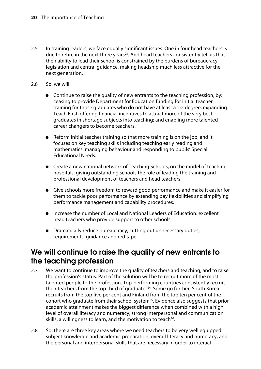- 2.5 In training leaders, we face equally significant issues. One in four head teachers is due to retire in the next three years<sup>23</sup>. And head teachers consistently tell us that their ability to lead their school is constrained by the burdens of bureaucracy, legislation and central guidance, making headship much less attractive for the next generation.
- 2.6 So, we will:
	- Continue to raise the quality of new entrants to the teaching profession, by: ceasing to provide Department for Education funding for initial teacher training for those graduates who do not have at least a 2:2 degree, expanding Teach First: offering financial incentives to attract more of the very best graduates in shortage subjects into teaching; and enabling more talented career changers to become teachers.
	- Reform initial teacher training so that more training is on the job, and it focuses on key teaching skills including teaching early reading and mathematics, managing behaviour and responding to pupils' Special Educational Needs.
	- Create a new national network of Teaching Schools, on the model of teaching hospitals, giving outstanding schools the role of leading the training and professional development of teachers and head teachers.
	- Give schools more freedom to reward good performance and make it easier for them to tackle poor performance by extending pay flexibilities and simplifying performance management and capability procedures.
	- Increase the number of Local and National Leaders of Education: excellent head teachers who provide support to other schools.
	- Dramatically reduce bureaucracy, cutting out unnecessary duties, requirements, guidance and red tape.

#### We will continue to raise the quality of new entrants to the teaching profession

- 2.7 We want to continue to improve the quality of teachers and teaching, and to raise the profession's status. Part of the solution will be to recruit more of the most talented people to the profession. Top-performing countries consistently recruit their teachers from the top third of graduates<sup>24</sup>. Some go further: South Korea recruits from the top five per cent and Finland from the top ten per cent of the cohort who graduate from their school system25. Evidence also suggests that prior academic attainment makes the biggest difference when combined with a high level of overall literacy and numeracy, strong interpersonal and communication skills, a willingness to learn, and the motivation to teach<sup>26</sup>.
- 2.8 So, there are three key areas where we need teachers to be very well equipped: subject knowledge and academic preparation, overall literacy and numeracy, and the personal and interpersonal skills that are necessary in order to interact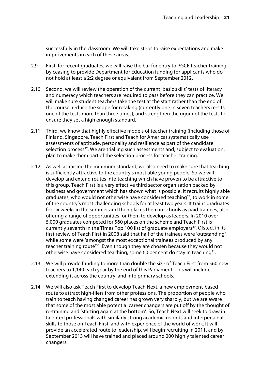successfully in the classroom. We will take steps to raise expectations and make improvements in each of these areas.

- 2.9 First, for recent graduates, we will raise the bar for entry to PGCE teacher training by ceasing to provide Department for Education funding for applicants who do not hold at least a 2:2 degree or equivalent from September 2012.
- 2.10 Second, we will review the operation of the current 'basic skills' tests of literacy and numeracy which teachers are required to pass before they can practice. We will make sure student teachers take the test at the start rather than the end of the course, reduce the scope for retaking (currently one in seven teachers re-sits one of the tests more than three times), and strengthen the rigour of the tests to ensure they set a high enough standard.
- 2.11 Third, we know that highly effective models of teacher training (including those of Finland, Singapore, Teach First and Teach for America) systematically use assessments of aptitude, personality and resilience as part of the candidate selection process<sup>27</sup>. We are trialling such assessments and, subject to evaluation, plan to make them part of the selection process for teacher training.
- 2.12 As well as raising the minimum standard, we also need to make sure that teaching is sufficiently attractive to the country's most able young people. So we will develop and extend routes into teaching which have proven to be attractive to this group. Teach First is a very effective third sector organisation backed by business and government which has shown what is possible. It recruits highly able graduates, who would not otherwise have considered teaching<sup>28</sup>, to work in some of the country's most challenging schools for at least two years. It trains graduates for six weeks in the summer and then places them in schools as paid trainees, also offering a range of opportunities for them to develop as leaders. In 2010 over 5,000 graduates competed for 560 places on the scheme and Teach First is currently seventh in the Times Top 100 list of graduate employers<sup>39</sup>. Ofsted, in its first review of Teach First in 2008 said that half of the trainees were 'outstanding' while some were 'amongst the most exceptional trainees produced by any teacher training route'30. Even though they are chosen because they would not otherwise have considered teaching, some 60 per cent do stay in teaching<sup>31</sup>.
- 2.13 We will provide funding to more than double the size of Teach First from 560 new teachers to 1,140 each year by the end of this Parliament. This will include extending it across the country, and into primary schools.
- 2.14 We will also ask Teach First to develop Teach Next, a new employment-based route to attract high-fliers from other professions. The proportion of people who train to teach having changed career has grown very sharply, but we are aware that some of the most able potential career changers are put off by the thought of re-training and 'starting again at the bottom'. So, Teach Next will seek to draw in talented professionals with similarly strong academic records and interpersonal skills to those on Teach First, and with experience of the world of work. It will provide an accelerated route to leadership, will begin recruiting in 2011, and by September 2013 will have trained and placed around 200 highly talented career changers.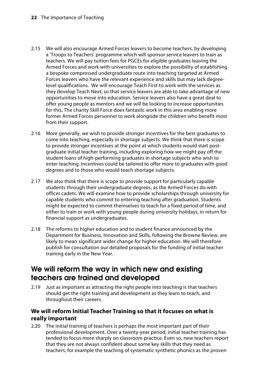- 2.15 We will also encourage Armed Forces leavers to become teachers, by developing a 'Troops to Teachers' programme which will sponsor service leavers to train as teachers. We will pay tuition fees for PGCEs for eligible graduates leaving the Armed Forces and work with universities to explore the possibility of establishing a bespoke compressed undergraduate route into teaching targeted at Armed Forces leavers who have the relevant experience and skills but may lack degreelevel qualifications. We will encourage Teach First to work with the services as they develop Teach Next, so that service leavers are able to take advantage of new opportunities to move into education. Service leavers also have a great deal to offer young people as mentors and we will be looking to increase opportunities for this. The charity Skill Force does fantastic work in this area enabling more former Armed Forces personnel to work alongside the children who benefit most from their support.
- 2.16 More generally, we wish to provide stronger incentives for the best graduates to come into teaching, especially in shortage subjects. We think that there is scope to provide stronger incentives at the point at which students would start postgraduate initial teacher training, including exploring how we might pay off the student loans of high-performing graduates in shortage subjects who wish to enter teaching. Incentives could be tailored to offer more to graduates with good degrees and to those who would teach shortage subjects.
- 2.17 We also think that there is scope to provide support for particularly capable students through their undergraduate degrees, as the Armed Forces do with officer cadets. We will examine how to provide scholarships through university for capable students who commit to entering teaching after graduation. Students might be expected to commit themselves to teach for a fixed period of time, and either to train or work with young people during university holidays, in return for financial support as undergraduates.
- 2.18 The reforms to higher education and to student finance announced by the Department for Business, Innovation and Skills, following the Browne Review, are likely to mean significant wider change for higher education. We will therefore publish for consultation our detailed proposals for the funding of initial teacher training early in the New Year.

#### We will reform the way in which new and existing teachers are trained and developed

2.19 Just as important as attracting the right people into teaching is that teachers should get the right training and development as they learn to teach, and throughout their careers.

#### **We will reform Initial Teacher Training so that it focuses on what is really important**

2.20 The initial training of teachers is perhaps the most important part of their professional development. Over a twenty-year period, initial teacher training has tended to focus more sharply on classroom practice. Even so, new teachers report that they are not always confident about some key skills that they need as teachers, for example the teaching of systematic synthetic phonics as the proven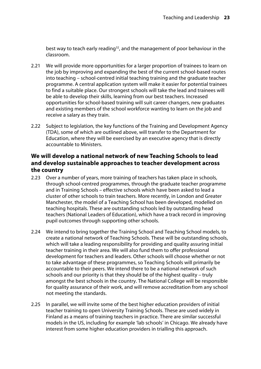best way to teach early reading<sup>32</sup>, and the management of poor behaviour in the classroom.

- 2.21 We will provide more opportunities for a larger proportion of trainees to learn on the job by improving and expanding the best of the current school-based routes into teaching – school-centred initial teaching training and the graduate teacher programme. A central application system will make it easier for potential trainees to find a suitable place. Our strongest schools will take the lead and trainees will be able to develop their skills, learning from our best teachers. Increased opportunities for school-based training will suit career changers, new graduates and existing members of the school workforce wanting to learn on the job and receive a salary as they train.
- 2.22 Subject to legislation, the key functions of the Training and Development Agency (TDA), some of which are outlined above, will transfer to the Department for Education, where they will be exercised by an executive agency that is directly accountable to Ministers.

#### **We will develop a national network of new Teaching Schools to lead and develop sustainable approaches to teacher development across the country**

- 2.23 Over a number of years, more training of teachers has taken place in schools, through school-centred programmes, through the graduate teacher programme and in Training Schools – effective schools which have been asked to lead a cluster of other schools to train teachers. More recently, in London and Greater Manchester, the model of a Teaching School has been developed, modelled on teaching hospitals. These are outstanding schools led by outstanding head teachers (National Leaders of Education), which have a track record in improving pupil outcomes through supporting other schools.
- 2.24 We intend to bring together the Training School and Teaching School models, to create a national network of Teaching Schools. These will be outstanding schools, which will take a leading responsibility for providing and quality assuring initial teacher training in their area. We will also fund them to offer professional development for teachers and leaders. Other schools will choose whether or not to take advantage of these programmes, so Teaching Schools will primarily be accountable to their peers. We intend there to be a national network of such schools and our priority is that they should be of the highest quality – truly amongst the best schools in the country. The National College will be responsible for quality assurance of their work, and will remove accreditation from any school not meeting the standards.
- 2.25 In parallel, we will invite some of the best higher education providers of initial teacher training to open University Training Schools. These are used widely in Finland as a means of training teachers in practice. There are similar successful models in the US, including for example 'lab schools' in Chicago. We already have interest from some higher education providers in trialling this approach.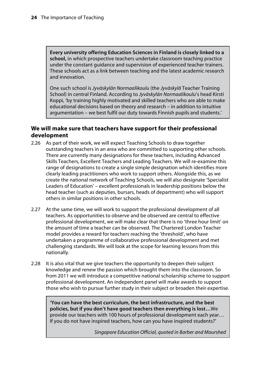**Every university offering Education Sciences in Finland is closely linked to a school,** in which prospective teachers undertake classroom teaching practice under the constant guidance and supervision of experienced teacher trainers. These schools act as a link between teaching and the latest academic research and innovation.

One such school is *Jyväskylän Normaalikoulu* (the *Jyväskylä* Teacher Training School) in central Finland. According to *Jyväskylän Normaalikoulu*'s head Kirsti Koppi, 'by training highly motivated and skilled teachers who are able to make educational decisions based on theory and research – in addition to intuitive argumentation – we best fulfil our duty towards Finnish pupils and students.'

#### **We will make sure that teachers have support for their professional development**

- 2.26 As part of their work, we will expect Teaching Schools to draw together outstanding teachers in an area who are committed to supporting other schools. There are currently many designations for these teachers, including Advanced Skills Teachers, Excellent Teachers and Leading Teachers. We will re-examine this range of designations to create a single simple designation which identifies more clearly leading practitioners who work to support others. Alongside this, as we create the national network of Teaching Schools, we will also designate 'Specialist Leaders of Education' – excellent professionals in leadership positions below the head teacher (such as deputies, bursars, heads of department) who will support others in similar positions in other schools.
- 2.27 At the same time, we will work to support the professional development of all teachers. As opportunities to observe and be observed are central to effective professional development, we will make clear that there is no 'three hour limit' on the amount of time a teacher can be observed. The Chartered London Teacher model provides a reward for teachers reaching the 'threshold', who have undertaken a programme of collaborative professional development and met challenging standards. We will look at the scope for learning lessons from this nationally.
- 2.28 It is also vital that we give teachers the opportunity to deepen their subject knowledge and renew the passion which brought them into the classroom. So from 2011 we will introduce a competitive national scholarship scheme to support professional development. An independent panel will make awards to support those who wish to pursue further study in their subject or broaden their expertise.

**'You can have the best curriculum, the best infrastructure, and the best policies, but if you don't have good teachers then everything is lost…**We provide our teachers with 100 hours of professional development each year… If you do not have inspired teachers, how can you have inspired students?'

*Singapore Education Official, quoted in Barber and Mourshed*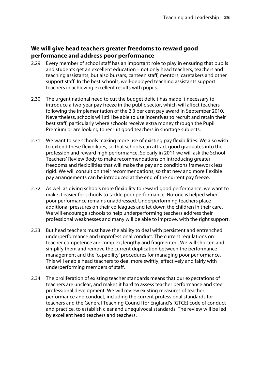#### **We will give head teachers greater freedoms to reward good performance and address poor performance**

- 2.29 Every member of school staff has an important role to play in ensuring that pupils and students get an excellent education – not only head teachers, teachers and teaching assistants, but also bursars, canteen staff, mentors, caretakers and other support staff. In the best schools, well-deployed teaching assistants support teachers in achieving excellent results with pupils.
- 2.30 The urgent national need to cut the budget deficit has made it necessary to introduce a two-year pay freeze in the public sector, which will affect teachers following the implementation of the 2.3 per cent pay award in September 2010. Nevertheless, schools will still be able to use incentives to recruit and retain their best staff, particularly where schools receive extra money through the Pupil Premium or are looking to recruit good teachers in shortage subjects.
- 2.31 We want to see schools making more use of existing pay flexibilities. We also wish to extend these flexibilities, so that schools can attract good graduates into the profession and reward high performance. So early in 2011 we will ask the School Teachers' Review Body to make recommendations on introducing greater freedoms and flexibilities that will make the pay and conditions framework less rigid. We will consult on their recommendations, so that new and more flexible pay arrangements can be introduced at the end of the current pay freeze.
- 2.32 As well as giving schools more flexibility to reward good performance, we want to make it easier for schools to tackle poor performance. No-one is helped when poor performance remains unaddressed. Underperforming teachers place additional pressures on their colleagues and let down the children in their care. We will encourage schools to help underperforming teachers address their professional weaknesses and many will be able to improve, with the right support.
- 2.33 But head teachers must have the ability to deal with persistent and entrenched underperformance and unprofessional conduct. The current regulations on teacher competence are complex, lengthy and fragmented. We will shorten and simplify them and remove the current duplication between the performance management and the 'capability' procedures for managing poor performance. This will enable head teachers to deal more swiftly, effectively and fairly with underperforming members of staff.
- 2.34 The proliferation of existing teacher standards means that our expectations of teachers are unclear, and makes it hard to assess teacher performance and steer professional development. We will review existing measures of teacher performance and conduct, including the current professional standards for teachers and the General Teaching Council for England's (GTCE) code of conduct and practice, to establish clear and unequivocal standards. The review will be led by excellent head teachers and teachers.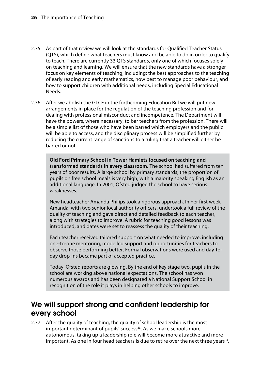- 2.35 As part of that review we will look at the standards for Qualified Teacher Status (QTS), which define what teachers must know and be able to do in order to qualify to teach. There are currently 33 QTS standards, only one of which focuses solely on teaching and learning. We will ensure that the new standards have a stronger focus on key elements of teaching, including: the best approaches to the teaching of early reading and early mathematics, how best to manage poor behaviour, and how to support children with additional needs, including Special Educational Needs.
- 2.36 After we abolish the GTCE in the forthcoming Education Bill we will put new arrangements in place for the regulation of the teaching profession and for dealing with professional misconduct and incompetence. The Department will have the powers, where necessary, to bar teachers from the profession. There will be a simple list of those who have been barred which employers and the public will be able to access, and the disciplinary process will be simplified further by reducing the current range of sanctions to a ruling that a teacher will either be barred or not.

**Old Ford Primary School in Tower Hamlets focused on teaching and transformed standards in every classroom.** The school had suffered from ten years of poor results. A large school by primary standards, the proportion of pupils on free school meals is very high, with a majority speaking English as an additional language. In 2001, Ofsted judged the school to have serious weaknesses.

New headteacher Amanda Philips took a rigorous approach. In her first week Amanda, with two senior local authority officers, undertook a full review of the quality of teaching and gave direct and detailed feedback to each teacher, along with strategies to improve. A rubric for teaching good lessons was introduced, and dates were set to reassess the quality of their teaching.

Each teacher received tailored support on what needed to improve, including one-to-one mentoring, modelled support and opportunities for teachers to observe those performing better. Formal observations were used and day-today drop-ins became part of accepted practice.

Today, Ofsted reports are glowing. By the end of key stage two, pupils in the school are working above national expectations. The school has won numerous awards and has been designated a National Support School in recognition of the role it plays in helping other schools to improve.

#### We will support strong and confident leadership for every school

2.37 After the quality of teaching, the quality of school leadership is the most important determinant of pupils' success<sup>33</sup>. As we make schools more autonomous, taking up a leadership role will become more attractive and more important. As one in four head teachers is due to retire over the next three years $34$ ,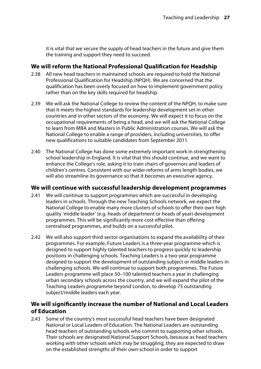it is vital that we secure the supply of head teachers in the future and give them the training and support they need to succeed.

#### **We will reform the National Professional Qualification for Headship**

- 2.38 All new head teachers in maintained schools are required to hold the National Professional Qualification for Headship (NPQH). We are concerned that the qualification has been overly focused on how to implement government policy rather than on the key skills required for headship.
- 2.39 We will ask the National College to review the content of the NPQH, to make sure that it meets the highest standards for leadership development set in other countries and in other sectors of the economy. We will expect it to focus on the occupational requirements of being a head, and we will ask the National College to learn from MBA and Masters in Public Administration courses. We will ask the National College to enable a range of providers, including universities, to offer new qualifications to suitable candidates from September 2011.
- 2.40 The National College has done some extremely important work in strengthening school leadership in England. It is vital that this should continue, and we want to enhance the College's role, asking it to train chairs of governors and leaders of children's centres. Consistent with our wider reforms of arms length bodies, we will also streamline its governance so that it becomes an executive agency.

#### **We will continue with successful leadership development programmes**

- 2.41 We will continue to support programmes which are successful in developing leaders in schools. Through the new Teaching Schools network, we expect the National College to enable many more clusters of schools to offer their own high quality 'middle leader' (e.g. heads of department or heads of year) development programmes. This will be significantly more cost effective than offering centralised programmes, and builds on a successful pilot.
- 2.42 We will also support third sector organisations to expand the availability of their programmes. For example, Future Leaders is a three-year programme which is designed to support highly talented teachers to progress quickly to leadership positions in challenging schools. Teaching Leaders is a two-year programme designed to support the development of outstanding subject or middle leaders in challenging schools. We will continue to support both programmes. The Future Leaders programme will place 50–100 talented teachers a year in challenging urban secondary schools across the country, and we will expand the pilot of the Teaching Leaders programme beyond London, to develop 75 outstanding subject/middle leaders each year.

#### **We will significantly increase the number of National and Local Leaders of Education**

2.43 Some of the country's most successful head teachers have been designated National or Local Leaders of Education. The National Leaders are outstanding head teachers of outstanding schools who commit to supporting other schools. Their schools are designated National Support Schools, because as head teachers working with other schools which may be struggling, they are expected to draw on the established strengths of their own school in order to support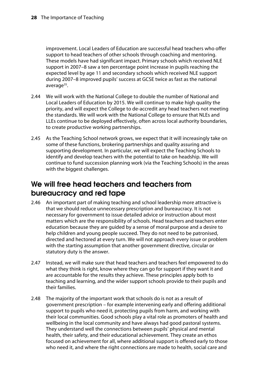improvement. Local Leaders of Education are successful head teachers who offer support to head teachers of other schools through coaching and mentoring. These models have had significant impact. Primary schools which received NLE support in 2007–8 saw a ten percentage point increase in pupils reaching the expected level by age 11 and secondary schools which received NLE support during 2007–8 improved pupils' success at GCSE twice as fast as the national average $35$ .

- 2.44 We will work with the National College to double the number of National and Local Leaders of Education by 2015. We will continue to make high quality the priority, and will expect the College to de-accredit any head teachers not meeting the standards. We will work with the National College to ensure that NLEs and LLEs continue to be deployed effectively, often across local authority boundaries, to create productive working partnerships.
- 2.45 As the Teaching School network grows, we expect that it will increasingly take on some of these functions, brokering partnerships and quality assuring and supporting development. In particular, we will expect the Teaching Schools to identify and develop teachers with the potential to take on headship. We will continue to fund succession planning work (via the Teaching Schools) in the areas with the biggest challenges.

#### We will free head teachers and teachers from bureaucracy and red tape

- 2.46 An important part of making teaching and school leadership more attractive is that we should reduce unnecessary prescription and bureaucracy. It is not necessary for government to issue detailed advice or instruction about most matters which are the responsibility of schools. Head teachers and teachers enter education because they are guided by a sense of moral purpose and a desire to help children and young people succeed. They do not need to be patronised, directed and hectored at every turn. We will not approach every issue or problem with the starting assumption that another government directive, circular or statutory duty is the answer.
- 2.47 Instead, we will make sure that head teachers and teachers feel empowered to do what they think is right, know where they can go for support if they want it and are accountable for the results they achieve. These principles apply both to teaching and learning, and the wider support schools provide to their pupils and their families.
- 2.48 The majority of the important work that schools do is not as a result of government prescription – for example intervening early and offering additional support to pupils who need it, protecting pupils from harm, and working with their local communities. Good schools play a vital role as promoters of health and wellbeing in the local community and have always had good pastoral systems. They understand well the connections between pupils' physical and mental health, their safety, and their educational achievement. They create an ethos focused on achievement for all, where additional support is offered early to those who need it, and where the right connections are made to health, social care and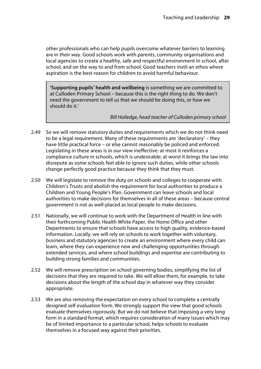other professionals who can help pupils overcome whatever barriers to learning are in their way. Good schools work with parents, community organisations and local agencies to create a healthy, safe and respectful environment in school, after school, and on the way to and from school. Good teachers instil an ethos where aspiration is the best reason for children to avoid harmful behaviour.

**'Supporting pupils' health and wellbeing** is something we are committed to at Culloden Primary School – because this is the right thing to do. We don't need the government to tell us that we should be doing this, or how we should do it.'

*Bill Holledge, head teacher of Culloden primary school*

- 2.49 So we will remove statutory duties and requirements which we do not think need to be a legal requirement. Many of these requirements are 'declaratory' – they have little practical force – or else cannot reasonably be policed and enforced. Legislating in these areas is in our view ineffective: at most it reinforces a compliance culture in schools, which is undesirable; at worst it brings the law into disrepute as some schools feel able to ignore such duties, while other schools change perfectly good practice because they think that they must.
- 2.50 We will legislate to remove the duty on schools and colleges to cooperate with Children's Trusts and abolish the requirement for local authorities to produce a Children and Young People's Plan. Government can leave schools and local authorities to make decisions for themselves in all of these areas – because central government is not as well-placed as local people to make decisions.
- 2.51 Nationally, we will continue to work with the Department of Health in line with their forthcoming Public Health White Paper, the Home Office and other Departments to ensure that schools have access to high quality, evidence-based information. Locally, we will rely on schools to work together with voluntary, business and statutory agencies to create an environment where every child can learn, where they can experience new and challenging opportunities through extended services, and where school buildings and expertise are contributing to building strong families and communities.
- 2.52 We will remove prescription on school governing bodies, simplifying the list of decisions that they are required to take. We will allow them, for example, to take decisions about the length of the school day in whatever way they consider appropriate.
- 2.53 We are also removing the expectation on every school to complete a centrally designed self evaluation form. We strongly support the view that good schools evaluate themselves rigorously. But we do not believe that imposing a very long form in a standard format, which requires consideration of many issues which may be of limited importance to a particular school, helps schools to evaluate themselves in a focused way against their priorities.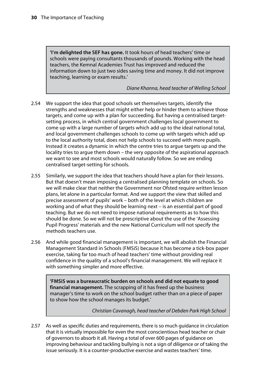**'I'm delighted the SEF has gone.** It took hours of head teachers' time or schools were paying consultants thousands of pounds. Working with the head teachers, the Kemnal Academies Trust has improved and reduced the information down to just two sides saving time and money. It did not improve teaching, learning or exam results.'

*Diane Khanna, head teacher of Welling School*

- 2.54 We support the idea that good schools set themselves targets, identify the strengths and weaknesses that might either help or hinder them to achieve those targets, and come up with a plan for succeeding. But having a centralised targetsetting process, in which central government challenges local government to come up with a large number of targets which add up to the ideal national total, and local government challenges schools to come up with targets which add up to the local authority total, does not help schools to succeed with more pupils. Instead it creates a dynamic in which the centre tries to argue targets up and the locality tries to argue them down – the very opposite of the aspirational approach we want to see and most schools would naturally follow. So we are ending centralised target-setting for schools.
- 2.55 Similarly, we support the idea that teachers should have a plan for their lessons. But that doesn't mean imposing a centralised planning template on schools. So we will make clear that neither the Government nor Ofsted require written lesson plans, let alone in a particular format. And we support the view that skilled and precise assessment of pupils' work – both of the level at which children are working and of what they should be learning next – is an essential part of good teaching. But we do not need to impose national requirements as to how this should be done. So we will not be prescriptive about the use of the 'Assessing Pupil Progress' materials and the new National Curriculum will not specify the methods teachers use.
- 2.56 And while good financial management is important, we will abolish the Financial Management Standard in Schools (FMSiS) because it has become a tick-box paper exercise, taking far too much of head teachers' time without providing real confidence in the quality of a school's financial management. We will replace it with something simpler and more effective.

**'FMSiS was a bureaucratic burden on schools and did not equate to good financial management.** The scrapping of it has freed up the business manager's time to work on the school budget rather than on a piece of paper to show how the school manages its budget.'

*Christian Cavanagh, head teacher of Debden Park High School*

2.57 As well as specific duties and requirements, there is so much guidance in circulation that it is virtually impossible for even the most conscientious head teacher or chair of governors to absorb it all. Having a total of over 600 pages of guidance on improving behaviour and tackling bullying is not a sign of diligence or of taking the issue seriously. It is a counter-productive exercise and wastes teachers' time.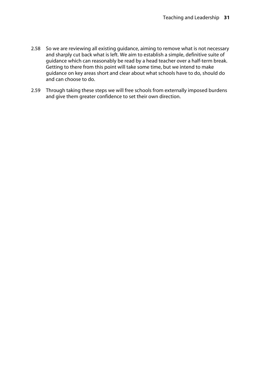- 2.58 So we are reviewing all existing guidance, aiming to remove what is not necessary and sharply cut back what is left. We aim to establish a simple, definitive suite of guidance which can reasonably be read by a head teacher over a half-term break. Getting to there from this point will take some time, but we intend to make guidance on key areas short and clear about what schools have to do, should do and can choose to do.
- 2.59 Through taking these steps we will free schools from externally imposed burdens and give them greater confidence to set their own direction.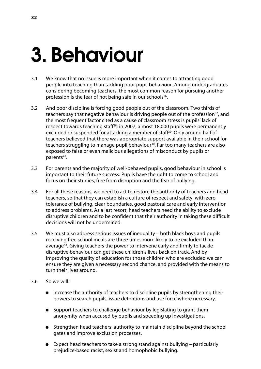# <span id="page-34-0"></span>3. Behaviour

- 3.1 We know that no issue is more important when it comes to attracting good people into teaching than tackling poor pupil behaviour. Among undergraduates considering becoming teachers, the most common reason for pursuing another profession is the fear of not being safe in our schools<sup>36</sup>.
- 3.2 And poor discipline is forcing good people out of the classroom. Two thirds of teachers say that negative behaviour is driving people out of the profession<sup>37</sup>, and the most frequent factor cited as a cause of classroom stress is pupils' lack of respect towards teaching staff<sup>38</sup>: in 2007, almost 18,000 pupils were permanently excluded or suspended for attacking a member of staff<sup>39</sup>. Only around half of teachers believed that there was appropriate support available in their school for teachers struggling to manage pupil behaviour<sup>40</sup>. Far too many teachers are also exposed to false or even malicious allegations of misconduct by pupils or parents<sup>41</sup>.
- 3.3 For parents and the majority of well-behaved pupils, good behaviour in school is important to their future success. Pupils have the right to come to school and focus on their studies, free from disruption and the fear of bullying.
- 3.4 For all these reasons, we need to act to restore the authority of teachers and head teachers, so that they can establish a culture of respect and safety, with zero tolerance of bullying, clear boundaries, good pastoral care and early intervention to address problems. As a last resort, head teachers need the ability to exclude disruptive children and to be confident that their authority in taking these difficult decisions will not be undermined.
- 3.5 We must also address serious issues of inequality both black boys and pupils receiving free school meals are three times more likely to be excluded than average<sup>42</sup>. Giving teachers the power to intervene early and firmly to tackle disruptive behaviour can get these children's lives back on track. And by improving the quality of education for those children who are excluded we can ensure they are given a necessary second chance, and provided with the means to turn their lives around.
- 3.6 So we will:
	- Increase the authority of teachers to discipline pupils by strengthening their powers to search pupils, issue detentions and use force where necessary.
	- Support teachers to challenge behaviour by legislating to grant them anonymity when accused by pupils and speeding up investigations.
	- Strengthen head teachers' authority to maintain discipline beyond the school gates and improve exclusion processes.
	- Expect head teachers to take a strong stand against bullying particularly prejudice-based racist, sexist and homophobic bullying.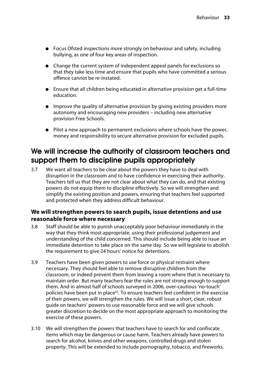- Focus Ofsted inspections more strongly on behaviour and safety, including bullying, as one of four key areas of inspection.
- Change the current system of independent appeal panels for exclusions so that they take less time and ensure that pupils who have committed a serious offence cannot be re-instated.
- Ensure that all children being educated in alternative provision get a full-time education.
- Improve the quality of alternative provision by giving existing providers more autonomy and encouraging new providers – including new alternative provision Free Schools.
- Pilot a new approach to permanent exclusions where schools have the power, money and responsibility to secure alternative provision for excluded pupils.

#### We will increase the authority of classroom teachers and support them to discipline pupils appropriately

3.7 We want all teachers to be clear about the powers they have to deal with disruption in the classroom and to have confidence in exercising their authority. Teachers tell us that they are not clear about what they can do, and that existing powers do not equip them to discipline effectively. So we will strengthen and simplify the existing position and powers, ensuring that teachers feel supported and protected when they address difficult behaviour.

#### **We will strengthen powers to search pupils, issue detentions and use reasonable force where necessary**

- 3.8 Staff should be able to punish unacceptably poor behaviour immediately in the way that they think most appropriate, using their professional judgement and understanding of the child concerned. This should include being able to issue an immediate detention to take place on the same day. So we will legislate to abolish the requirement to give 24 hours' notice for detentions.
- 3.9 Teachers have been given powers to use force or physical restraint where necessary. They should feel able to remove disruptive children from the classroom, or indeed prevent them from leaving a room where that is necessary to maintain order. But many teachers fear the rules are not strong enough to support them. And in almost half of schools surveyed in 2006, over-cautious 'no-touch' policies have been put in place<sup>43</sup>. To ensure teachers feel confident in the exercise of their powers, we will strengthen the rules. We will issue a short, clear, robust guide on teachers' powers to use reasonable force and we will give schools greater discretion to decide on the most appropriate approach to monitoring the exercise of these powers.
- 3.10 We will strengthen the powers that teachers have to search for and confiscate items which may be dangerous or cause harm. Teachers already have powers to search for alcohol, knives and other weapons, controlled drugs and stolen property. This will be extended to include pornography, tobacco, and fireworks.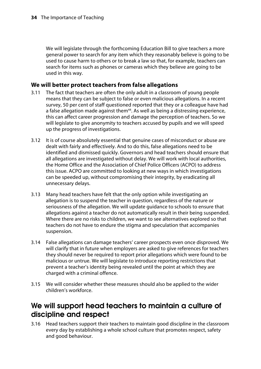We will legislate through the forthcoming Education Bill to give teachers a more general power to search for any item which they reasonably believe is going to be used to cause harm to others or to break a law so that, for example, teachers can search for items such as phones or cameras which they believe are going to be used in this way.

#### **We will better protect teachers from false allegations**

- 3.11 The fact that teachers are often the only adult in a classroom of young people means that they can be subject to false or even malicious allegations. In a recent survey, 50 per cent of staff questioned reported that they or a colleague have had a false allegation made against them<sup>44</sup>. As well as being a distressing experience, this can affect career progression and damage the perception of teachers. So we will legislate to give anonymity to teachers accused by pupils and we will speed up the progress of investigations.
- 3.12 It is of course absolutely essential that genuine cases of misconduct or abuse are dealt with fairly and effectively. And to do this, false allegations need to be identified and dismissed quickly. Governors and head teachers should ensure that all allegations are investigated without delay. We will work with local authorities, the Home Office and the Association of Chief Police Officers (ACPO) to address this issue. ACPO are committed to looking at new ways in which investigations can be speeded up, without compromising their integrity, by eradicating all unnecessary delays.
- 3.13 Many head teachers have felt that the only option while investigating an allegation is to suspend the teacher in question, regardless of the nature or seriousness of the allegation. We will update guidance to schools to ensure that allegations against a teacher do not automatically result in their being suspended. Where there are no risks to children, we want to see alternatives explored so that teachers do not have to endure the stigma and speculation that accompanies suspension.
- 3.14 False allegations can damage teachers' career prospects even once disproved. We will clarify that in future when employers are asked to give references for teachers they should never be required to report prior allegations which were found to be malicious or untrue. We will legislate to introduce reporting restrictions that prevent a teacher's identity being revealed until the point at which they are charged with a criminal offence.
- 3.15 We will consider whether these measures should also be applied to the wider children's workforce.

## We will support head teachers to maintain a culture of discipline and respect

3.16 Head teachers support their teachers to maintain good discipline in the classroom every day by establishing a whole school culture that promotes respect, safety and good behaviour.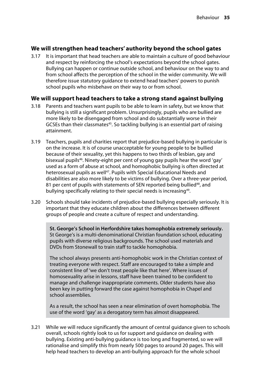#### **We will strengthen head teachers' authority beyond the school gates**

3.17 It is important that head teachers are able to maintain a culture of good behaviour and respect by reinforcing the school's expectations beyond the school gates. Bullying can happen or continue outside school, and behaviour on the way to and from school affects the perception of the school in the wider community. We will therefore issue statutory guidance to extend head teachers' powers to punish school pupils who misbehave on their way to or from school.

#### **We will support head teachers to take a strong stand against bullying**

- 3.18 Parents and teachers want pupils to be able to learn in safety, but we know that bullying is still a significant problem. Unsurprisingly, pupils who are bullied are more likely to be disengaged from school and do substantially worse in their GCSEs than their classmates<sup>45</sup>. So tackling bullying is an essential part of raising attainment.
- 3.19 Teachers, pupils and charities report that prejudice-based bullying in particular is on the increase. It is of course unacceptable for young people to be bullied because of their sexuality, yet this happens to two thirds of lesbian, gay and bisexual pupils<sup>46</sup>. Ninety-eight per cent of young gay pupils hear the word 'gay' used as a form of abuse at school, and homophobic bullying is often directed at heterosexual pupils as well<sup>47</sup>. Pupils with Special Educational Needs and disabilities are also more likely to be victims of bullying. Over a three-year period, 81 per cent of pupils with statements of SEN reported being bullied<sup>48</sup>, and bullying specifically relating to their special needs is increasing<sup>49</sup>.
- 3.20 Schools should take incidents of prejudice-based bullying especially seriously. It is important that they educate children about the differences between different groups of people and create a culture of respect and understanding.

**St. George's School in Herfordshire takes homophobia extremely seriously.** St George's is a multi-denominational Christian foundation school, educating pupils with diverse religious backgrounds. The school used materials and DVDs from Stonewall to train staff to tackle homophobia.

The school always presents anti-homophobic work in the Christian context of treating everyone with respect. Staff are encouraged to take a simple and consistent line of 'we don't treat people like that here'. Where issues of homosexuality arise in lessons, staff have been trained to be confident to manage and challenge inappropriate comments. Older students have also been key in putting forward the case against homophobia in Chapel and school assemblies.

As a result, the school has seen a near elimination of overt homophobia. The use of the word 'gay' as a derogatory term has almost disappeared.

3.21 While we will reduce significantly the amount of central guidance given to schools overall, schools rightly look to us for support and guidance on dealing with bullying. Existing anti-bullying guidance is too long and fragmented, so we will rationalise and simplify this from nearly 500 pages to around 20 pages. This will help head teachers to develop an anti-bullying approach for the whole school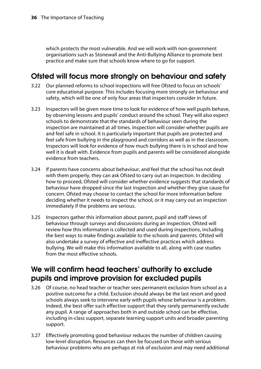which protects the most vulnerable. And we will work with non-government organisations such as Stonewall and the Anti-Bullying Alliance to promote best practice and make sure that schools know where to go for support.

## Ofsted will focus more strongly on behaviour and safety

- 3.22 Our planned reforms to school inspections will free Ofsted to focus on schools' core educational purpose. This includes focusing more strongly on behaviour and safety, which will be one of only four areas that inspectors consider in future.
- 3.23 Inspectors will be given more time to look for evidence of how well pupils behave, by observing lessons and pupils' conduct around the school. They will also expect schools to demonstrate that the standards of behaviour seen during the inspection are maintained at all times. Inspection will consider whether pupils are and feel safe in school. It is particularly important that pupils are protected and feel safe from bullying in the playground and corridors as well as in the classroom. Inspectors will look for evidence of how much bullying there is in school and how well it is dealt with. Evidence from pupils and parents will be considered alongside evidence from teachers.
- 3.24 If parents have concerns about behaviour, and feel that the school has not dealt with them properly, they can ask Ofsted to carry out an inspection. In deciding how to proceed, Ofsted will consider whether evidence suggests that standards of behaviour have dropped since the last inspection and whether they give cause for concern. Ofsted may choose to contact the school for more information before deciding whether it needs to inspect the school, or it may carry out an inspection immediately if the problems are serious.
- 3.25 Inspectors gather this information about parent, pupil and staff views of behaviour through surveys and discussions during an inspection. Ofsted will review how this information is collected and used during inspections, including the best ways to make findings available to the schools and parents. Ofsted will also undertake a survey of effective and ineffective practices which address bullying. We will make this information available to all, along with case studies from the most effective schools.

## We will confirm head teachers' authority to exclude pupils and improve provision for excluded pupils

- 3.26 Of course, no head teacher or teacher sees permanent exclusion from school as a positive outcome for a child. Exclusion should always be the last resort and good schools always seek to intervene early with pupils whose behaviour is a problem. Indeed, the best offer such effective support that they rarely permanently exclude any pupil. A range of approaches both in and outside school can be effective, including in-class support, separate learning support units and broader parenting support.
- 3.27 Effectively promoting good behaviour reduces the number of children causing low-level disruption. Resources can then be focused on those with serious behaviour problems who are perhaps at risk of exclusion and may need additional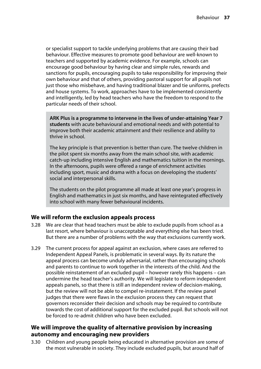or specialist support to tackle underlying problems that are causing their bad behaviour. Effective measures to promote good behaviour are well-known to teachers and supported by academic evidence. For example, schools can encourage good behaviour by having clear and simple rules, rewards and sanctions for pupils, encouraging pupils to take responsibility for improving their own behaviour and that of others, providing pastoral support for all pupils not just those who misbehave, and having traditional blazer and tie uniforms, prefects and house systems. To work, approaches have to be implemented consistently and intelligently, led by head teachers who have the freedom to respond to the particular needs of their school.

**ARK Plus is a programme to intervene in the lives of under-attaining Year 7 students** with acute behavioural and emotional needs and with potential to improve both their academic attainment and their resilience and ability to thrive in school.

The key principle is that prevention is better than cure. The twelve children in the pilot spent six months away from the main school site, with academic catch-up including intensive English and mathematics tuition in the mornings. In the afternoons, pupils were offered a range of enrichment activities including sport, music and drama with a focus on developing the students' social and interpersonal skills.

The students on the pilot programme all made at least one year's progress in English and mathematics in just six months, and have reintegrated effectively into school with many fewer behavioural incidents.

#### **We will reform the exclusion appeals process**

- 3.28 We are clear that head teachers must be able to exclude pupils from school as a last resort, where behaviour is unacceptable and everything else has been tried. But there are a number of problems with the way that exclusions currently work.
- 3.29 The current process for appeal against an exclusion, where cases are referred to Independent Appeal Panels, is problematic in several ways. By its nature the appeal process can become unduly adversarial, rather than encouraging schools and parents to continue to work together in the interests of the child. And the possible reinstatement of an excluded pupil – however rarely this happens – can undermine the head teacher's authority. We will legislate to reform independent appeals panels, so that there is still an independent review of decision-making, but the review will not be able to compel re-instatement. If the review panel judges that there were flaws in the exclusion process they can request that governors reconsider their decision and schools may be required to contribute towards the cost of additional support for the excluded pupil. But schools will not be forced to re-admit children who have been excluded.

#### **We will improve the quality of alternative provision by increasing autonomy and encouraging new providers**

3.30 Children and young people being educated in alternative provision are some of the most vulnerable in society. They include excluded pupils, but around half of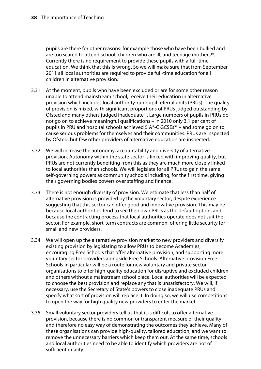pupils are there for other reasons: for example those who have been bullied and are too scared to attend school, children who are ill, and teenage mothers<sup>50</sup>. Currently there is no requirement to provide these pupils with a full-time education. We think that this is wrong. So we will make sure that from September 2011 all local authorities are required to provide full-time education for all children in alternative provision.

- 3.31 At the moment, pupils who have been excluded or are for some other reason unable to attend mainstream school, receive their education in alternative provision which includes local authority-run pupil referral units (PRUs). The quality of provision is mixed, with significant proportions of PRUs judged outstanding by Ofsted and many others judged inadequate<sup>51</sup>. Large numbers of pupils in PRUs do not go on to achieve meaningful qualifications – in 2010 only 3.1 per cent of pupils in PRU and hospital schools achieved 5  $A^*$ -C GCSEs<sup>52</sup> – and some go on to cause serious problems for themselves and their communities. PRUs are inspected by Ofsted, but few other providers of alternative education are inspected.
- 3.32 We will increase the autonomy, accountability and diversity of alternative provision. Autonomy within the state sector is linked with improving quality, but PRUs are not currently benefiting from this as they are much more closely linked to local authorities than schools. We will legislate for all PRUs to gain the same self-governing powers as community schools including, for the first time, giving their governing bodies powers over staffing and finance.
- 3.33 There is not enough diversity of provision. We estimate that less than half of alternative provision is provided by the voluntary sector, despite experience suggesting that this sector can offer good and innovative provision. This may be because local authorities tend to see their own PRUs as the default option, and because the contracting process that local authorities operate does not suit the sector. For example, short-term contracts are common, offering little security for small and new providers.
- 3.34 We will open up the alternative provision market to new providers and diversify existing provision by legislating to allow PRUs to become Academies, encouraging Free Schools that offer alternative provision, and supporting more voluntary sector providers alongside Free Schools. Alternative provision Free Schools in particular will be a route for new voluntary and private sector organisations to offer high‑quality education for disruptive and excluded children and others without a mainstream school place. Local authorities will be expected to choose the best provision and replace any that is unsatisfactory. We will, if necessary, use the Secretary of State's powers to close inadequate PRUs and specify what sort of provision will replace it. In doing so, we will use competitions to open the way for high quality new providers to enter the market.
- 3.35 Small voluntary sector providers tell us that it is difficult to offer alternative provision, because there is no common or transparent measure of their quality and therefore no easy way of demonstrating the outcomes they achieve. Many of these organisations can provide high‑quality, tailored education, and we want to remove the unnecessary barriers which keep them out. At the same time, schools and local authorities need to be able to identify which providers are not of sufficient quality.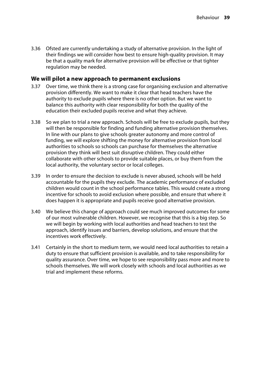3.36 Ofsted are currently undertaking a study of alternative provision. In the light of their findings we will consider how best to ensure high-quality provision. It may be that a quality mark for alternative provision will be effective or that tighter regulation may be needed.

#### **We will pilot a new approach to permanent exclusions**

- 3.37 Over time, we think there is a strong case for organising exclusion and alternative provision differently. We want to make it clear that head teachers have the authority to exclude pupils where there is no other option. But we want to balance this authority with clear responsibility for both the quality of the education their excluded pupils receive and what they achieve.
- 3.38 So we plan to trial a new approach. Schools will be free to exclude pupils, but they will then be responsible for finding and funding alternative provision themselves. In line with our plans to give schools greater autonomy and more control of funding, we will explore shifting the money for alternative provision from local authorities to schools so schools can purchase for themselves the alternative provision they think will best suit disruptive children. They could either collaborate with other schools to provide suitable places, or buy them from the local authority, the voluntary sector or local colleges.
- 3.39 In order to ensure the decision to exclude is never abused, schools will be held accountable for the pupils they exclude. The academic performance of excluded children would count in the school performance tables. This would create a strong incentive for schools to avoid exclusion where possible, and ensure that where it does happen it is appropriate and pupils receive good alternative provision.
- 3.40 We believe this change of approach could see much improved outcomes for some of our most vulnerable children. However, we recognise that this is a big step. So we will begin by working with local authorities and head teachers to test the approach, identify issues and barriers, develop solutions, and ensure that the incentives work effectively.
- 3.41 Certainly in the short to medium term, we would need local authorities to retain a duty to ensure that sufficient provision is available, and to take responsibility for quality assurance. Over time, we hope to see responsibility pass more and more to schools themselves. We will work closely with schools and local authorities as we trial and implement these reforms.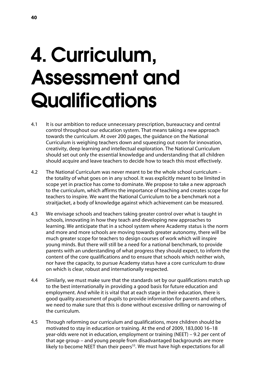## 4. Curriculum, Assessment and **Qualifications**

- 4.1 It is our ambition to reduce unnecessary prescription, bureaucracy and central control throughout our education system. That means taking a new approach towards the curriculum. At over 200 pages, the guidance on the National Curriculum is weighing teachers down and squeezing out room for innovation, creativity, deep learning and intellectual exploration. The National Curriculum should set out only the essential knowledge and understanding that all children should acquire and leave teachers to decide how to teach this most effectively.
- 4.2 The National Curriculum was never meant to be the whole school curriculum the totality of what goes on in any school. It was explicitly meant to be limited in scope yet in practice has come to dominate. We propose to take a new approach to the curriculum, which affirms the importance of teaching and creates scope for teachers to inspire. We want the National Curriculum to be a benchmark not a straitjacket, a body of knowledge against which achievement can be measured.
- 4.3 We envisage schools and teachers taking greater control over what is taught in schools, innovating in how they teach and developing new approaches to learning. We anticipate that in a school system where Academy status is the norm and more and more schools are moving towards greater autonomy, there will be much greater scope for teachers to design courses of work which will inspire young minds. But there will still be a need for a national benchmark, to provide parents with an understanding of what progress they should expect, to inform the content of the core qualifications and to ensure that schools which neither wish, nor have the capacity, to pursue Academy status have a core curriculum to draw on which is clear, robust and internationally respected.
- 4.4 Similarly, we must make sure that the standards set by our qualifications match up to the best internationally in providing a good basis for future education and employment. And while it is vital that at each stage in their education, there is good quality assessment of pupils to provide information for parents and others, we need to make sure that this is done without excessive drilling or narrowing of the curriculum.
- 4.5 Through reforming our curriculum and qualifications, more children should be motivated to stay in education or training. At the end of 2009, 183,000 16–18 year-olds were not in education, employment or training (NEET) – 9.2 per cent of that age group – and young people from disadvantaged backgrounds are more likely to become NEET than their peers<sup>53</sup>. We must have high expectations for all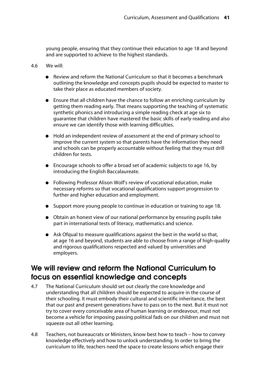young people, ensuring that they continue their education to age 18 and beyond and are supported to achieve to the highest standards.

- 4.6 We will:
	- Review and reform the National Curriculum so that it becomes a benchmark outlining the knowledge and concepts pupils should be expected to master to take their place as educated members of society.
	- Ensure that all children have the chance to follow an enriching curriculum by getting them reading early. That means supporting the teaching of systematic synthetic phonics and introducing a simple reading check at age six to guarantee that children have mastered the basic skills of early reading and also ensure we can identify those with learning difficulties.
	- Hold an independent review of assessment at the end of primary school to improve the current system so that parents have the information they need and schools can be properly accountable without feeling that they must drill children for tests.
	- Encourage schools to offer a broad set of academic subjects to age 16, by introducing the English Baccalaureate.
	- Following Professor Alison Wolf's review of vocational education, make necessary reforms so that vocational qualifications support progression to further and higher education and employment.
	- Support more young people to continue in education or training to age 18.
	- Obtain an honest view of our national performance by ensuring pupils take part in international tests of literacy, mathematics and science.
	- Ask Ofqual to measure qualifications against the best in the world so that, at age 16 and beyond, students are able to choose from a range of high-quality and rigorous qualifications respected and valued by universities and employers.

## We will review and reform the National Curriculum to focus on essential knowledge and concepts

- 4.7 The National Curriculum should set out clearly the core knowledge and understanding that all children should be expected to acquire in the course of their schooling. It must embody their cultural and scientific inheritance, the best that our past and present generations have to pass on to the next. But it must not try to cover every conceivable area of human learning or endeavour, must not become a vehicle for imposing passing political fads on our children and must not squeeze out all other learning.
- 4.8 Teachers, not bureaucrats or Ministers, know best how to teach how to convey knowledge effectively and how to unlock understanding. In order to bring the curriculum to life, teachers need the space to create lessons which engage their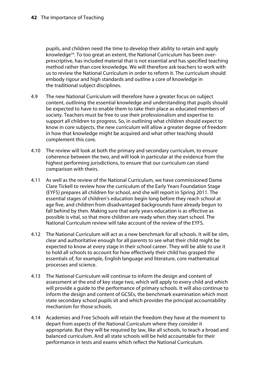pupils, and children need the time to develop their ability to retain and apply knowledge<sup>54</sup>. To too great an extent, the National Curriculum has been overprescriptive, has included material that is not essential and has specified teaching method rather than core knowledge. We will therefore ask teachers to work with us to review the National Curriculum in order to reform it. The curriculum should embody rigour and high standards and outline a core of knowledge in the traditional subject disciplines.

- 4.9 The new National Curriculum will therefore have a greater focus on subject content, outlining the essential knowledge and understanding that pupils should be expected to have to enable them to take their place as educated members of society. Teachers must be free to use their professionalism and expertise to support all children to progress. So, in outlining what children should expect to know in core subjects, the new curriculum will allow a greater degree of freedom in how that knowledge might be acquired and what other teaching should complement this core.
- 4.10 The review will look at both the primary and secondary curriculum, to ensure coherence between the two, and will look in particular at the evidence from the highest performing jurisdictions, to ensure that our curriculum can stand comparison with theirs.
- 4.11 As well as the review of the National Curriculum, we have commissioned Dame Clare Tickell to review how the curriculum of the Early Years Foundation Stage (EYFS) prepares all children for school, and she will report in Spring 2011. The essential stages of children's education begin long before they reach school at age five, and children from disadvantaged backgrounds have already begun to fall behind by then. Making sure that early years education is as effective as possible is vital, so that more children are ready when they start school. The National Curriculum review will take account of the review of the EYFS.
- 4.12 The National Curriculum will act as a new benchmark for all schools. It will be slim, clear and authoritative enough for all parents to see what their child might be expected to know at every stage in their school career. They will be able to use it to hold all schools to account for how effectively their child has grasped the essentials of, for example, English language and literature, core mathematical processes and science.
- 4.13 The National Curriculum will continue to inform the design and content of assessment at the end of key stage two, which will apply to every child and which will provide a guide to the performance of primary schools. It will also continue to inform the design and content of GCSEs, the benchmark examination which most state secondary school pupils sit and which provides the principal accountability mechanism for those schools.
- 4.14 Academies and Free Schools will retain the freedom they have at the moment to depart from aspects of the National Curriculum where they consider it appropriate. But they will be required by law, like all schools, to teach a broad and balanced curriculum. And all state schools will be held accountable for their performance in tests and exams which reflect the National Curriculum.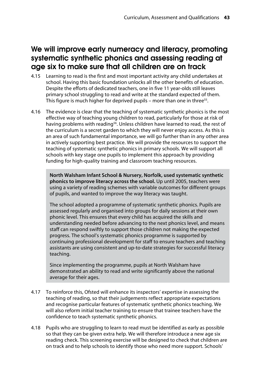## We will improve early numeracy and literacy, promoting systematic synthetic phonics and assessing reading at age six to make sure that all children are on track

- 4.15 Learning to read is the first and most important activity any child undertakes at school. Having this basic foundation unlocks all the other benefits of education. Despite the efforts of dedicated teachers, one in five 11 year-olds still leaves primary school struggling to read and write at the standard expected of them. This figure is much higher for deprived pupils – more than one in three<sup>55</sup>.
- 4.16 The evidence is clear that the teaching of systematic synthetic phonics is the most effective way of teaching young children to read, particularly for those at risk of having problems with reading<sup>56</sup>. Unless children have learned to read, the rest of the curriculum is a secret garden to which they will never enjoy access. As this is an area of such fundamental importance, we will go further than in any other area in actively supporting best practice. We will provide the resources to support the teaching of systematic synthetic phonics in primary schools. We will support all schools with key stage one pupils to implement this approach by providing funding for high-quality training and classroom teaching resources.

**North Walsham Infant School & Nursery, Norfolk, used systematic synthetic phonics to improve literacy across the school.** Up until 2005, teachers were using a variety of reading schemes with variable outcomes for different groups of pupils, and wanted to improve the way literacy was taught.

The school adopted a programme of systematic synthetic phonics. Pupils are assessed regularly and organised into groups for daily sessions at their own phonic level. This ensures that every child has acquired the skills and understanding needed before advancing to the next phonics level, and means staff can respond swiftly to support those children not making the expected progress. The school's systematic phonics programme is supported by continuing professional development for staff to ensure teachers and teaching assistants are using consistent and up-to-date strategies for successful literacy teaching.

Since implementing the programme, pupils at North Walsham have demonstrated an ability to read and write significantly above the national average for their ages.

- 4.17 To reinforce this, Ofsted will enhance its inspectors' expertise in assessing the teaching of reading, so that their judgements reflect appropriate expectations and recognise particular features of systematic synthetic phonics teaching. We will also reform initial teacher training to ensure that trainee teachers have the confidence to teach systematic synthetic phonics.
- 4.18 Pupils who are struggling to learn to read must be identified as early as possible so that they can be given extra help. We will therefore introduce a new age six reading check. This screening exercise will be designed to check that children are on track and to help schools to identify those who need more support. Schools'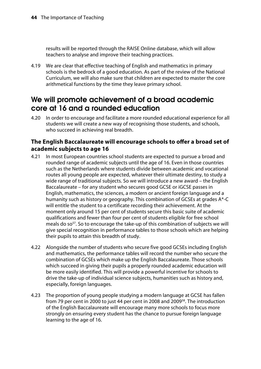results will be reported through the RAISE Online database, which will allow teachers to analyse and improve their teaching practices.

4.19 We are clear that effective teaching of English and mathematics in primary schools is the bedrock of a good education. As part of the review of the National Curriculum, we will also make sure that children are expected to master the core arithmetical functions by the time they leave primary school.

## We will promote achievement of a broad academic core at 16 and a rounded education

4.20 In order to encourage and facilitate a more rounded educational experience for all students we will create a new way of recognising those students, and schools, who succeed in achieving real breadth.

#### **The English Baccalaureate will encourage schools to offer a broad set of academic subjects to age 16**

- 4.21 In most European countries school students are expected to pursue a broad and rounded range of academic subjects until the age of 16. Even in those countries such as the Netherlands where students divide between academic and vocational routes all young people are expected, whatever their ultimate destiny, to study a wide range of traditional subjects. So we will introduce a new award – the English Baccalaureate – for any student who secures good GCSE or iGCSE passes in English, mathematics, the sciences, a modern or ancient foreign language and a humanity such as history or geography. This combination of GCSEs at grades A\*-C will entitle the student to a certificate recording their achievement. At the moment only around 15 per cent of students secure this basic suite of academic qualifications and fewer than four per cent of students eligible for free school meals do so<sup>57</sup>. So to encourage the take-up of this combination of subjects we will give special recognition in performance tables to those schools which are helping their pupils to attain this breadth of study.
- 4.22 Alongside the number of students who secure five good GCSEs including English and mathematics, the performance tables will record the number who secure the combination of GCSEs which make up the English Baccalaureate. Those schools which succeed in giving their pupils a properly rounded academic education will be more easily identified. This will provide a powerful incentive for schools to drive the take-up of individual science subjects, humanities such as history and, especially, foreign languages.
- 4.23 The proportion of young people studying a modern language at GCSE has fallen from 79 per cent in 2000 to just 44 per cent in 2008 and 2009<sup>58</sup>. The introduction of the English Baccalaureate will encourage many more schools to focus more strongly on ensuring every student has the chance to pursue foreign language learning to the age of 16.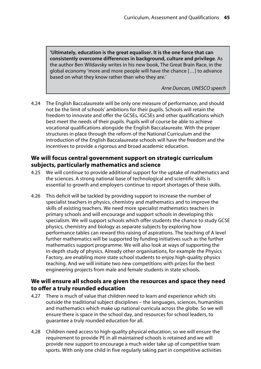**'Ultimately, education is the great equaliser. It is the one force that can consistently overcome differences in background, culture and privilege**. As the author Ben Wildavsky writes in his new book, The Great Brain Race, in the global economy 'more and more people will have the chance […] to advance based on what they know rather than who they are.'

*Arne Duncan, UNESCO speech*

4.24 The English Baccalaureate will be only one measure of performance, and should not be the limit of schools' ambitions for their pupils. Schools will retain the freedom to innovate and offer the GCSEs, iGCSEs and other qualifications which best meet the needs of their pupils. Pupils will of course be able to achieve vocational qualifications alongside the English Baccalaureate. With the proper structures in place through the reform of the National Curriculum and the introduction of the English Baccalaureate schools will have the freedom and the incentives to provide a rigorous and broad academic education.

#### **We will focus central government support on strategic curriculum subjects, particularly mathematics and science**

- 4.25 We will continue to provide additional support for the uptake of mathematics and the sciences. A strong national base of technological and scientific skills is essential to growth and employers continue to report shortages of these skills.
- 4.26 This deficit will be tackled by providing support to increase the number of specialist teachers in physics, chemistry and mathematics and to improve the skills of existing teachers. We need more specialist mathematics teachers in primary schools and will encourage and support schools in developing this specialism. We will support schools which offer students the chance to study GCSE physics, chemistry and biology as separate subjects by exploring how performance tables can reward this raising of aspirations. The teaching of A level further mathematics will be supported by funding initiatives such as the further mathematics support programme. We will also look at ways of supporting the in-depth study of physics. Already other organisations, for example the Physics Factory, are enabling more state school students to enjoy high-quality physics teaching. And we will initiate two new competitions with prizes for the best engineering projects from male and female students in state schools.

#### **We will ensure all schools are given the resources and space they need to offer a truly rounded education**

- 4.27 There is much of value that children need to learn and experience which sits outside the traditional subject disciplines – the languages, sciences, humanities and mathematics which make up national curricula across the globe. So we will ensure there is space in the school day, and resources for school leaders, to guarantee a truly rounded education for all.
- 4.28 Children need access to high-quality physical education, so we will ensure the requirement to provide PE in all maintained schools is retained and we will provide new support to encourage a much wider take up of competitive team sports. With only one child in five regularly taking part in competitive activities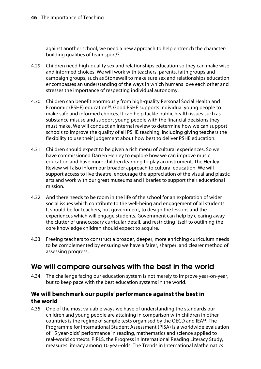against another school, we need a new approach to help entrench the characterbuilding qualities of team sport $59$ .

- 4.29 Children need high-quality sex and relationships education so they can make wise and informed choices. We will work with teachers, parents, faith groups and campaign groups, such as Stonewall to make sure sex and relationships education encompasses an understanding of the ways in which humans love each other and stresses the importance of respecting individual autonomy.
- 4.30 Children can benefit enormously from high-quality Personal Social Health and Economic (PSHE) education<sup>60</sup>. Good PSHE supports individual young people to make safe and informed choices. It can help tackle public health issues such as substance misuse and support young people with the financial decisions they must make. We will conduct an internal review to determine how we can support schools to improve the quality of all PSHE teaching, including giving teachers the flexibility to use their judgement about how best to deliver PSHE education.
- 4.31 Children should expect to be given a rich menu of cultural experiences. So we have commissioned Darren Henley to explore how we can improve music education and have more children learning to play an instrument. The Henley Review will also inform our broader approach to cultural education. We will support access to live theatre, encourage the appreciation of the visual and plastic arts and work with our great museums and libraries to support their educational mission.
- 4.32 And there needs to be room in the life of the school for an exploration of wider social issues which contribute to the well-being and engagement of all students. It should be for teachers, not government, to design the lessons and the experiences which will engage students. Government can help by clearing away the clutter of unnecessary curricular detail, and restricting itself to outlining the core knowledge children should expect to acquire.
- 4.33 Freeing teachers to construct a broader, deeper, more enriching curriculum needs to be complemented by ensuring we have a fairer, sharper, and clearer method of assessing progress.

## We will compare ourselves with the best in the world

4.34 The challenge facing our education system is not merely to improve year-on-year, but to keep pace with the best education systems in the world.

#### **We will benchmark our pupils' performance against the best in the world**

4.35 One of the most valuable ways we have of understanding the standards our children and young people are attaining in comparison with children in other countries is the regime of sample tests organised by the OECD and IEA61. The Programme for International Student Assessment (PISA) is a worldwide evaluation of 15 year-olds' performance in reading, mathematics and science applied to real‑world contexts. PIRLS, the Progress in International Reading Literacy Study, measures literacy among 10 year-olds. The Trends in International Mathematics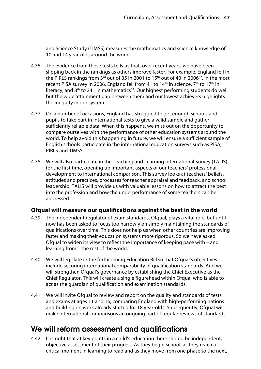and Science Study (TIMSS) measures the mathematics and science knowledge of 10 and 14 year-olds around the world.

- 4.36 The evidence from these tests tells us that, over recent years, we have been slipping back in the rankings as others improve faster. For example, England fell in the PIRLS rankings from  $3^{rd}$  out of 35 in 2001 to 15<sup>th</sup> out of 40 in 2006<sup>62</sup>. In the most recent PISA survey in 2006, England fell from 4<sup>th</sup> to 14<sup>th</sup> in science, 7<sup>th</sup> to 17<sup>th</sup> in literacy, and  $8<sup>th</sup>$  to  $24<sup>th</sup>$  in mathematics<sup>63</sup>. Our highest performing students do well but the wide attainment gap between them and our lowest achievers highlights the inequity in our system.
- 4.37 On a number of occasions, England has struggled to get enough schools and pupils to take part in international tests to give a valid sample and gather sufficiently reliable data. When this happens, we miss out on the opportunity to compare ourselves with the performance of other education systems around the world. To help avoid this happening in future, we will ensure a sufficient sample of English schools participate in the international education surveys such as PISA, PIRLS and TIMSS.
- 4.38 We will also participate in the Teaching and Learning International Survey (TALIS) for the first time, opening up important aspects of our teachers' professional development to international comparison. This survey looks at teachers' beliefs, attitudes and practices, processes for teacher appraisal and feedback, and school leadership. TALIS will provide us with valuable lessons on how to attract the best into the profession and how the underperformance of some teachers can be addressed.

#### **Ofqual will measure our qualifications against the best in the world**

- 4.39 The independent regulator of exam standards, Ofqual, plays a vital role, but until now has been asked to focus too narrowly on simply maintaining the standards of qualifications over time. This does not help us when other countries are improving faster and making their education systems more rigorous. So we have asked Ofqual to widen its view to reflect the importance of keeping pace with – and learning from – the rest of the world.
- 4.40 We will legislate in the forthcoming Education Bill so that Ofqual's objectives include securing international comparability of qualification standards. And we will strengthen Ofqual's governance by establishing the Chief Executive as the Chief Regulator. This will create a single figurehead within Ofqual who is able to act as the guardian of qualification and examination standards.
- 4.41 We will invite Ofqual to review and report on the quality and standards of tests and exams at ages 11 and 16, comparing England with high-performing nations and building on work already started for 18 year-olds. Subsequently, Ofqual will make international comparisons an ongoing part of regular reviews of standards.

## We will reform assessment and qualifications

4.42 It is right that at key points in a child's education there should be independent, objective assessment of their progress. As they begin school, as they reach a critical moment in learning to read and as they move from one phase to the next,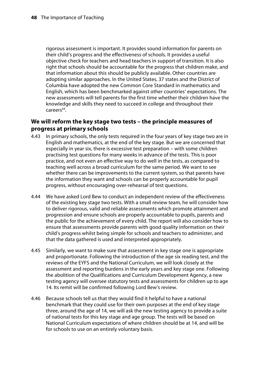rigorous assessment is important. It provides sound information for parents on their child's progress and the effectiveness of schools. It provides a useful objective check for teachers and head teachers in support of transition. It is also right that schools should be accountable for the progress that children make, and that information about this should be publicly available. Other countries are adopting similar approaches. In the United States, 37 states and the District of Columbia have adopted the new Common Core Standard in mathematics and English, which has been benchmarked against other countries' expectations. The new assessments will tell parents for the first time whether their children have the knowledge and skills they need to succeed in college and throughout their  $careers<sup>64</sup>$ .

#### **We will reform the key stage two tests – the principle measures of progress at primary schools**

- 4.43 In primary schools, the only tests required in the four years of key stage two are in English and mathematics, at the end of the key stage. But we are concerned that especially in year six, there is excessive test preparation – with some children practising test questions for many weeks in advance of the tests. This is poor practice, and not even an effective way to do well in the tests, as compared to teaching well across a broad curriculum for the same period. We want to see whether there can be improvements to the current system, so that parents have the information they want and schools can be properly accountable for pupil progress, without encouraging over-rehearsal of test questions.
- 4.44 We have asked Lord Bew to conduct an independent review of the effectiveness of the existing key stage two tests. With a small review team, he will consider how to deliver rigorous, valid and reliable assessments which promote attainment and progression and ensure schools are properly accountable to pupils, parents and the public for the achievement of every child. The report will also consider how to ensure that assessments provide parents with good quality information on their child's progress whilst being simple for schools and teachers to administer, and that the data gathered is used and interpreted appropriately.
- 4.45 Similarly, we want to make sure that assessment in key stage one is appropriate and proportionate. Following the introduction of the age six reading test, and the reviews of the EYFS and the National Curriculum, we will look closely at the assessment and reporting burdens in the early years and key stage one. Following the abolition of the Qualifications and Curriculum Development Agency, a new testing agency will oversee statutory tests and assessments for children up to age 14. Its remit will be confirmed following Lord Bew's review.
- 4.46 Because schools tell us that they would find it helpful to have a national benchmark that they could use for their own purposes at the end of key stage three, around the age of 14, we will ask the new testing agency to provide a suite of national tests for this key stage and age group. The tests will be based on National Curriculum expectations of where children should be at 14, and will be for schools to use on an entirely voluntary basis.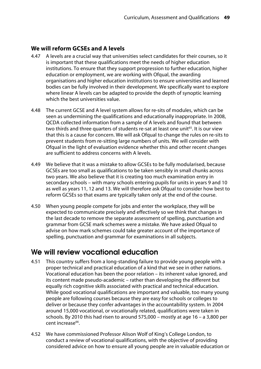#### **We will reform GCSEs and A levels**

- 4.47 A levels are a crucial way that universities select candidates for their courses, so it is important that these qualifications meet the needs of higher education institutions. To ensure that they support progression to further education, higher education or employment, we are working with Ofqual, the awarding organisations and higher education institutions to ensure universities and learned bodies can be fully involved in their development. We specifically want to explore where linear A levels can be adapted to provide the depth of synoptic learning which the best universities value.
- 4.48 The current GCSE and A level system allows for re-sits of modules, which can be seen as undermining the qualifications and educationally inappropriate. In 2008, QCDA collected information from a sample of A levels and found that between two thirds and three quarters of students re-sat at least one unit<sup>65</sup>. It is our view that this is a cause for concern. We will ask Ofqual to change the rules on re-sits to prevent students from re-sitting large numbers of units. We will consider with Ofqual in the light of evaluation evidence whether this and other recent changes are sufficient to address concerns with A levels.
- 4.49 We believe that it was a mistake to allow GCSEs to be fully modularised, because GCSEs are too small as qualifications to be taken sensibly in small chunks across two years. We also believe that it is creating too much examination entry in secondary schools – with many schools entering pupils for units in years 9 and 10 as well as years 11, 12 and 13. We will therefore ask Ofqual to consider how best to reform GCSEs so that exams are typically taken only at the end of the course.
- 4.50 When young people compete for jobs and enter the workplace, they will be expected to communicate precisely and effectively so we think that changes in the last decade to remove the separate assessment of spelling, punctuation and grammar from GCSE mark schemes were a mistake. We have asked Ofqual to advise on how mark schemes could take greater account of the importance of spelling, punctuation and grammar for examinations in all subjects.

### We will review vocational education

- 4.51 This country suffers from a long-standing failure to provide young people with a proper technical and practical education of a kind that we see in other nations. Vocational education has been the poor relation – its inherent value ignored, and its content made pseudo-academic – rather than developing the different but equally rich cognitive skills associated with practical and technical education. While good vocational qualifications are important and valuable, too many young people are following courses because they are easy for schools or colleges to deliver or because they confer advantages in the accountability system. In 2004 around 15,000 vocational, or vocationally related, qualifications were taken in schools. By 2010 this had risen to around 575,000 – mostly at age 16 – a 3,800 per cent increase66.
- 4.52 We have commissioned Professor Alison Wolf of King's College London, to conduct a review of vocational qualifications, with the objective of providing considered advice on how to ensure all young people are in valuable education or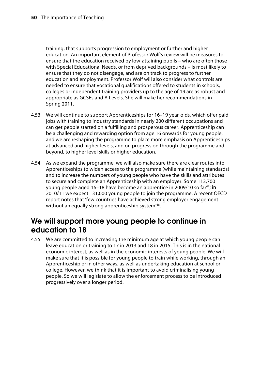training, that supports progression to employment or further and higher education. An important element of Professor Wolf's review will be measures to ensure that the education received by low-attaining pupils – who are often those with Special Educational Needs, or from deprived backgrounds – is most likely to ensure that they do not disengage, and are on track to progress to further education and employment. Professor Wolf will also consider what controls are needed to ensure that vocational qualifications offered to students in schools, colleges or independent training providers up to the age of 19 are as robust and appropriate as GCSEs and A Levels. She will make her recommendations in Spring 2011.

- 4.53 We will continue to support Apprenticeships for 16–19 year-olds, which offer paid jobs with training to industry standards in nearly 200 different occupations and can get people started on a fulfilling and prosperous career. Apprenticeship can be a challenging and rewarding option from age 16 onwards for young people, and we are reshaping the programme to place more emphasis on Apprenticeships at advanced and higher levels, and on progression through the programme and beyond, to higher level skills or higher education.
- 4.54 As we expand the programme, we will also make sure there are clear routes into Apprenticeships to widen access to the programme (while maintaining standards) and to increase the numbers of young people who have the skills and attributes to secure and complete an Apprenticeship with an employer. Some 113,700 young people aged 16-18 have become an apprentice in 2009/10 so far<sup>67</sup>; in 2010/11 we expect 131,000 young people to join the programme. A recent OECD report notes that 'few countries have achieved strong employer engagement without an equally strong apprenticeship system<sup>'68</sup>.

## We will support more young people to continue in education to 18

4.55 We are committed to increasing the minimum age at which young people can leave education or training to 17 in 2013 and 18 in 2015. This is in the national economic interest, as well as in the economic interests of young people. We will make sure that it is possible for young people to train while working, through an Apprenticeship or in other ways, as well as undertaking education at school or college. However, we think that it is important to avoid criminalising young people. So we will legislate to allow the enforcement process to be introduced progressively over a longer period.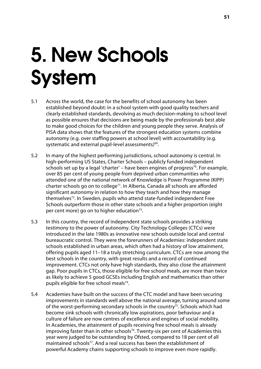## 5. New Schools System

- 5.1 Across the world, the case for the benefits of school autonomy has been established beyond doubt: in a school system with good quality teachers and clearly established standards, devolving as much decision-making to school level as possible ensures that decisions are being made by the professionals best able to make good choices for the children and young people they serve. Analysis of PISA data shows that the features of the strongest education systems combine autonomy (e.g. over staffing powers at school level) with accountability (e.g. systematic and external pupil-level assessments)<sup>69</sup>.
- 5.2 In many of the highest performing jurisdictions, school autonomy is central. In high-performing US States, Charter Schools – publicly funded independent schools set up by a legal 'charter' – have been engines of progress<sup>70</sup>. For example, over 85 per cent of young people from deprived urban communities who attended one of the national network of Knowledge is Power Programme (KIPP) charter schools go on to college<sup>71</sup>. In Alberta, Canada all schools are afforded significant autonomy in relation to how they teach and how they manage themselves72. In Sweden, pupils who attend state-funded independent Free Schools outperform those in other state schools and a higher proportion (eight per cent more) go on to higher education $73$ .
- 5.3 In this country, the record of independent state schools provides a striking testimony to the power of autonomy. City Technology Colleges (CTCs) were introduced in the late 1980s as innovative new schools outside local and central bureaucratic control. They were the forerunners of Academies: independent state schools established in urban areas, which often had a history of low attainment, offering pupils aged 11–18 a truly stretching curriculum. CTCs are now among the best schools in the country, with great results and a record of continued improvement. CTCs not only have high standards, they also close the attainment gap. Poor pupils in CTCs, those eligible for free school meals, are more than twice as likely to achieve 5 good GCSEs including English and mathematics than other pupils eligible for free school meals<sup>74</sup>.
- 5.4 Academies have built on the success of the CTC model and have been securing improvements in standards well above the national average, turning around some of the worst-performing secondary schools in the country<sup>75</sup>. Schools which had become sink schools with chronically low aspirations, poor behaviour and a culture of failure are now centres of excellence and engines of social mobility. In Academies, the attainment of pupils receiving free school meals is already improving faster than in other schools<sup>76</sup>. Twenty-six per cent of Academies this year were judged to be outstanding by Ofsted, compared to 18 per cent of all maintained schools<sup>77</sup>. And a real success has been the establishment of powerful Academy chains supporting schools to improve even more rapidly.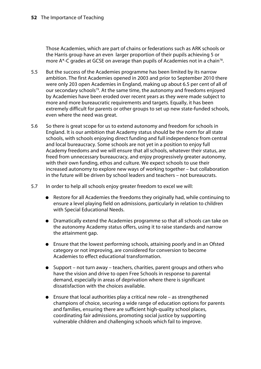Those Academies, which are part of chains or federations such as ARK schools or the Harris group have an even larger proportion of their pupils achieving 5 or more  $A^*$ -C grades at GCSE on average than pupils of Academies not in a chain<sup>78</sup>.

- 5.5 But the success of the Academies programme has been limited by its narrow ambition. The first Academies opened in 2003 and prior to September 2010 there were only 203 open Academies in England, making up about 6.5 per cent of all of our secondary schools<sup>79</sup>. At the same time, the autonomy and freedoms enjoyed by Academies have been eroded over recent years as they were made subject to more and more bureaucratic requirements and targets. Equally, it has been extremely difficult for parents or other groups to set up new state-funded schools, even where the need was great.
- 5.6 So there is great scope for us to extend autonomy and freedom for schools in England. It is our ambition that Academy status should be the norm for all state schools, with schools enjoying direct funding and full independence from central and local bureaucracy. Some schools are not yet in a position to enjoy full Academy freedoms and we will ensure that all schools, whatever their status, are freed from unnecessary bureaucracy, and enjoy progressively greater autonomy, with their own funding, ethos and culture. We expect schools to use their increased autonomy to explore new ways of working together – but collaboration in the future will be driven by school leaders and teachers – not bureaucrats.
- 5.7 In order to help all schools enjoy greater freedom to excel we will:
	- Restore for all Academies the freedoms they originally had, while continuing to ensure a level playing field on admissions, particularly in relation to children with Special Educational Needs.
	- Dramatically extend the Academies programme so that all schools can take on the autonomy Academy status offers, using it to raise standards and narrow the attainment gap.
	- Ensure that the lowest performing schools, attaining poorly and in an Ofsted category or not improving, are considered for conversion to become Academies to effect educational transformation.
	- Support not turn away teachers, charities, parent groups and others who have the vision and drive to open Free Schools in response to parental demand, especially in areas of deprivation where there is significant dissatisfaction with the choices available.
	- Ensure that local authorities play a critical new role as strengthened champions of choice, securing a wide range of education options for parents and families, ensuring there are sufficient high-quality school places, coordinating fair admissions, promoting social justice by supporting vulnerable children and challenging schools which fail to improve.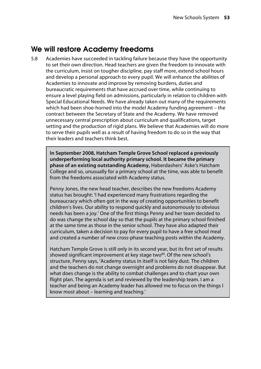## We will restore Academy freedoms

5.8 Academies have succeeded in tackling failure because they have the opportunity to set their own direction. Head teachers are given the freedom to innovate with the curriculum, insist on tougher discipline, pay staff more, extend school hours and develop a personal approach to every pupil. We will enhance the abilities of Academies to innovate and improve by removing burdens, duties and bureaucratic requirements that have accrued over time, while continuing to ensure a level playing field on admissions, particularly in relation to children with Special Educational Needs. We have already taken out many of the requirements which had been shoe-horned into the model Academy funding agreement – the contract between the Secretary of State and the Academy. We have removed unnecessary central prescription about curriculum and qualifications, target setting and the production of rigid plans. We believe that Academies will do more to serve their pupils well as a result of having freedom to do so in the way that their leaders and teachers think best.

**In September 2008, Hatcham Temple Grove School replaced a previously underperforming local authority primary school. It became the primary phase of an existing outstanding Academy,** Haberdashers' Aske's Hatcham College and so, unusually for a primary school at the time, was able to benefit from the freedoms associated with Academy status.

Penny Jones, the new head teacher, describes the new freedoms Academy status has brought: 'I had experienced many frustrations regarding the bureaucracy which often got in the way of creating opportunities to benefit children's lives. Our ability to respond quickly and autonomously to obvious needs has been a joy.' One of the first things Penny and her team decided to do was change the school day so that the pupils at the primary school finished at the same time as those in the senior school. They have also adapted their curriculum, taken a decision to pay for every pupil to have a free school meal and created a number of new cross-phase teaching posts within the Academy.

Hatcham Temple Grove is still only in its second year, but its first set of results showed significant improvement at key stage two<sup>80</sup>. Of the new school's structure, Penny says, 'Academy status in itself is not fairy dust. The children and the teachers do not change overnight and problems do not disappear. But what does change is the ability to combat challenges and to chart your own flight plan. The agenda is set and reviewed by the leadership team. I am a teacher and being an Academy leader has allowed me to focus on the things I know most about – learning and teaching.'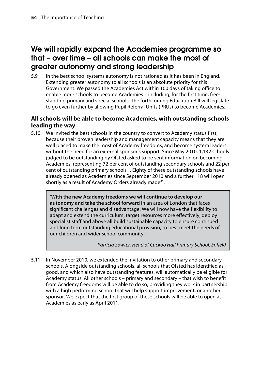## We will rapidly expand the Academies programme so that – over time – all schools can make the most of greater autonomy and strong leadership

5.9 In the best school systems autonomy is not rationed as it has been in England. Extending greater autonomy to all schools is an absolute priority for this Government. We passed the Academies Act within 100 days of taking office to enable more schools to become Academies – including, for the first time, freestanding primary and special schools. The forthcoming Education Bill will legislate to go even further by allowing Pupil Referral Units (PRUs) to become Academies.

#### **All schools will be able to become Academies, with outstanding schools leading the way**

5.10 We invited the best schools in the country to convert to Academy status first, because their proven leadership and management capacity means that they are well placed to make the most of Academy freedoms, and become system leaders without the need for an external sponsor's support. Since May 2010, 1,132 schools judged to be outstanding by Ofsted asked to be sent information on becoming Academies, representing 72 per cent of outstanding secondary schools and 22 per cent of outstanding primary schools<sup>81</sup>. Eighty of these outstanding schools have already opened as Academies since September 2010 and a further 118 will open shortly as a result of Academy Orders already made<sup>82</sup>.

**'With the new Academy freedoms we will continue to develop our autonomy and take the school forward** in an area of London that faces significant challenges and disadvantage. We will now have the flexibility to adapt and extend the curriculum, target resources more effectively, deploy specialist staff and above all build sustainable capacity to ensure continued and long term outstanding educational provision, to best meet the needs of our children and wider school community.'

#### *Patricia Sowter, Head of Cuckoo Hall Primary School, Enfield*

5.11 In November 2010, we extended the invitation to other primary and secondary schools. Alongside outstanding schools, all schools that Ofsted has identified as good, and which also have outstanding features, will automatically be eligible for Academy status. All other schools – primary and secondary – that wish to benefit from Academy freedoms will be able to do so, providing they work in partnership with a high performing school that will help support improvement, or another sponsor. We expect that the first group of these schools will be able to open as Academies as early as April 2011.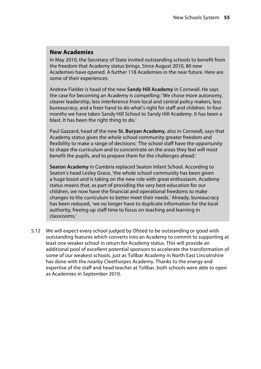#### **New Academies**

In May 2010, the Secretary of State invited outstanding schools to benefit from the freedom that Academy status brings. Since August 2010, 80 new Academies have opened. A further 118 Academies in the near future. Here are some of their experiences:

Andrew Fielder is head of the new **Sandy Hill Academy** in Cornwall. He says the case for becoming an Academy is compelling: 'We chose more autonomy, clearer leadership, less interference from local and central policy makers, less bureaucracy, and a freer hand to do what's right for staff and children. In four months we have taken Sandy Hill School to Sandy Hill Academy. It has been a blast. It has been the right thing to do.'

Paul Gazzard, head of the new **St. Buryan Academy**, also in Cornwall, says that Academy status gives the whole school community greater freedom and flexibility to make a range of decisions: 'The school staff have the opportunity to shape the curriculum and to concentrate on the areas they feel will most benefit the pupils, and to prepare them for the challenges ahead.'

**Seaton Academy** in Cumbria replaced Seaton Infant School. According to Seaton's head Lesley Grace, 'the whole school community has been given a huge boost and is taking on the new role with great enthusiasm. Academy status means that, as part of providing the very best education for our children, we now have the financial and operational freedoms to make changes to the curriculum to better meet their needs.' Already, bureaucracy has been reduced, 'we no longer have to duplicate information for the local authority, freeing up staff time to focus on teaching and learning in classrooms.'

5.12 We will expect every school judged by Ofsted to be outstanding or good with outstanding features which converts into an Academy to commit to supporting at least one weaker school in return for Academy status. This will provide an additional pool of excellent potential sponsors to accelerate the transformation of some of our weakest schools, just as Tollbar Academy in North East Lincolnshire has done with the nearby Cleethorpes Academy. Thanks to the energy and expertise of the staff and head teacher at Tollbar, both schools were able to open as Academies in September 2010.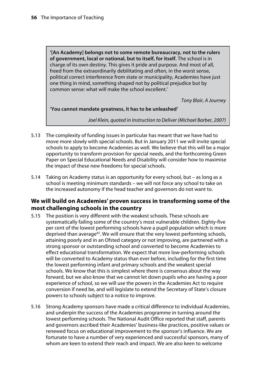**'[An Academy] belongs not to some remote bureaucracy, not to the rulers of government, local or national, but to itself, for itself.** The school is in charge of its own destiny. This gives it pride and purpose. And most of all, freed from the extraordinarily debilitating and often, in the worst sense, political correct interference from state or municipality, Academies have just one thing in mind, something shaped not by political prejudice but by common sense: what will make the school excellent.'

*Tony Blair, A Journey*

#### **'You cannot mandate greatness, it has to be unleashed'**

*Joel Klein, quoted in Instruction to Deliver (Michael Barber, 2007)*

- 5.13 The complexity of funding issues in particular has meant that we have had to move more slowly with special schools. But in January 2011 we will invite special schools to apply to become Academies as well. We believe that this will be a major opportunity to transform provision for special needs, and the forthcoming Green Paper on Special Educational Needs and Disability will consider how to maximise the impact of these new freedoms for special schools.
- 5.14 Taking on Academy status is an opportunity for every school, but as long as a school is meeting minimum standards – we will not force any school to take on the increased autonomy if the head teacher and governors do not want to.

#### **We will build on Academies' proven success in transforming some of the most challenging schools in the country**

- 5.15 The position is very different with the weakest schools. These schools are systematically failing some of the country's most vulnerable children. Eighty-five per cent of the lowest performing schools have a pupil population which is more deprived than average<sup>83</sup>. We will ensure that the very lowest performing schools, attaining poorly and in an Ofsted category or not improving, are partnered with a strong sponsor or outstanding school and converted to become Academies to effect educational transformation. We expect that more low-performing schools will be converted to Academy status than ever before, including for the first time the lowest performing infant and primary schools and the weakest special schools. We know that this is simplest where there is consensus about the way forward, but we also know that we cannot let down pupils who are having a poor experience of school, so we will use the powers in the Academies Act to require conversion if need be, and will legislate to extend the Secretary of State's closure powers to schools subject to a notice to improve.
- 5.16 Strong Academy sponsors have made a critical difference to individual Academies, and underpin the success of the Academies programme in turning around the lowest performing schools. The National Audit Office reported that staff, parents and governors ascribed their Academies' business-like practices, positive values or renewed focus on educational improvement to the sponsor's influence. We are fortunate to have a number of very experienced and successful sponsors, many of whom are keen to extend their reach and impact. We are also keen to welcome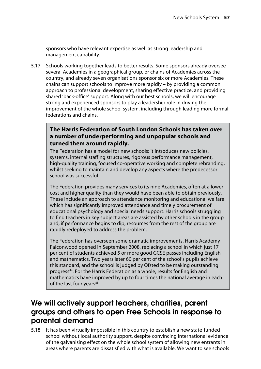sponsors who have relevant expertise as well as strong leadership and management capability.

5.17 Schools working together leads to better results. Some sponsors already oversee several Academies in a geographical group, or chains of Academies across the country, and already seven organisations sponsor six or more Academies. These chains can support schools to improve more rapidly – by providing a common approach to professional development, sharing effective practice, and providing shared 'back-office' support. Along with our best schools, we will encourage strong and experienced sponsors to play a leadership role in driving the improvement of the whole school system, including through leading more formal federations and chains.

#### **The Harris Federation of South London Schools has taken over a number of underperforming and unpopular schools and turned them around rapidly.**

The Federation has a model for new schools: it introduces new policies, systems, internal staffing structures, rigorous performance management, high-quality training, focused co-operative working and complete rebranding, whilst seeking to maintain and develop any aspects where the predecessor school was successful.

The Federation provides many services to its nine Academies, often at a lower cost and higher quality than they would have been able to obtain previously. These include an approach to attendance monitoring and educational welfare which has significantly improved attendance and timely procurement of educational psychology and special needs support. Harris schools struggling to find teachers in key subject areas are assisted by other schools in the group and, if performance begins to dip, resources from the rest of the group are rapidly redeployed to address the problem.

The Federation has overseen some dramatic improvements. Harris Academy Falconwood opened in September 2008, replacing a school in which just 17 per cent of students achieved 5 or more good GCSE passes including English and mathematics. Two years later 60 per cent of the school's pupils achieve this standard, and the school is judged by Ofsted to be making outstanding progress84. For the Harris Federation as a whole, results for English and mathematics have improved by up to four times the national average in each of the last four years<sup>85</sup>.

## We will actively support teachers, charities, parent groups and others to open Free Schools in response to parental demand

5.18 It has been virtually impossible in this country to establish a new state-funded school without local authority support, despite convincing international evidence of the galvanising effect on the whole school system of allowing new entrants in areas where parents are dissatisfied with what is available. We want to see schools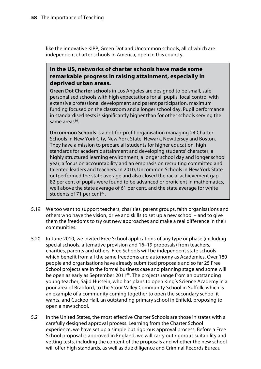like the innovative KIPP, Green Dot and Uncommon schools, all of which are independent charter schools in America, open in this country.

#### **In the US, networks of charter schools have made some remarkable progress in raising attainment, especially in deprived urban areas.**

**Green Dot Charter schools** in Los Angeles are designed to be small, safe personalised schools with high expectations for all pupils, local control with extensive professional development and parent participation, maximum funding focused on the classroom and a longer school day. Pupil performance in standardised tests is significantly higher than for other schools serving the same areas $^{86}$ .

**Uncommon Schools** is a not-for-profit organisation managing 24 Charter Schools in New York City, New York State, Newark, New Jersey and Boston. They have a mission to prepare all students for higher education, high standards for academic attainment and developing students' character, a highly structured learning environment, a longer school day and longer school year, a focus on accountability and an emphasis on recruiting committed and talented leaders and teachers. In 2010, Uncommon Schools in New York State outperformed the state average and also closed the racial achievement gap – 82 per cent of pupils were found to be advanced or proficient in mathematics, well above the state average of 61 per cent, and the state average for white students of 71 per cent<sup>87</sup>.

- 5.19 We too want to support teachers, charities, parent groups, faith organisations and others who have the vision, drive and skills to set up a new school – and to give them the freedoms to try out new approaches and make a real difference in their communities.
- 5.20 In June 2010, we invited Free School applications of any type or phase (including special schools, alternative provision and 16–19 proposals) from teachers, charities, parents and others. Free Schools will be independent state schools which benefit from all the same freedoms and autonomy as Academies. Over 180 people and organisations have already submitted proposals and so far 25 Free School projects are in the formal business case and planning stage and some will be open as early as September 2011<sup>88</sup>. The projects range from an outstanding young teacher, Sajid Hussein, who has plans to open King's Science Academy in a poor area of Bradford, to the Stour Valley Community School in Suffolk, which is an example of a community coming together to open the secondary school it wants, and Cuckoo Hall, an outstanding primary school in Enfield, proposing to open a new school.
- 5.21 In the United States, the most effective Charter Schools are those in states with a carefully designed approval process. Learning from the Charter School experience, we have set up a simple but rigorous approval process. Before a Free School proposal is approved in England, we will carry out rigorous suitability and vetting tests, including the content of the proposals and whether the new school will offer high standards, as well as due diligence and Criminal Records Bureau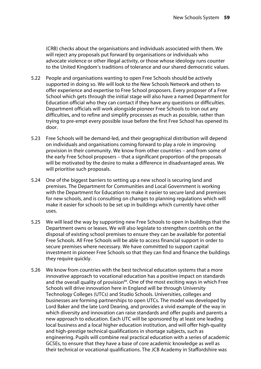(CRB) checks about the organisations and individuals associated with them. We will reject any proposals put forward by organisations or individuals who advocate violence or other illegal activity, or those whose ideology runs counter to the United Kingdom's traditions of tolerance and our shared democratic values.

- 5.22 People and organisations wanting to open Free Schools should be actively supported in doing so. We will look to the New Schools Network and others to offer experience and expertise to Free School proposers. Every proposer of a Free School which gets through the initial stage will also have a named Department for Education official who they can contact if they have any questions or difficulties. Department officials will work alongside pioneer Free Schools to iron out any difficulties, and to refine and simplify processes as much as possible, rather than trying to pre-empt every possible issue before the first Free School has opened its door.
- 5.23 Free Schools will be demand-led, and their geographical distribution will depend on individuals and organisations coming forward to play a role in improving provision in their community. We know from other countries – and from some of the early Free School proposers – that a significant proportion of the proposals will be motivated by the desire to make a difference in disadvantaged areas. We will prioritise such proposals.
- 5.24 One of the biggest barriers to setting up a new school is securing land and premises. The Department for Communities and Local Government is working with the Department for Education to make it easier to secure land and premises for new schools, and is consulting on changes to planning regulations which will make it easier for schools to be set up in buildings which currently have other uses.
- 5.25 We will lead the way by supporting new Free Schools to open in buildings that the Department owns or leases. We will also legislate to strengthen controls on the disposal of existing school premises to ensure they can be available for potential Free Schools. All Free Schools will be able to access financial support in order to secure premises where necessary. We have committed to support capital investment in pioneer Free Schools so that they can find and finance the buildings they require quickly.
- 5.26 We know from countries with the best technical education systems that a more innovative approach to vocational education has a positive impact on standards and the overall quality of provision<sup>89</sup>. One of the most exciting ways in which Free Schools will drive innovation here in England will be through University Technology Colleges (UTCs) and Studio Schools. Universities, colleges and businesses are forming partnerships to open UTCs. The model was developed by Lord Baker and the late Lord Dearing, and provides a vivid example of the way in which diversity and innovation can raise standards and offer pupils and parents a new approach to education. Each UTC will be sponsored by at least one leading local business and a local higher education institution, and will offer high-quality and high-prestige technical qualifications in shortage subjects, such as engineering. Pupils will combine real practical education with a series of academic GCSEs, to ensure that they have a base of core academic knowledge as well as their technical or vocational qualifications. The JCB Academy in Staffordshire was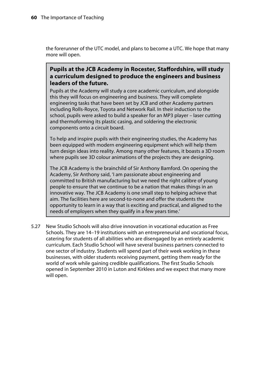the forerunner of the UTC model, and plans to become a UTC. We hope that many more will open.

#### **Pupils at the JCB Academy in Rocester, Staffordshire, will study a curriculum designed to produce the engineers and business leaders of the future.**

Pupils at the Academy will study a core academic curriculum, and alongside this they will focus on engineering and business. They will complete engineering tasks that have been set by JCB and other Academy partners including Rolls-Royce, Toyota and Network Rail. In their induction to the school, pupils were asked to build a speaker for an MP3 player – laser cutting and thermoforming its plastic casing, and soldering the electronic components onto a circuit board.

To help and inspire pupils with their engineering studies, the Academy has been equipped with modern engineering equipment which will help them turn design ideas into reality. Among many other features, it boasts a 3D room where pupils see 3D colour animations of the projects they are designing.

The JCB Academy is the brainchild of Sir Anthony Bamford. On opening the Academy, Sir Anthony said, 'I am passionate about engineering and committed to British manufacturing but we need the right calibre of young people to ensure that we continue to be a nation that makes things in an innovative way. The JCB Academy is one small step to helping achieve that aim. The facilities here are second-to-none and offer the students the opportunity to learn in a way that is exciting and practical, and aligned to the needs of employers when they qualify in a few years time.'

5.27 New Studio Schools will also drive innovation in vocational education as Free Schools. They are 14–19 institutions with an entrepreneurial and vocational focus, catering for students of all abilities who are disengaged by an entirely academic curriculum. Each Studio School will have several business partners connected to one sector of industry. Students will spend part of their week working in these businesses, with older students receiving payment, getting them ready for the world of work while gaining credible qualifications. The first Studio Schools opened in September 2010 in Luton and Kirklees and we expect that many more will open.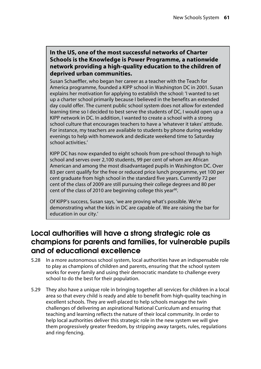#### **In the US, one of the most successful networks of Charter Schools is the Knowledge is Power Programme, a nationwide network providing a high-quality education to the children of deprived urban communities.**

Susan Schaeffler, who began her career as a teacher with the Teach for America programme, founded a KIPP school in Washington DC in 2001. Susan explains her motivation for applying to establish the school: 'I wanted to set up a charter school primarily because I believed in the benefits an extended day could offer. The current public school system does not allow for extended learning time so I decided to best serve the students of DC, I would open up a KIPP network in DC. In addition, I wanted to create a school with a strong school culture that encourages teachers to have a 'whatever it takes' attitude. For instance, my teachers are available to students by phone during weekday evenings to help with homework and dedicate weekend time to Saturday school activities.'

KIPP DC has now expanded to eight schools from pre-school through to high school and serves over 2,100 students, 99 per cent of whom are African American and among the most disadvantaged pupils in Washington DC. Over 83 per cent qualify for the free or reduced price lunch programme, yet 100 per cent graduate from high school in the standard five years. Currently 72 per cent of the class of 2009 are still pursuing their college degrees and 80 per cent of the class of 2010 are beginning college this year<sup>90</sup>.

Of KIPP's success, Susan says, 'we are proving what's possible. We're demonstrating what the kids in DC are capable of. We are raising the bar for education in our city.'

## Local authorities will have a strong strategic role as champions for parents and families, for vulnerable pupils and of educational excellence

- 5.28 In a more autonomous school system, local authorities have an indispensable role to play as champions of children and parents, ensuring that the school system works for every family and using their democratic mandate to challenge every school to do the best for their population.
- 5.29 They also have a unique role in bringing together all services for children in a local area so that every child is ready and able to benefit from high-quality teaching in excellent schools. They are well-placed to help schools manage the twin challenges of delivering an aspirational National Curriculum and ensuring that teaching and learning reflects the nature of their local community. In order to help local authorities deliver this strategic role in the new system we will give them progressively greater freedom, by stripping away targets, rules, regulations and ring-fencing.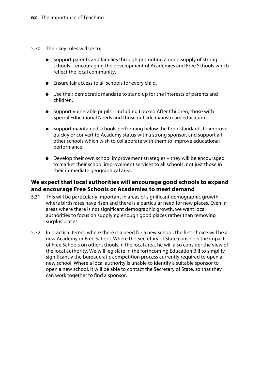- 5.30 Their key roles will be to:
	- Support parents and families through promoting a good supply of strong schools – encouraging the development of Academies and Free Schools which reflect the local community.
	- Ensure fair access to all schools for every child.
	- Use their democratic mandate to stand up for the interests of parents and children.
	- Support vulnerable pupils including Looked After Children, those with Special Educational Needs and those outside mainstream education.
	- Support maintained schools performing below the floor standards to improve quickly or convert to Academy status with a strong sponsor, and support all other schools which wish to collaborate with them to improve educational performance.
	- Develop their own school improvement strategies they will be encouraged to market their school improvement services to all schools, not just those in their immediate geographical area.

#### **We expect that local authorities will encourage good schools to expand and encourage Free Schools or Academies to meet demand**

- 5.31 This will be particularly important in areas of significant demographic growth, where birth rates have risen and there is a particular need for new places. Even in areas where there is not significant demographic growth, we want local authorities to focus on supplying enough good places rather than removing surplus places.
- 5.32 In practical terms, where there is a need for a new school, the first choice will be a new Academy or Free School. Where the Secretary of State considers the impact of Free Schools on other schools in the local area, he will also consider the view of the local authority. We will legislate in the forthcoming Education Bill to simplify significantly the bureaucratic competition process currently required to open a new school. Where a local authority is unable to identify a suitable sponsor to open a new school, it will be able to contact the Secretary of State, so that they can work together to find a sponsor.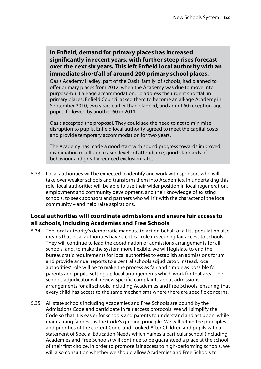#### **In Enfield, demand for primary places has increased significantly in recent years, with further steep rises forecast over the next six years. This left Enfield local authority with an immediate shortfall of around 200 primary school places.**

Oasis Academy Hadley, part of the Oasis 'family' of schools, had planned to offer primary places from 2012, when the Academy was due to move into purpose-built all-age accommodation. To address the urgent shortfall in primary places, Enfield Council asked them to become an all-age Academy in September 2010, two years earlier than planned, and admit 60 reception-age pupils, followed by another 60 in 2011.

Oasis accepted the proposal. They could see the need to act to minimise disruption to pupils. Enfield local authority agreed to meet the capital costs and provide temporary accommodation for two years.

The Academy has made a good start with sound progress towards improved examination results, increased levels of attendance, good standards of behaviour and greatly reduced exclusion rates.

5.33 Local authorities will be expected to identify and work with sponsors who will take over weaker schools and transform them into Academies. In undertaking this role, local authorities will be able to use their wider position in local regeneration, employment and community development, and their knowledge of existing schools, to seek sponsors and partners who will fit with the character of the local community – and help raise aspirations.

#### **Local authorities will coordinate admissions and ensure fair access to all schools, including Academies and Free Schools**

- 5.34 The local authority's democratic mandate to act on behalf of all its population also means that local authorities have a critical role in securing fair access to schools. They will continue to lead the coordination of admissions arrangements for all schools, and, to make the system more flexible, we will legislate to end the bureaucratic requirements for local authorities to establish an admissions forum and provide annual reports to a central schools adjudicator. Instead, local authorities' role will be to make the process as fair and simple as possible for parents and pupils, setting up local arrangements which work for that area. The schools adjudicator will review specific complaints about admissions arrangements for all schools, including Academies and Free Schools, ensuring that every child has access to the same mechanisms where there are specific concerns.
- 5.35 All state schools including Academies and Free Schools are bound by the Admissions Code and participate in fair access protocols. We will simplify the Code so that it is easier for schools and parents to understand and act upon, while maintaining fairness as the Code's guiding principle. We will retain the principles and priorities of the current Code, and Looked After Children and pupils with a statement of Special Education Needs which names a particular school (including Academies and Free Schools) will continue to be guaranteed a place at the school of their first choice. In order to promote fair access to high-performing schools, we will also consult on whether we should allow Academies and Free Schools to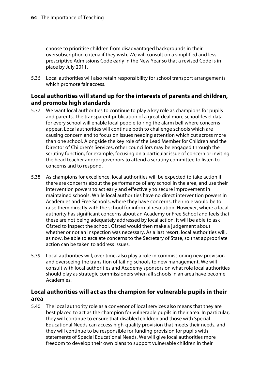choose to prioritise children from disadvantaged backgrounds in their oversubscription criteria if they wish. We will consult on a simplified and less prescriptive Admissions Code early in the New Year so that a revised Code is in place by July 2011.

5.36 Local authorities will also retain responsibility for school transport arrangements which promote fair access.

#### **Local authorities will stand up for the interests of parents and children, and promote high standards**

- 5.37 We want local authorities to continue to play a key role as champions for pupils and parents. The transparent publication of a great deal more school-level data for every school will enable local people to ring the alarm bell where concerns appear. Local authorities will continue both to challenge schools which are causing concern and to focus on issues needing attention which cut across more than one school. Alongside the key role of the Lead Member for Children and the Director of Children's Services, other councillors may be engaged through the scrutiny function, for example, focusing on a particular issue of concern or inviting the head teacher and/or governors to attend a scrutiny committee to listen to concerns and to respond.
- 5.38 As champions for excellence, local authorities will be expected to take action if there are concerns about the performance of any school in the area, and use their intervention powers to act early and effectively to secure improvement in maintained schools. While local authorities have no direct intervention powers in Academies and Free Schools, where they have concerns, their role would be to raise them directly with the school for informal resolution. However, where a local authority has significant concerns about an Academy or Free School and feels that these are not being adequately addressed by local action, it will be able to ask Ofsted to inspect the school. Ofsted would then make a judgement about whether or not an inspection was necessary. As a last resort, local authorities will, as now, be able to escalate concerns to the Secretary of State, so that appropriate action can be taken to address issues.
- 5.39 Local authorities will, over time, also play a role in commissioning new provision and overseeing the transition of failing schools to new management. We will consult with local authorities and Academy sponsors on what role local authorities should play as strategic commissioners when all schools in an area have become Academies.

#### **Local authorities will act as the champion for vulnerable pupils in their area**

5.40 The local authority role as a convenor of local services also means that they are best placed to act as the champion for vulnerable pupils in their area. In particular, they will continue to ensure that disabled children and those with Special Educational Needs can access high-quality provision that meets their needs, and they will continue to be responsible for funding provision for pupils with statements of Special Educational Needs. We will give local authorities more freedom to develop their own plans to support vulnerable children in their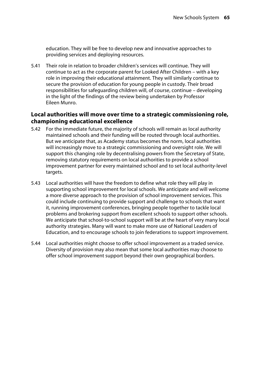education. They will be free to develop new and innovative approaches to providing services and deploying resources.

5.41 Their role in relation to broader children's services will continue. They will continue to act as the corporate parent for Looked After Children – with a key role in improving their educational attainment. They will similarly continue to secure the provision of education for young people in custody. Their broad responsibilities for safeguarding children will, of course, continue – developing in the light of the findings of the review being undertaken by Professor Eileen Munro.

#### **Local authorities will move over time to a strategic commissioning role, championing educational excellence**

- 5.42 For the immediate future, the majority of schools will remain as local authority maintained schools and their funding will be routed through local authorities. But we anticipate that, as Academy status becomes the norm, local authorities will increasingly move to a strategic commissioning and oversight role. We will support this changing role by decentralising powers from the Secretary of State, removing statutory requirements on local authorities to provide a school improvement partner for every maintained school and to set local authority-level targets.
- 5.43 Local authorities will have the freedom to define what role they will play in supporting school improvement for local schools. We anticipate and will welcome a more diverse approach to the provision of school improvement services. This could include continuing to provide support and challenge to schools that want it, running improvement conferences, bringing people together to tackle local problems and brokering support from excellent schools to support other schools. We anticipate that school-to-school support will be at the heart of very many local authority strategies. Many will want to make more use of National Leaders of Education, and to encourage schools to join federations to support improvement.
- 5.44 Local authorities might choose to offer school improvement as a traded service. Diversity of provision may also mean that some local authorities may choose to offer school improvement support beyond their own geographical borders.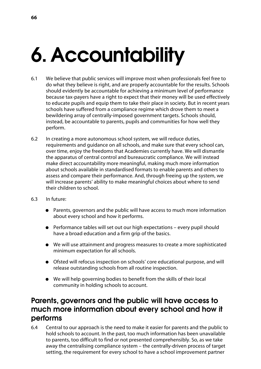# 6. Accountability

- 6.1 We believe that public services will improve most when professionals feel free to do what they believe is right, and are properly accountable for the results. Schools should evidently be accountable for achieving a minimum level of performance because tax-payers have a right to expect that their money will be used effectively to educate pupils and equip them to take their place in society. But in recent years schools have suffered from a compliance regime which drove them to meet a bewildering array of centrally-imposed government targets. Schools should, instead, be accountable to parents, pupils and communities for how well they perform.
- 6.2 In creating a more autonomous school system, we will reduce duties, requirements and guidance on all schools, and make sure that every school can, over time, enjoy the freedoms that Academies currently have. We will dismantle the apparatus of central control and bureaucratic compliance. We will instead make direct accountability more meaningful, making much more information about schools available in standardised formats to enable parents and others to assess and compare their performance. And, through freeing up the system, we will increase parents' ability to make meaningful choices about where to send their children to school.
- 6.3 In future:
	- Parents, governors and the public will have access to much more information about every school and how it performs.
	- Performance tables will set out our high expectations every pupil should have a broad education and a firm grip of the basics.
	- We will use attainment and progress measures to create a more sophisticated minimum expectation for all schools.
	- Ofsted will refocus inspection on schools' core educational purpose, and will release outstanding schools from all routine inspection.
	- We will help governing bodies to benefit from the skills of their local community in holding schools to account.

## Parents, governors and the public will have access to much more information about every school and how it performs

6.4 Central to our approach is the need to make it easier for parents and the public to hold schools to account. In the past, too much information has been unavailable to parents, too difficult to find or not presented comprehensibly. So, as we take away the centralising compliance system – the centrally-driven process of target setting, the requirement for every school to have a school improvement partner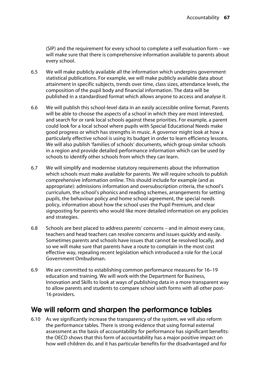(SIP) and the requirement for every school to complete a self evaluation form – we will make sure that there is comprehensive information available to parents about every school.

- 6.5 We will make publicly available all the information which underpins government statistical publications. For example, we will make publicly available data about attainment in specific subjects, trends over time, class sizes, attendance levels, the composition of the pupil body and financial information. The data will be published in a standardised format which allows anyone to access and analyse it.
- 6.6 We will publish this school-level data in an easily accessible online format. Parents will be able to choose the aspects of a school in which they are most interested, and search for or rank local schools against these priorities. For example, a parent could look for a local school where pupils with Special Educational Needs make good progress or which has strengths in music. A governor might look at how a particularly effective school is using its budget in order to learn efficiency lessons. We will also publish 'families of schools' documents, which group similar schools in a region and provide detailed performance information which can be used by schools to identify other schools from which they can learn.
- 6.7 We will simplify and modernise statutory requirements about the information which schools must make available for parents. We will require schools to publish comprehensive information online. This should include for example (and as appropriate): admissions information and oversubscription criteria, the school's curriculum, the school's phonics and reading schemes, arrangements for setting pupils, the behaviour policy and home school agreement, the special needs policy, information about how the school uses the Pupil Premium, and clear signposting for parents who would like more detailed information on any policies and strategies.
- 6.8 Schools are best placed to address parents' concerns and in almost every case, teachers and head teachers can resolve concerns and issues quickly and easily. Sometimes parents and schools have issues that cannot be resolved locally, and so we will make sure that parents have a route to complain in the most cost effective way, repealing recent legislation which introduced a role for the Local Government Ombudsman.
- 6.9 We are committed to establishing common performance measures for 16–19 education and training. We will work with the Department for Business, Innovation and Skills to look at ways of publishing data in a more transparent way to allow parents and students to compare school sixth forms with all other post-16 providers.

## We will reform and sharpen the performance tables

6.10 As we significantly increase the transparency of the system, we will also reform the performance tables. There is strong evidence that using formal external assessment as the basis of accountability for performance has significant benefits: the OECD shows that this form of accountability has a major positive impact on how well children do, and it has particular benefits for the disadvantaged and for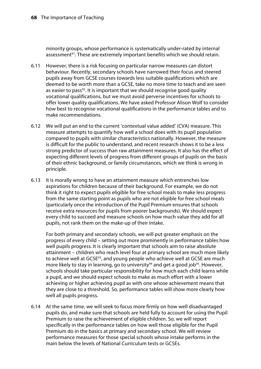minority groups, whose performance is systematically under-rated by internal assessment<sup>91</sup>. These are extremely important benefits which we should retain.

- 6.11 However, there is a risk focusing on particular narrow measures can distort behaviour. Recently, secondary schools have narrowed their focus and steered pupils away from GCSE courses towards less suitable qualifications which are deemed to be worth more than a GCSE, take no more time to teach and are seen as easier to pass<sup>92</sup>. It is important that we should recognise good quality vocational qualifications, but we must avoid perverse incentives for schools to offer lower quality qualifications. We have asked Professor Alison Wolf to consider how best to recognise vocational qualifications in the performance tables and to make recommendations.
- 6.12 We will put an end to the current 'contextual value added' (CVA) measure. This measure attempts to quantify how well a school does with its pupil population compared to pupils with similar characteristics nationally. However, the measure is difficult for the public to understand, and recent research shows it to be a less strong predictor of success than raw attainment measures. It also has the effect of expecting different levels of progress from different groups of pupils on the basis of their ethnic background, or family circumstances, which we think is wrong in principle.
- 6.13 It is morally wrong to have an attainment measure which entrenches low aspirations for children because of their background. For example, we do not think it right to expect pupils eligible for free school meals to make less progress from the same starting point as pupils who are not eligible for free school meals (particularly once the introduction of the Pupil Premium ensures that schools receive extra resources for pupils from poorer backgrounds). We should expect every child to succeed and measure schools on how much value they add for all pupils, not rank them on the make-up of their intake.

For both primary and secondary schools, we will put greater emphasis on the progress of every child – setting out more prominently in performance tables how well pupils progress. It is clearly important that schools aim to raise absolute attainment – children who reach level four at primary school are much more likely to achieve well at GCSE<sup>93</sup>, and young people who achieve well at GCSE are much more likely to stay in learning, go to university<sup>94</sup> and get a good job<sup>95</sup>. However, schools should take particular responsibility for how much each child learns while a pupil, and we should expect schools to make as much effort with a lower achieving or higher achieving pupil as with one whose achievement means that they are close to a threshold. So, performance tables will show more clearly how well all pupils progress.

6.14 At the same time, we will seek to focus more firmly on how well disadvantaged pupils do, and make sure that schools are held fully to account for using the Pupil Premium to raise the achievement of eligible children. So, we will report specifically in the performance tables on how well those eligible for the Pupil Premium do in the basics at primary and secondary school. We will review performance measures for those special schools whose intake performs in the main below the levels of National Curriculum tests or GCSEs.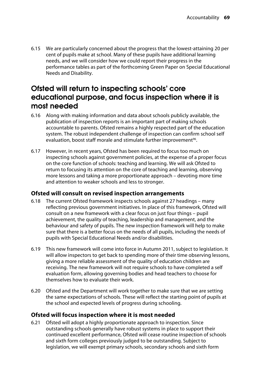6.15 We are particularly concerned about the progress that the lowest-attaining 20 per cent of pupils make at school. Many of these pupils have additional learning needs, and we will consider how we could report their progress in the performance tables as part of the forthcoming Green Paper on Special Educational Needs and Disability.

## Ofsted will return to inspecting schools' core educational purpose, and focus inspection where it is most needed

- 6.16 Along with making information and data about schools publicly available, the publication of inspection reports is an important part of making schools accountable to parents. Ofsted remains a highly respected part of the education system. The robust independent challenge of inspection can confirm school self evaluation, boost staff morale and stimulate further improvement<sup>96</sup>.
- 6.17 However, in recent years, Ofsted has been required to focus too much on inspecting schools against government policies, at the expense of a proper focus on the core function of schools: teaching and learning. We will ask Ofsted to return to focusing its attention on the core of teaching and learning, observing more lessons and taking a more proportionate approach – devoting more time and attention to weaker schools and less to stronger.

#### **Ofsted will consult on revised inspection arrangements**

- 6.18 The current Ofsted framework inspects schools against 27 headings many reflecting previous government initiatives. In place of this framework, Ofsted will consult on a new framework with a clear focus on just four things – pupil achievement, the quality of teaching, leadership and management, and the behaviour and safety of pupils. The new inspection framework will help to make sure that there is a better focus on the needs of all pupils, including the needs of pupils with Special Educational Needs and/or disabilities.
- 6.19 This new framework will come into force in Autumn 2011, subject to legislation. It will allow inspectors to get back to spending more of their time observing lessons, giving a more reliable assessment of the quality of education children are receiving. The new framework will not require schools to have completed a self evaluation form, allowing governing bodies and head teachers to choose for themselves how to evaluate their work.
- 6.20 Ofsted and the Department will work together to make sure that we are setting the same expectations of schools. These will reflect the starting point of pupils at the school and expected levels of progress during schooling.

#### **Ofsted will focus inspection where it is most needed**

6.21 Ofsted will adopt a highly proportionate approach to inspection. Since outstanding schools generally have robust systems in place to support their continued excellent performance, Ofsted will cease routine inspection of schools and sixth form colleges previously judged to be outstanding. Subject to legislation, we will exempt primary schools, secondary schools and sixth form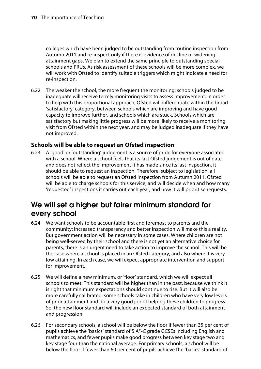colleges which have been judged to be outstanding from routine inspection from Autumn 2011 and re-inspect only if there is evidence of decline or widening attainment gaps. We plan to extend the same principle to outstanding special schools and PRUs. As risk assessment of these schools will be more complex, we will work with Ofsted to identify suitable triggers which might indicate a need for re-inspection.

6.22 The weaker the school, the more frequent the monitoring: schools judged to be inadequate will receive termly monitoring visits to assess improvement. In order to help with this proportional approach, Ofsted will differentiate within the broad 'satisfactory' category, between schools which are improving and have good capacity to improve further, and schools which are stuck. Schools which are satisfactory but making little progress will be more likely to receive a monitoring visit from Ofsted within the next year, and may be judged inadequate if they have not improved.

### **Schools will be able to request an Ofsted inspection**

6.23 A 'good' or 'outstanding' judgement is a source of pride for everyone associated with a school. Where a school feels that its last Ofsted judgement is out of date and does not reflect the improvement it has made since its last inspection, it should be able to request an inspection. Therefore, subject to legislation, all schools will be able to request an Ofsted inspection from Autumn 2011. Ofsted will be able to charge schools for this service, and will decide when and how many 'requested' inspections it carries out each year, and how it will prioritise requests.

## We will set a higher but fairer minimum standard for every school

- 6.24 We want schools to be accountable first and foremost to parents and the community: increased transparency and better inspection will make this a reality. But government action will be necessary in some cases. Where children are not being well-served by their school and there is not yet an alternative choice for parents, there is an urgent need to take action to improve the school. This will be the case where a school is placed in an Ofsted category, and also where it is very low attaining. In each case, we will expect appropriate intervention and support for improvement.
- 6.25 We will define a new minimum, or 'floor' standard, which we will expect all schools to meet. This standard will be higher than in the past, because we think it is right that minimum expectations should continue to rise. But it will also be more carefully calibrated: some schools take in children who have very low levels of prior attainment and do a very good job of helping these children to progress. So, the new floor standard will include an expected standard of both attainment and progression.
- 6.26 For secondary schools, a school will be below the floor if fewer than 35 per cent of pupils achieve the 'basics' standard of 5 A\*-C grade GCSEs including English and mathematics, and fewer pupils make good progress between key stage two and key stage four than the national average. For primary schools, a school will be below the floor if fewer than 60 per cent of pupils achieve the 'basics' standard of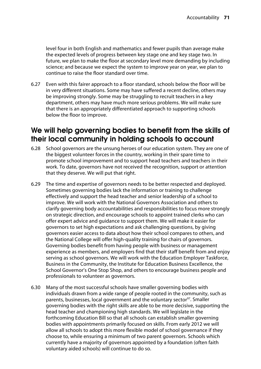level four in both English and mathematics and fewer pupils than average make the expected levels of progress between key stage one and key stage two. In future, we plan to make the floor at secondary level more demanding by including science; and because we expect the system to improve year on year, we plan to continue to raise the floor standard over time.

6.27 Even with this fairer approach to a floor standard, schools below the floor will be in very different situations. Some may have suffered a recent decline, others may be improving strongly. Some may be struggling to recruit teachers in a key department, others may have much more serious problems. We will make sure that there is an appropriately differentiated approach to supporting schools below the floor to improve.

## We will help governing bodies to benefit from the skills of their local community in holding schools to account

- 6.28 School governors are the unsung heroes of our education system. They are one of the biggest volunteer forces in the country, working in their spare time to promote school improvement and to support head teachers and teachers in their work. To date, governors have not received the recognition, support or attention that they deserve. We will put that right.
- 6.29 The time and expertise of governors needs to be better respected and deployed. Sometimes governing bodies lack the information or training to challenge effectively and support the head teacher and senior leadership of a school to improve. We will work with the National Governors Association and others to clarify governing body accountabilities and responsibilities to focus more strongly on strategic direction, and encourage schools to appoint trained clerks who can offer expert advice and guidance to support them. We will make it easier for governors to set high expectations and ask challenging questions, by giving governors easier access to data about how their school compares to others, and the National College will offer high-quality training for chairs of governors. Governing bodies benefit from having people with business or management experience as members, and employers find that their staff benefit from and enjoy serving as school governors. We will work with the Education Employer Taskforce, Business in the Community, the Institute for Education Business Excellence, the School Governor's One Stop Shop, and others to encourage business people and professionals to volunteer as governors.
- 6.30 Many of the most successful schools have smaller governing bodies with individuals drawn from a wide range of people rooted in the community, such as parents, businesses, local government and the voluntary sector<sup>97</sup>. Smaller governing bodies with the right skills are able to be more decisive, supporting the head teacher and championing high standards. We will legislate in the forthcoming Education Bill so that all schools can establish smaller governing bodies with appointments primarily focused on skills. From early 2012 we will allow all schools to adopt this more flexible model of school governance if they choose to, while ensuring a minimum of two parent governors. Schools which currently have a majority of governors appointed by a foundation (often faith voluntary aided schools) will continue to do so.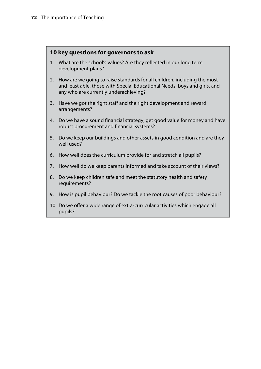### **10 key questions for governors to ask**

- 1. What are the school's values? Are they reflected in our long term development plans?
- 2. How are we going to raise standards for all children, including the most and least able, those with Special Educational Needs, boys and girls, and any who are currently underachieving?
- 3. Have we got the right staff and the right development and reward arrangements?
- 4. Do we have a sound financial strategy, get good value for money and have robust procurement and financial systems?
- 5. Do we keep our buildings and other assets in good condition and are they well used?
- 6. How well does the curriculum provide for and stretch all pupils?
- 7. How well do we keep parents informed and take account of their views?
- 8. Do we keep children safe and meet the statutory health and safety requirements?
- 9. How is pupil behaviour? Do we tackle the root causes of poor behaviour?
- 10. Do we offer a wide range of extra-curricular activities which engage all pupils?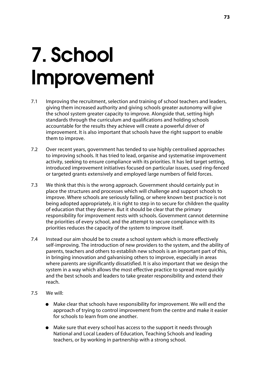# 7. School Improvement

- 7.1 Improving the recruitment, selection and training of school teachers and leaders, giving them increased authority and giving schools greater autonomy will give the school system greater capacity to improve. Alongside that, setting high standards through the curriculum and qualifications and holding schools accountable for the results they achieve will create a powerful driver of improvement. It is also important that schools have the right support to enable them to improve.
- 7.2 Over recent years, government has tended to use highly centralised approaches to improving schools. It has tried to lead, organise and systematise improvement activity, seeking to ensure compliance with its priorities. It has led target setting, introduced improvement initiatives focused on particular issues, used ring-fenced or targeted grants extensively and employed large numbers of field forces.
- 7.3 We think that this is the wrong approach. Government should certainly put in place the structures and processes which will challenge and support schools to improve. Where schools are seriously failing, or where known best practice is not being adopted appropriately, it is right to step in to secure for children the quality of education that they deserve. But it should be clear that the primary responsibility for improvement rests with schools. Government cannot determine the priorities of every school, and the attempt to secure compliance with its priorities reduces the capacity of the system to improve itself.
- 7.4 Instead our aim should be to create a school system which is more effectively self-improving. The introduction of new providers to the system, and the ability of parents, teachers and others to establish new schools is an important part of this, in bringing innovation and galvanising others to improve, especially in areas where parents are significantly dissatisfied. It is also important that we design the system in a way which allows the most effective practice to spread more quickly and the best schools and leaders to take greater responsibility and extend their reach.
- 7.5 We will:
	- Make clear that schools have responsibility for improvement. We will end the approach of trying to control improvement from the centre and make it easier for schools to learn from one another.
	- Make sure that every school has access to the support it needs through National and Local Leaders of Education, Teaching Schools and leading teachers, or by working in partnership with a strong school.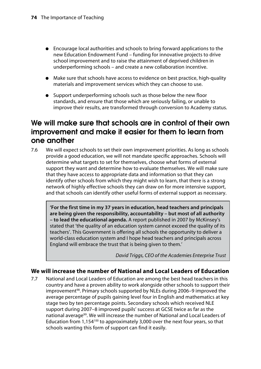- Encourage local authorities and schools to bring forward applications to the new Education Endowment Fund – funding for innovative projects to drive school improvement and to raise the attainment of deprived children in underperforming schools – and create a new collaboration incentive.
- Make sure that schools have access to evidence on best practice, high-quality materials and improvement services which they can choose to use.
- Support underperforming schools such as those below the new floor standards, and ensure that those which are seriously failing, or unable to improve their results, are transformed through conversion to Academy status.

## We will make sure that schools are in control of their own improvement and make it easier for them to learn from one another

7.6 We will expect schools to set their own improvement priorities. As long as schools provide a good education, we will not mandate specific approaches. Schools will determine what targets to set for themselves, choose what forms of external support they want and determine how to evaluate themselves. We will make sure that they have access to appropriate data and information so that they can identify other schools from which they might wish to learn, that there is a strong network of highly effective schools they can draw on for more intensive support, and that schools can identify other useful forms of external support as necessary.

**'For the first time in my 37 years in education, head teachers and principals are being given the responsibility, accountability – but most of all authority – to lead the educational agenda.** A report published in 2007 by McKinsey's stated that 'the quality of an education system cannot exceed the quality of its teachers'. This Government is offering all schools the opportunity to deliver a world-class education system and I hope head teachers and principals across England will embrace the trust that is being given to them.'

*David Triggs, CEO of the Academies Enterprise Trust*

### **We will increase the number of National and Local Leaders of Education**

7.7 National and Local Leaders of Education are among the best head teachers in this country and have a proven ability to work alongside other schools to support their improvement<sup>98</sup>. Primary schools supported by NLEs during 2006–9 improved the average percentage of pupils gaining level four in English and mathematics at key stage two by ten percentage points. Secondary schools which received NLE support during 2007–8 improved pupils' success at GCSE twice as far as the national average<sup>99</sup>. We will increase the number of National and Local Leaders of Education from  $1,154^{100}$  to approximately 3,000 over the next four years, so that schools wanting this form of support can find it easily.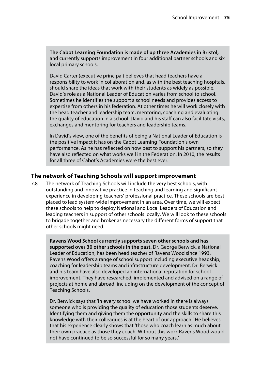**The Cabot Learning Foundation is made of up three Academies in Bristol,** and currently supports improvement in four additional partner schools and six local primary schools.

David Carter (executive principal) believes that head teachers have a responsibility to work in collaboration and, as with the best teaching hospitals, should share the ideas that work with their students as widely as possible. David's role as a National Leader of Education varies from school to school. Sometimes he identifies the support a school needs and provides access to expertise from others in his federation. At other times he will work closely with the head teacher and leadership team, mentoring, coaching and evaluating the quality of education in a school. David and his staff can also facilitate visits, exchanges and mentoring for teachers and leadership teams.

In David's view, one of the benefits of being a National Leader of Education is the positive impact it has on the Cabot Learning Foundation's own performance. As he has reflected on how best to support his partners, so they have also reflected on what works well in the Federation. In 2010, the results for all three of Cabot's Academies were the best ever.

### **The network of Teaching Schools will support improvement**

7.8 The network of Teaching Schools will include the very best schools, with outstanding and innovative practice in teaching and learning and significant experience in developing teachers' professional practice. These schools are best placed to lead system-wide improvement in an area. Over time, we will expect these schools to help to deploy National and Local Leaders of Education and leading teachers in support of other schools locally. We will look to these schools to brigade together and broker as necessary the different forms of support that other schools might need.

**Ravens Wood School currently supports seven other schools and has supported over 30 other schools in the past.** Dr. George Berwick, a National Leader of Education, has been head teacher of Ravens Wood since 1993. Ravens Wood offers a range of school support including executive headship, coaching for leadership teams and infrastructure development. Dr. Berwick and his team have also developed an international reputation for school improvement. They have researched, implemented and advised on a range of projects at home and abroad, including on the development of the concept of Teaching Schools.

Dr. Berwick says that 'In every school we have worked in there is always someone who is providing the quality of education those students deserve. Identifying them and giving them the opportunity and the skills to share this knowledge with their colleagues is at the heart of our approach.' He believes that his experience clearly shows that 'those who coach learn as much about their own practice as those they coach. Without this work Ravens Wood would not have continued to be so successful for so many years.'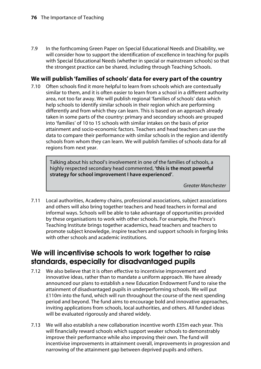7.9 In the forthcoming Green Paper on Special Educational Needs and Disability, we will consider how to support the identification of excellence in teaching for pupils with Special Educational Needs (whether in special or mainstream schools) so that the strongest practice can be shared, including through Teaching Schools.

### **We will publish 'families of schools' data for every part of the country**

7.10 Often schools find it more helpful to learn from schools which are contextually similar to them, and it is often easier to learn from a school in a different authority area, not too far away. We will publish regional 'families of schools' data which help schools to identify similar schools in their region which are performing differently and from which they can learn. This is based on an approach already taken in some parts of the country: primary and secondary schools are grouped into 'families' of 10 to 15 schools with similar intakes on the basis of prior attainment and socio-economic factors. Teachers and head teachers can use the data to compare their performance with similar schools in the region and identify schools from whom they can learn. We will publish families of schools data for all regions from next year.

Talking about his school's involvement in one of the families of schools, a highly respected secondary head commented, **'this is the most powerful strategy for school improvement I have experienced'**.

*Greater Manchester*

7.11 Local authorities, Academy chains, professional associations, subject associations and others will also bring together teachers and head teachers in formal and informal ways. Schools will be able to take advantage of opportunities provided by these organisations to work with other schools. For example, the Prince's Teaching Institute brings together academics, head teachers and teachers to promote subject knowledge, inspire teachers and support schools in forging links with other schools and academic institutions.

## We will incentivise schools to work together to raise standards, especially for disadvantaged pupils

- 7.12 We also believe that it is often effective to incentivise improvement and innovative ideas, rather than to mandate a uniform approach. We have already announced our plans to establish a new Education Endowment Fund to raise the attainment of disadvantaged pupils in underperforming schools. We will put £110m into the fund, which will run throughout the course of the next spending period and beyond. The fund aims to encourage bold and innovative approaches, inviting applications from schools, local authorities, and others. All funded ideas will be evaluated rigorously and shared widely.
- 7.13 We will also establish a new collaboration incentive worth £35m each year. This will financially reward schools which support weaker schools to demonstrably improve their performance while also improving their own. The fund will incentivise improvements in attainment overall, improvements in progression and narrowing of the attainment gap between deprived pupils and others.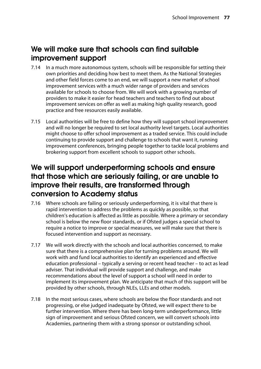## We will make sure that schools can find suitable improvement support

- 7.14 In a much more autonomous system, schools will be responsible for setting their own priorities and deciding how best to meet them. As the National Strategies and other field forces come to an end, we will support a new market of school improvement services with a much wider range of providers and services available for schools to choose from. We will work with a growing number of providers to make it easier for head teachers and teachers to find out about improvement services on offer as well as making high quality research, good practice and free resources easily available.
- 7.15 Local authorities will be free to define how they will support school improvement and will no longer be required to set local authority level targets. Local authorities might choose to offer school improvement as a traded service. This could include continuing to provide support and challenge to schools that want it, running improvement conferences, bringing people together to tackle local problems and brokering support from excellent schools to support other schools.

## We will support underperforming schools and ensure that those which are seriously failing, or are unable to improve their results, are transformed through conversion to Academy status

- 7.16 Where schools are failing or seriously underperforming, it is vital that there is rapid intervention to address the problems as quickly as possible, so that children's education is affected as little as possible. Where a primary or secondary school is below the new floor standards, or if Ofsted judges a special school to require a notice to improve or special measures, we will make sure that there is focused intervention and support as necessary.
- 7.17 We will work directly with the schools and local authorities concerned, to make sure that there is a comprehensive plan for turning problems around. We will work with and fund local authorities to identify an experienced and effective education professional – typically a serving or recent head teacher – to act as lead adviser. That individual will provide support and challenge, and make recommendations about the level of support a school will need in order to implement its improvement plan. We anticipate that much of this support will be provided by other schools, through NLEs, LLEs and other models.
- 7.18 In the most serious cases, where schools are below the floor standards and not progressing, or else judged inadequate by Ofsted, we will expect there to be further intervention. Where there has been long-term underperformance, little sign of improvement and serious Ofsted concern, we will convert schools into Academies, partnering them with a strong sponsor or outstanding school.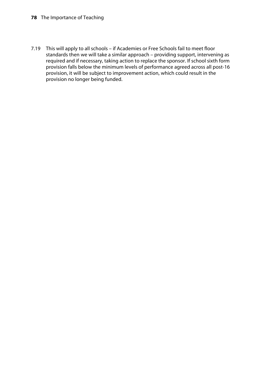7.19 This will apply to all schools – if Academies or Free Schools fail to meet floor standards then we will take a similar approach – providing support, intervening as required and if necessary, taking action to replace the sponsor. If school sixth form provision falls below the minimum levels of performance agreed across all post-16 provision, it will be subject to improvement action, which could result in the provision no longer being funded.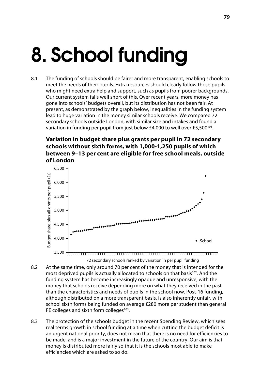# 8. School funding

8.1 The funding of schools should be fairer and more transparent, enabling schools to meet the needs of their pupils. Extra resources should clearly follow those pupils who might need extra help and support, such as pupils from poorer backgrounds. Our current system falls well short of this. Over recent years, more money has gone into schools' budgets overall, but its distribution has not been fair. At present, as demonstrated by the graph below, inequalities in the funding system lead to huge variation in the money similar schools receive. We compared 72 secondary schools outside London, with similar size and intakes and found a variation in funding per pupil from just below £4,000 to well over £5,500<sup>101</sup>.

### **Variation in budget share plus grants per pupil in 72 secondary schools without sixth forms, with 1,000-1,250 pupils of which between 9–13 per cent are eligible for free school meals, outside of London**



- 8.2 At the same time, only around 70 per cent of the money that is intended for the most deprived pupils is actually allocated to schools on that basis<sup>102</sup>. And the funding system has become increasingly opaque and unresponsive, with the money that schools receive depending more on what they received in the past than the characteristics and needs of pupils in the school now. Post-16 funding, although distributed on a more transparent basis, is also inherently unfair, with school sixth forms being funded on average £280 more per student than general FE colleges and sixth form colleges $103$ .
- 8.3 The protection of the schools budget in the recent Spending Review, which sees real terms growth in school funding at a time when cutting the budget deficit is an urgent national priority, does not mean that there is no need for efficiencies to be made, and is a major investment in the future of the country. Our aim is that money is distributed more fairly so that it is the schools most able to make efficiencies which are asked to so do.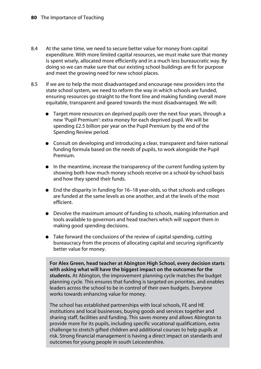- 8.4 At the same time, we need to secure better value for money from capital expenditure. With more limited capital resources, we must make sure that money is spent wisely, allocated more efficiently and in a much less bureaucratic way. By doing so we can make sure that our existing school buildings are fit for purpose and meet the growing need for new school places.
- 8.5 If we are to help the most disadvantaged and encourage new providers into the state school system, we need to reform the way in which schools are funded, ensuring resources go straight to the front line and making funding overall more equitable, transparent and geared towards the most disadvantaged. We will:
	- Target more resources on deprived pupils over the next four years, through a new 'Pupil Premium': extra money for each deprived pupil. We will be spending £2.5 billion per year on the Pupil Premium by the end of the Spending Review period.
	- Consult on developing and introducing a clear, transparent and fairer national funding formula based on the needs of pupils, to work alongside the Pupil Premium.
	- In the meantime, increase the transparency of the current funding system by showing both how much money schools receive on a school-by-school basis and how they spend their funds.
	- End the disparity in funding for 16–18 year-olds, so that schools and colleges are funded at the same levels as one another, and at the levels of the most efficient.
	- Devolve the maximum amount of funding to schools, making information and tools available to governors and head teachers which will support them in making good spending decisions.
	- Take forward the conclusions of the review of capital spending, cutting bureaucracy from the process of allocating capital and securing significantly better value for money.

**For Alex Green, head teacher at Abington High School, every decision starts with asking what will have the biggest impact on the outcomes for the students.** At Abington, the improvement planning cycle matches the budget planning cycle. This ensures that funding is targeted on priorities, and enables leaders across the school to be in control of their own budgets. Everyone works towards enhancing value for money.

The school has established partnerships with local schools, FE and HE institutions and local businesses, buying goods and services together and sharing staff, facilities and funding. This saves money and allows Abington to provide more for its pupils, including specific vocational qualifications, extra challenge to stretch gifted children and additional courses to help pupils at risk. Strong financial management is having a direct impact on standards and outcomes for young people in south Leicestershire.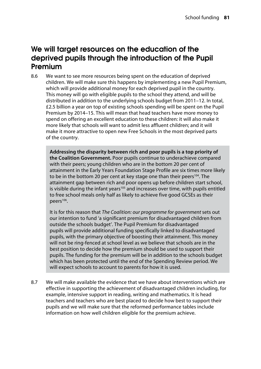## We will target resources on the education of the deprived pupils through the introduction of the Pupil Premium

8.6 We want to see more resources being spent on the education of deprived children. We will make sure this happens by implementing a new Pupil Premium, which will provide additional money for each deprived pupil in the country. This money will go with eligible pupils to the school they attend, and will be distributed in addition to the underlying schools budget from 2011–12. In total, £2.5 billion a year on top of existing schools spending will be spent on the Pupil Premium by 2014–15. This will mean that head teachers have more money to spend on offering an excellent education to these children: it will also make it more likely that schools will want to admit less affluent children; and it will make it more attractive to open new Free Schools in the most deprived parts of the country.

**Addressing the disparity between rich and poor pupils is a top priority of the Coalition Government.** Poor pupils continue to underachieve compared with their peers; young children who are in the bottom 20 per cent of attainment in the Early Years Foundation Stage Profile are six times more likely to be in the bottom 20 per cent at key stage one than their peers<sup>104</sup>. The attainment gap between rich and poor opens up before children start school, is visible during the infant years<sup>105</sup> and increases over time, with pupils entitled to free school meals only half as likely to achieve five good GCSEs as their  $peers^{106}$ .

It is for this reason that *The Coalition: our programme for government* sets out our intention to fund 'a significant premium for disadvantaged children from outside the schools budget'. The Pupil Premium for disadvantaged pupils will provide additional funding specifically linked to disadvantaged pupils, with the primary objective of boosting their attainment. This money will not be ring-fenced at school level as we believe that schools are in the best position to decide how the premium should be used to support their pupils. The funding for the premium will be in addition to the schools budget which has been protected until the end of the Spending Review period. We will expect schools to account to parents for how it is used.

8.7 We will make available the evidence that we have about interventions which are effective in supporting the achievement of disadvantaged children including, for example, intensive support in reading, writing and mathematics. It is head teachers and teachers who are best placed to decide how best to support their pupils and we will make sure that the reformed performance tables include information on how well children eligible for the premium achieve.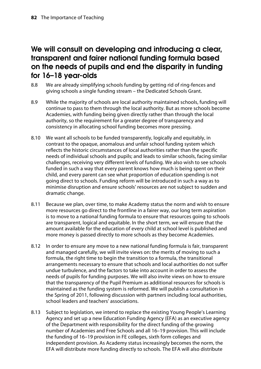## We will consult on developing and introducing a clear, transparent and fairer national funding formula based on the needs of pupils and end the disparity in funding for 16–18 year-olds

- 8.8 We are already simplifying schools funding by getting rid of ring-fences and giving schools a single funding stream – the Dedicated Schools Grant.
- 8.9 While the majority of schools are local authority maintained schools, funding will continue to pass to them through the local authority. But as more schools become Academies, with funding being given directly rather than through the local authority, so the requirement for a greater degree of transparency and consistency in allocating school funding becomes more pressing.
- 8.10 We want all schools to be funded transparently, logically and equitably, in contrast to the opaque, anomalous and unfair school funding system which reflects the historic circumstances of local authorities rather than the specific needs of individual schools and pupils; and leads to similar schools, facing similar challenges, receiving very different levels of funding. We also wish to see schools funded in such a way that every parent knows how much is being spent on their child, and every parent can see what proportion of education spending is not going direct to schools. Funding reform will be introduced in such a way as to minimise disruption and ensure schools' resources are not subject to sudden and dramatic change.
- 8.11 Because we plan, over time, to make Academy status the norm and wish to ensure more resources go direct to the frontline in a fairer way, our long term aspiration is to move to a national funding formula to ensure that resources going to schools are transparent, logical and equitable. In the short term, we will ensure that the amount available for the education of every child at school level is published and more money is passed directly to more schools as they become Academies.
- 8.12 In order to ensure any move to a new national funding formula is fair, transparent and managed carefully, we will invite views on: the merits of moving to such a formula, the right time to begin the transition to a formula, the transitional arrangements necessary to ensure that schools and local authorities do not suffer undue turbulence, and the factors to take into account in order to assess the needs of pupils for funding purposes. We will also invite views on how to ensure that the transparency of the Pupil Premium as additional resources for schools is maintained as the funding system is reformed. We will publish a consultation in the Spring of 2011, following discussion with partners including local authorities, school leaders and teachers' associations.
- 8.13 Subject to legislation, we intend to replace the existing Young People's Learning Agency and set up a new Education Funding Agency (EFA) as an executive agency of the Department with responsibility for the direct funding of the growing number of Academies and Free Schools and all 16–19 provision. This will include the funding of 16–19 provision in FE colleges, sixth form colleges and independent provision. As Academy status increasingly becomes the norm, the EFA will distribute more funding directly to schools. The EFA will also distribute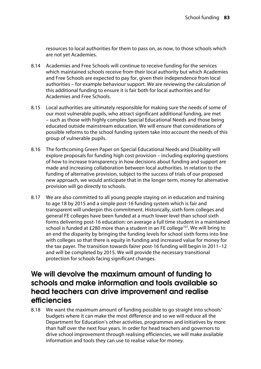resources to local authorities for them to pass on, as now, to those schools which are not yet Academies.

- 8.14 Academies and Free Schools will continue to receive funding for the services which maintained schools receive from their local authority but which Academies and Free Schools are expected to pay for, given their independence from local authorities – for example behaviour support. We are reviewing the calculation of this additional funding to ensure it is fair both for local authorities and for Academies and Free Schools.
- 8.15 Local authorities are ultimately responsible for making sure the needs of some of our most vulnerable pupils, who attract significant additional funding, are met – such as those with highly complex Special Educational Needs and those being educated outside mainstream education. We will ensure that considerations of possible reforms to the school funding system take into account the needs of this group of vulnerable pupils.
- 8.16 The forthcoming Green Paper on Special Educational Needs and Disability will explore proposals for funding high cost provision – including exploring questions of how to increase transparency in how decisions about funding and support are made and increasing collaboration between local authorities. In relation to the funding of alternative provision, subject to the success of trials of our proposed new approach, we would anticipate that in the longer term, money for alternative provision will go directly to schools.
- 8.17 We are also committed to all young people staying on in education and training to age 18 by 2015 and a simple post-16 funding system which is fair and transparent will underpin this commitment. Historically, sixth form colleges and general FE colleges have been funded at a much lower level than school sixth forms delivering post-16 education: on average a full time student in a maintained school is funded at £280 more than a student in an FE college<sup>107</sup>. We will bring to an end the disparity by bringing the funding levels for school sixth forms into line with colleges so that there is equity in funding and increased value for money for the tax payer. The transition towards fairer post-16 funding will begin in 2011–12 and will be completed by 2015. We will provide the necessary transitional protection for schools facing significant changes.

## We will devolve the maximum amount of funding to schools and make information and tools available so head teachers can drive improvement and realise efficiencies

8.18 We want the maximum amount of funding possible to go straight into schools' budgets where it can make the most difference and so we will reduce all the Department for Education's other activities, programmes and initiatives by more than half over the next four years. In order for head teachers and governors to drive school improvement through realising efficiencies, we will make available information and tools they can use to realise value for money.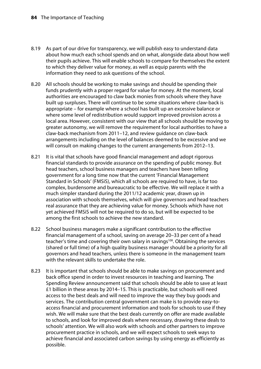- 8.19 As part of our drive for transparency, we will publish easy to understand data about how much each school spends and on what, alongside data about how well their pupils achieve. This will enable schools to compare for themselves the extent to which they deliver value for money, as well as equip parents with the information they need to ask questions of the school.
- 8.20 All schools should be working to make savings and should be spending their funds prudently with a proper regard for value for money. At the moment, local authorities are encouraged to claw back monies from schools where they have built up surpluses. There will continue to be some situations where claw-back is appropriate – for example where a school has built up an excessive balance or where some level of redistribution would support improved provision across a local area. However, consistent with our view that all schools should be moving to greater autonomy, we will remove the requirement for local authorities to have a claw-back mechanism from 2011–12, and review guidance on claw-back arrangements including on the level of balances deemed to be excessive and we will consult on making changes to the current arrangements from 2012–13.
- 8.21 It is vital that schools have good financial management and adopt rigorous financial standards to provide assurance on the spending of public money. But head teachers, school business managers and teachers have been telling government for a long time now that the current 'Financial Management Standard in Schools' (FMSiS), which all schools are required to have, is far too complex, burdensome and bureaucratic to be effective. We will replace it with a much simpler standard during the 2011/12 academic year, drawn up in association with schools themselves, which will give governors and head teachers real assurance that they are achieving value for money. Schools which have not yet achieved FMSiS will not be required to do so, but will be expected to be among the first schools to achieve the new standard.
- 8.22 School business managers make a significant contribution to the effective financial management of a school, saving on average 20–33 per cent of a head teacher's time and covering their own salary in savings<sup>108</sup>. Obtaining the services (shared or full time) of a high quality business manager should be a priority for all governors and head teachers, unless there is someone in the management team with the relevant skills to undertake the role.
- 8.23 It is important that schools should be able to make savings on procurement and back office spend in order to invest resources in teaching and learning. The Spending Review announcement said that schools should be able to save at least £1 billion in these areas by 2014–15. This is practicable, but schools will need access to the best deals and will need to improve the way they buy goods and services. The contribution central government can make is to provide easy-toaccess financial and procurement information and tools for schools to use if they wish. We will make sure that the best deals currently on offer are made available to schools, and look for improved deals where necessary, drawing these deals to schools' attention. We will also work with schools and other partners to improve procurement practice in schools, and we will expect schools to seek ways to achieve financial and associated carbon savings by using energy as efficiently as possible.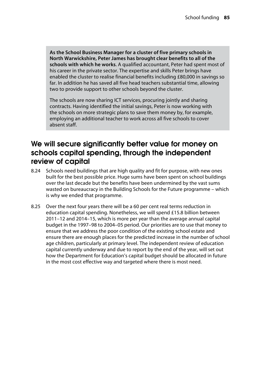**As the School Business Manager for a cluster of five primary schools in North Warwickshire, Peter James has brought clear benefits to all of the schools with which he works**. A qualified accountant, Peter had spent most of his career in the private sector. The expertise and skills Peter brings have enabled the cluster to realise financial benefits including £80,000 in savings so far. In addition he has saved all five head teachers substantial time, allowing two to provide support to other schools beyond the cluster.

The schools are now sharing ICT services, procuring jointly and sharing contracts. Having identified the initial savings, Peter is now working with the schools on more strategic plans to save them money by, for example, employing an additional teacher to work across all five schools to cover absent staff.

## We will secure significantly better value for money on schools capital spending, through the independent review of capital

- 8.24 Schools need buildings that are high quality and fit for purpose, with new ones built for the best possible price. Huge sums have been spent on school buildings over the last decade but the benefits have been undermined by the vast sums wasted on bureaucracy in the Building Schools for the Future programme – which is why we ended that programme.
- 8.25 Over the next four years there will be a 60 per cent real terms reduction in education capital spending. Nonetheless, we will spend £15.8 billion between 2011–12 and 2014–15, which is more per year than the average annual capital budget in the 1997–98 to 2004–05 period. Our priorities are to use that money to ensure that we address the poor condition of the existing school estate and ensure there are enough places for the predicted increase in the number of school age children, particularly at primary level. The independent review of education capital currently underway and due to report by the end of the year, will set out how the Department for Education's capital budget should be allocated in future in the most cost effective way and targeted where there is most need.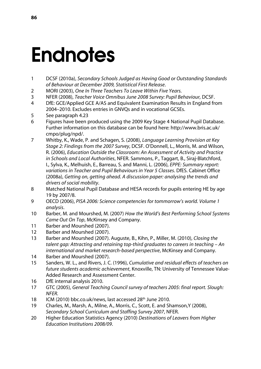# Endnotes

- 1 DCSF (2010a), *Secondary Schools Judged as Having Good or Outstanding Standards of Behaviour at December 2009, Statistical First Release*.
- 2 MORI (2003), *One In Three Teachers To Leave Within Five Years.*
- 3 NFER (2008), *Teacher Voice Omnibus June 2008 Survey: Pupil Behaviour,* DCSF.
- 4 DfE: GCE/Applied GCE A/AS and Equivalent Examination Results in England from 2004–2010. Excludes entries in GNVQs and in vocational GCSEs.
- 5 See paragraph 4.23
- 6 Figures have been produced using the 2009 Key Stage 4 National Pupil Database. Further information on this database can be found here: http://www.bris.ac.uk/ cmpo/plug/npd/.
- 7 Whitby, K., Wade, P. and Schagen, S. (2008), *Language Learning Provision at Key Stage 2: Findings from the 2007 Survey*, DCSF. O'Donnell, L., Morris, M. and Wilson, R. (2006), *Education Outside the Classroom: An Assessment of Activity and Practice in Schools and Local Authorities*, NFER. Sammons, P., Taggart, B., Siraj-Blatchford, I., Sylva, K., Melhuish, E., Barreau, S. and Manni, L. (2006), *EPPE: Summary report: variations in Teacher and Pupil Behaviours in Year 5 Classes*. DfES. Cabinet Office (2008a), *Getting on, getting ahead. A discussion paper: analysing the trends and drivers of social mobility*.
- 8 Matched National Pupil Database and HESA records for pupils entering HE by age 19 by 2007/8.
- 9 OECD (2006), *PISA 2006: Science competencies for tommorrow's world. Volume 1 analysis*.
- 10 Barber, M. and Mourshed, M. (2007) *How the World's Best Performing School Systems Came Out On Top*, McKinsey and Company.
- 11 Barber and Mourshed (2007).
- 12 Barber and Mourshed (2007).
- 13 Barber and Mourshed (2007). Auguste, B., Kihn, P., Miller, M. (2010), *Closing the talent gap: Attracting and retaining top-third graduates to careers in teaching – An international and market research-based perspective*, McKinsey and Company.
- 14 Barber and Mourshed (2007).
- 15 Sanders, W. L., and Rivers, J. C. (1996), *Cumulative and residual effects of teachers on future students academic achievement*, Knoxville, TN: University of Tennessee Value-Added Research and Assessment Center.
- 16 DfE internal analysis 2010.
- 17 GTC (2005), *General Teaching Council survey of teachers 2005: final report. Slough: NFER.*
- 18 ICM (2010) bbc.co.uk/news, last accessed 28<sup>th</sup> June 2010.
- 19 Charles, M., Marsh, A., Milne, A., Morris, C., Scott, E. and Shamson,Y (2008), *Secondary School Curriculum and Staffing Survey 2007*, NFER.
- 20 Higher Education Statistics Agency (2010) *Destinations of Leavers from Higher Education Institutions 2008/09*.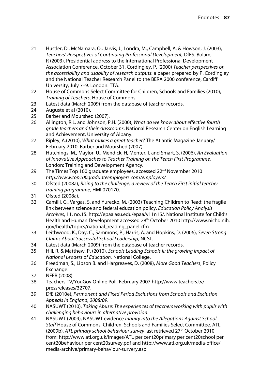- 21 Hustler, D., McNamara, O., Jarvis, J., Londra, M., Campbell, A. & Howson, J. (2003), *Teachers' Perspectives of Continuing Professional Development,* DfES. Bolam, R (2003). Presidential address to the International Professional Development Association Conference. October 31. Cordingley, P. (2000) *Teacher perspectives on the accessibility and usability of research outputs*: a paper prepared by P. Cordingley and the National Teacher Research Panel to the BERA 2000 conference, Cardiff University, July 7–9. London: TTA.
- 22 House of Commons Select Committee for Children, Schools and Families (2010), *Training of Teachers*, House of Commons.
- 23 Latest data (March 2009) from the database of teacher records.
- 24 Auguste et al (2010).
- 25 Barber and Mourshed (2007).
- 26 Allington, R.L. and Johnson, P.H. (2000), *What do we know about effective fourth grade teachers and their classrooms*, National Research Center on English Learning and Achievement, University of Albany.
- 27 Ripley, A.(2010), *What makes a great teacher?* The Atlantic Magazine January/ February 2010. Barber and Mourshed (2007).
- 28 Hutchings, M., Maylor, U., Mendick, H, Menter, I. and Smart, S. (2006), *An Evaluation of Innovative Approaches to Teacher Training on the Teach First Programme,* London: Training and Development Agency.
- 29 The Times Top 100 graduate employees, accessed 22<sup>nd</sup> November 2010 *http://www.top100graduateemployers.com/employers/*
- 30 Ofsted (2008a), *Rising to the challenge: a review of the Teach First initial teacher training programme,* HMI 070170.
- 31 Ofsted (2008a).
- 32 Camilli, G., Vargas, S. and Yurecko, M. (2003) Teaching Children to Read: the fragile link between science and federal education policy. *Education Policy Analysis Archives*, 11, no.15. http://epaa.asu.edu/epaa/v11n15/. National Institute for Child's Health and Human Development accessed 28<sup>th</sup> October 2010 http://www.nichd.nih. gov/health/topics/national\_reading\_panel.cfm
- 33 Leithwood, K., Day, C., Sammons, P., Harris, A. and Hopkins, D. (2006), *Seven Strong Claims About Successful School Leadership,* NCSL.
- 34 Latest data (March 2009) from the database of teacher records.
- 35 Hill, R. & Matthew, P. (2010), *Schools Leading Schools II: the growing impact of National Leaders of Education,* National College.
- 36 Freedman, S., Lipson B. and Hargreaves, D. (2008), *More Good Teachers*, Policy Exchange.
- 37 NFER (2008).
- 38 Teachers TV/YouGov Online Poll, February 2007 http://www.teachers.tv/ pressreleases/32707.
- 39 DfE (2010e), *Permanent and Fixed Period Exclusions from Schools and Exclusion Appeals in England, 2008/09*.
- 40 NASUWT (2010), *Taking Abuse: The experiences of teachers working with pupils with challenging behaviours in alternative provision*.
- 41 NASUWT (2009), NASUWT evidence *Inquiry into the Allegations Against School Staff* House of Commons, Children, Schools and Families Select Committee. ATL (2009b), ATL primary school behaviour survey last retrieved 27<sup>th</sup> October 2010 from: http://www.atl.org.uk/Images/ATL per cent20primary per cent20school per cent20behaviour per cent20survey.pdf and http://www.atl.org.uk/media-office/ media-archive/primary-behaviour-survery.asp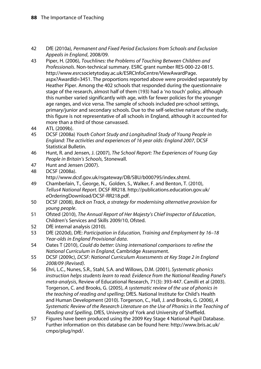- 42 DfE (2010a), *Permanent and Fixed Period Exclusions from Schools and Exclusion Appeals in England*, 2008/09.
- 43 Piper, H. (2006), *Touchlines: the Problems of Touching Between Children and Professionals*. Non-technical summary. ESRC grant number RES-000-22-0815. http://www.esrcsocietytoday.ac.uk/ESRCInfoCentre/ViewAwardPage. aspx?AwardId=3451. The proportions reported above were provided separately by Heather Piper. Among the 402 schools that responded during the questionnaire stage of the research, almost half of them (193) had a 'no touch' policy, although this number varied significantly with age, with far fewer policies for the younger age ranges, and vice versa. The sample of schools included pre-school settings, primary/junior and secondary schools. Due to the self-selective nature of the study, this figure is not representative of all schools in England, although it accounted for more than a third of those canvassed.
- 44 ATL (2009b).
- 45 DCSF (2008a) *Youth Cohort Study and Longitudinal Study of Young People in England: The activities and experiences of 16 year olds: England 2007*, DCSF Statistical Bulletin.
- 46 Hunt, R. and Jensen, J. (2007), *The School Report: The Experiences of Young Gay People in Britain's Schools,* Stonewall.
- 47 Hunt and Jensen (2007).
- 48 DCSF (2008a).

http://www.dcsf.gov.uk/rsgateway/DB/SBU/b000795/index.shtml.

- 49 Chamberlain, T., George, N., Golden, S., Walker, F. and Benton, T. (2010), *Tellus4 National Report.* DCSF RR218. http://publications.education.gov.uk/ eOrderingDownload/DCSF-RR218.pdf.
- 50 DCSF (2008), *Back on Track, a strategy for modernising alternative provision for young people*.
- 51 Ofsted (2010), *The Annual Report of Her Majesty's Chief Inspector of Education*, Children's Services and Skills 2009/10, Ofsted.
- 52 DfE internal analysis (2010).
- 53 DfE (2020d), DfE: *Participation in Education, Training and Employment by 16–18 Year-olds in England Provisional data*.
- 54 Oates T (2010), *Could do better: Using international comparisons to refine the National Curriculum in England*, Cambridge Assessment.
- 55 DCSF (2009c), *DCSF: National Curriculum Assessments at Key Stage 2 in England 2008/09 (Revised).*
- 56 Ehri, L.C., Nunes, S.R., Stahl, S.A. and Willows, D.M. (2001), *Systematic phonics instruction helps students learn to read: Evidence from the National Reading Panel's meta-analysis*, Review of Educational Research, 71(3): 393-447. Camilli et al (2003). Torgerson, C. and Brooks, G. (2005), *A systematic review of the use of phonics in the teaching of reading and spelling*; DfES. National Institute for Child's Health and Human Development (2010). Torgerson, C., Hall, J. and Brooks, G. (2006), *A Systematic Review of the Research Literature on the Use of Phonics in the Teaching of Reading and Spelling*, DfES, University of York and University of Sheffield.
- 57 Figures have been produced using the 2009 Key Stage 4 National Pupil Database. Further information on this database can be found here: http://www.bris.ac.uk/ cmpo/plug/npd/.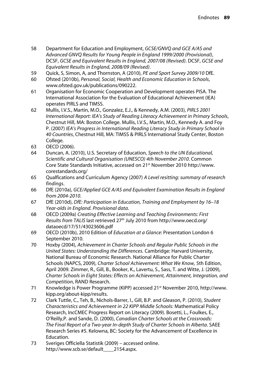- 58 Department for Education and Employment, *GCSE/GNVQ and GCE A/AS and Advanced GNVQ Results for Young People in England 1999/2000 (Provisional)*, DCSF, *GCSE and Equivalent Results in England, 2007/08 (Revised)*. DCSF, *GCSE and Equivalent Results in England, 2008/09 (Revised)*.
- 59 Quick, S, Simon, A, and Thornston, A (2010), *PE and Sport Survey 2009/10* DfE.
- 60 Ofsted (2010b), *Personal, Social, Health and Economic Education in Schools*, www.ofsted.gov.uk/publications/090222.
- 61 Organisation for Economic Cooperation and Development operates PISA. The International Association for the Evaluation of Educational Achievement (IEA) operates PIRLS and TIMSS.
- 62 Mullis, I.V.S., Martin, M.O., Gonzalez, E.J., & Kennedy, A.M. (2003), *PIRLS 2001 International Report: IEA's Study of Reading Literacy Achievement in Primary Schools*, Chestnut Hill, MA: Boston College. Mullis, I.V.S., Martin, M.O., Kennedy A. and Foy P. (2007) *IEA's Progress in International Reading Literacy Study in Primary School in 40 Countries*, Chestnut Hill, MA: TIMSS & PIRLS International Study Center, Boston College.
- 63 OECD (2006).
- 64 Duncan, A. (2010), U.S. Secretary of Education, *Speech to the UN Educational, Scientific and Cultural Organisation (UNESCO) 4th November 2010*. Common Core State Standards Initiative, accessed on 21<sup>st</sup> November 2010 http://www. corestandards.org/
- 65 Qualfications and Curriculum Agency (2007) *A Level resitting: summary of research findings*.
- 66 DfE (2010a), *GCE/Applied GCE A/AS and Equivalent Examination Results in England from 2004-2010*.
- 67 DfE (2010d), *DfE: Participation in Education, Training and Employment by 16–18 Year-olds in England. Provisional data.*
- 68 OECD (2009a) *Creating Effective Learning and Teaching Environments: First Results from TALIS* last retrieved 27th July 2010 from http://www.oecd.org/ dataoecd/17/51/43023606.pdf
- 69 OECD (2010b), 2010 Edition of *Education at a Glance*: Presentation London 6 September 2010.
- 70 Hoxby (2004), *Achievement in Charter Schools and Regular Public Schools in the United States: Understanding the Differences.* Cambridge: Harvard University, National Bureau of Economic Research. National Alliance for Public Charter Schools (NAPCS, 2009), *Charter School Achievement: What We Know,* 5th Edition, April 2009. Zimmer, R., Gill, B., Booker, K., Lavertu, S., Sass, T. and Witte, J. (2009), *Charter Schools in Eight States: Effects on Achievement, Attainment, Integration, and Competition*, RAND Research.
- 71 Knowledge is Power Programme (KIPP) accessed 21st November 2010, http://www. kipp.org/about-kipp/results.
- 72 Clark Tuttle, C., Teh, B., Nichols-Barrer, I., Gill, B.P. and Gleason, P. (2010), *Student Characteristics and Achievement in 22 KIPP Middle Schools:* Mathematical Policy Research, IncCMEC Progress Report on Literacy (2009). Bosetti, L., Foulkes, E., O'Reilly,P. and Sande, D. (2000), *Canadian Charter Schools at the Crossroads: The Final Report of a Two-year In-depth Study of Charter Schools in Alberta*. SAEE Research Series #5. Kelowna, BC: Society for the Advancement of Excellence in Education.
- 73 Sveriges Officiella Statistik (2009) accessed online. http://www.scb.se/default\_\_\_\_2154.aspx.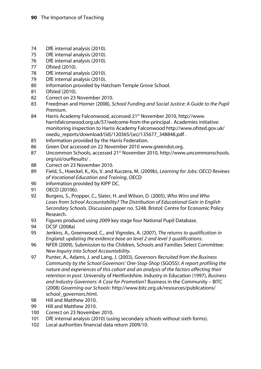- 74 DfE internal analysis (2010).
- 75 DfE internal analysis (2010).
- 76 DfE internal analysis (2010).
- 77 Ofsted (2010).
- 78 DfE internal analysis (2010).
- 79 DfE internal analysis (2010).
- 80 Information provided by Hatcham Temple Grove School.
- 81 Ofsted (2010).
- 82 Correct on 23 November 2010.
- 83 Freedman and Horner (2008), *School Funding and Social Justice: A Guide to the Pupil Premium.*
- 84 Harris Academy Falconwood, accessed 21<sup>st</sup> November 2010, http://www. harrisfalconwood.org.uk/57/welcome-from-the-principal . Academies initiative: monitoring inspection to Harris Academy Falconwood http://www.ofsted.gov.uk/ oxedu\_reports/download/(id)/120365/(as)/135677\_348848.pdf .
- 85 Information provided by the Harris Federation.
- 86 Green Dot accessed on 22 November 2010 www.greendot.org.
- 87 Uncommon Schools, accessed 21<sup>st</sup> November 2010, http://www.uncommonschools. org/usi/ourResults/ .
- 88 Correct on 23 November 2010.
- 89 Field, S., Hoeckel, K., Kis, V. and Kuczera, M. (2009b), *Learning for Jobs: OECD Reviews of Vocational Education and Training*, OECD
- 90 Information provided by KIPP DC.
- 91 OECD (2010b).
- 92 Burgess, S., Propper, C., Slater, H. and Wilson, D. (2005), *Who Wins and Who Loses from School Accountability? The Distribution of Educational Gain in English Secondary Schools.* Discussion paper no. 5248. Bristol: Centre for Economic Policy Research.
- 93 Figures produced using 2009 key stage four National Pupil Database.
- 94 DCSF (2008a)
- 95 Jenkins, A., Greenwood, C., and Vignoles, A. (2007), *The returns to qualification in England: updating the evidence base on level 2 and level 3 qualifications*.
- 96 NFER (2009), Submission to the Children, Schools and Families Select Committee: *New Inquiry into School Accountability.*
- 97 Punter, A., Adams, J. and Lang, J. (2003), *Governors Recruited from the Business Community by the School Governors' One-Stop-Shop* (SGOSS): *A report profiling the nature and experiences of this cohort and an analysis of the factors affecting their retention in post*. University of Hertfordshire. Industry in Education (1997), *Business and Industry Governors: A Case for Promotion*? Business in the Community – BITC (2008) *Governing our Schools*: http://www.bitc.org.uk/resources/publications/ school\_governors.html.
- 98 Hill and Matthew 2010.
- 99 Hill and Matthew 2010.
- 100 Correct on 23 November 2010.
- 101 DfE internal analysis (2010) (using secondary schools without sixth forms).
- 102 Local authorities financial data return 2009/10.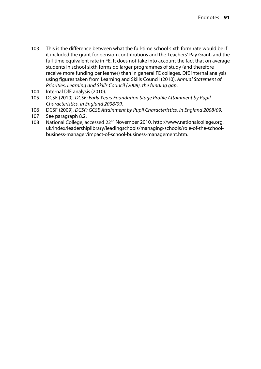- 103 This is the difference between what the full-time school sixth form rate would be if it included the grant for pension contributions and the Teachers' Pay Grant, and the full-time equivalent rate in FE. It does not take into account the fact that on average students in school sixth forms do larger programmes of study (and therefore receive more funding per learner) than in general FE colleges. DfE internal analysis using figures taken from Learning and Skills Council (2010), *Annual Statement of Priorities, Learning and Skills Council (2008): the funding gap*.
- 104 Internal DfE analysis (2010).
- 105 DCSF (2010), *DCSF: Early Years Foundation Stage Profile Attainment by Pupil Characteristics, in England 2008/09.*
- 106 DCSF (2009), *DCSF: GCSE Attainment by Pupil Characteristics, in England 2008/09.*
- 107 See paragraph 8.2.
- 108 National College, accessed 22nd November 2010, http://www.nationalcollege.org. uk/index/leadershiplibrary/leadingschools/managing-schools/role-of-the-schoolbusiness-manager/impact-of-school-business-management.htm.